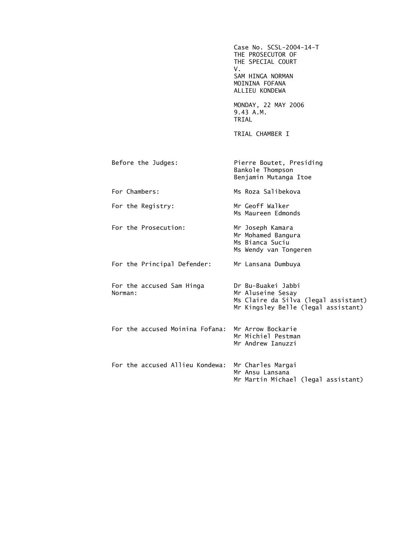Case No. SCSL-2004-14-T THE PROSECUTOR OF THE SPECIAL COURT V. SAM HINGA NORMAN MOININA FOFANA ALLIEU KONDEWA MONDAY, 22 MAY 2006 9.43 A.M. TRIAL TRIAL CHAMBER I Before the Judges: Pierre Boutet, Presiding Bankole Thompson Benjamin Mutanga Itoe For Chambers: Ms Roza Salibekova For the Registry: Mr Geoff Walker Ms Maureen Edmonds For the Prosecution: Mr Joseph Kamara Mr Mohamed Bangura Ms Bianca Suciu Ms Wendy van Tongeren For the Principal Defender: Mr Lansana Dumbuya For the accused Sam Hinga Dr Bu-Buakei Jabbi Mr Aluseine Sesay Ms Claire da Silva (legal assistant) Mr Kingsley Belle (legal assistant) For the accused Moinina Fofana: Mr Arrow Bockarie Mr Michiel Pestman Mr Andrew Ianuzzi For the accused Allieu Kondewa: Mr Charles Margai Mr Ansu Lansana Mr Martin Michael (legal assistant)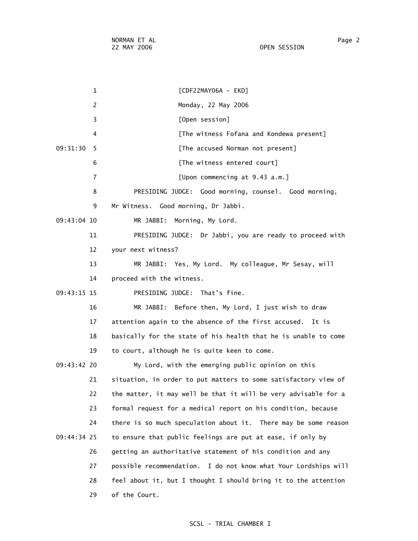1 [CDF22MAY06A - EKD] 2 Monday, 22 May 2006 3 [Open session] 4 [The witness Fofana and Kondewa present] 09:31:30 5 [The accused Norman not present] 6 **Integral Contract Figure 1** The witness entered court] 7 [Upon commencing at 9.43 a.m.] 8 PRESIDING JUDGE: Good morning, counsel. Good morning, 9 Mr Witness. Good morning, Dr Jabbi. 09:43:04 10 MR JABBI: Morning, My Lord. 11 PRESIDING JUDGE: Dr Jabbi, you are ready to proceed with 12 your next witness? 13 MR JABBI: Yes, My Lord. My colleague, Mr Sesay, will 14 proceed with the witness. 09:43:15 15 PRESIDING JUDGE: That's fine. 16 MR JABBI: Before then, My Lord, I just wish to draw 17 attention again to the absence of the first accused. It is 18 basically for the state of his health that he is unable to come 19 to court, although he is quite keen to come. 09:43:42 20 My Lord, with the emerging public opinion on this 21 situation, in order to put matters to some satisfactory view of 22 the matter, it may well be that it will be very advisable for a 23 formal request for a medical report on his condition, because 24 there is so much speculation about it. There may be some reason 09:44:34 25 to ensure that public feelings are put at ease, if only by 26 getting an authoritative statement of his condition and any 27 possible recommendation. I do not know what Your Lordships will 28 feel about it, but I thought I should bring it to the attention 29 of the Court.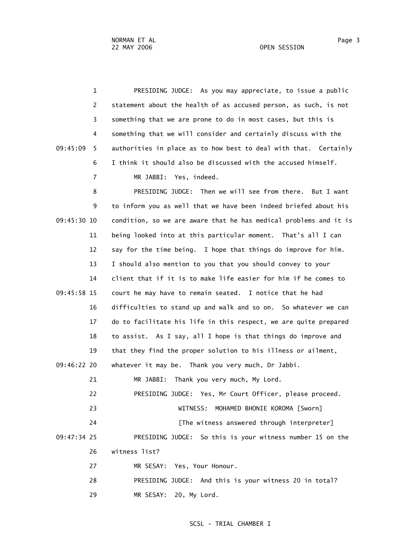1 PRESIDING JUDGE: As you may appreciate, to issue a public 2 statement about the health of as accused person, as such, is not 3 something that we are prone to do in most cases, but this is 4 something that we will consider and certainly discuss with the 09:45:09 5 authorities in place as to how best to deal with that. Certainly 6 I think it should also be discussed with the accused himself. 7 MR JABBI: Yes, indeed.

 8 PRESIDING JUDGE: Then we will see from there. But I want 9 to inform you as well that we have been indeed briefed about his 09:45:30 10 condition, so we are aware that he has medical problems and it is 11 being looked into at this particular moment. That's all I can 12 say for the time being. I hope that things do improve for him. 13 I should also mention to you that you should convey to your 14 client that if it is to make life easier for him if he comes to 09:45:58 15 court he may have to remain seated. I notice that he had 16 difficulties to stand up and walk and so on. So whatever we can 17 do to facilitate his life in this respect, we are quite prepared 18 to assist. As I say, all I hope is that things do improve and 19 that they find the proper solution to his illness or ailment, 09:46:22 20 whatever it may be. Thank you very much, Dr Jabbi. 21 MR JABBI: Thank you very much, My Lord. 22 PRESIDING JUDGE: Yes, Mr Court Officer, please proceed. 23 WITNESS: MOHAMED BHONIE KOROMA [Sworn] 24 **Example 24** [The witness answered through interpreter] 09:47:34 25 PRESIDING JUDGE: So this is your witness number 15 on the 26 witness list? 27 MR SESAY: Yes, Your Honour. 28 PRESIDING JUDGE: And this is your witness 20 in total? 29 MR SESAY: 20, My Lord.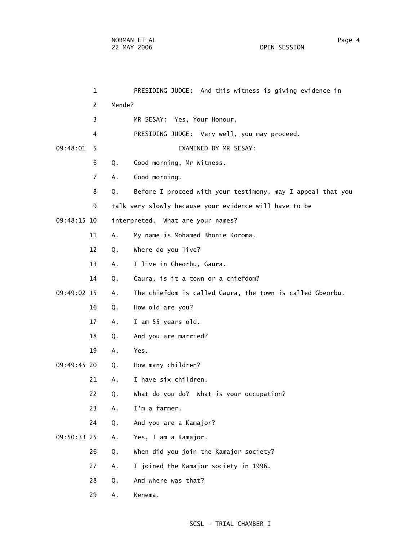|             | $\mathbf{1}$   |        | PRESIDING JUDGE: And this witness is giving evidence in     |
|-------------|----------------|--------|-------------------------------------------------------------|
|             | 2              | Mende? |                                                             |
|             | 3              |        | MR SESAY: Yes, Your Honour.                                 |
|             | 4              |        | PRESIDING JUDGE: Very well, you may proceed.                |
| 09:48:01    | 5              |        | EXAMINED BY MR SESAY:                                       |
|             | 6              | Q.     | Good morning, Mr Witness.                                   |
|             | $\overline{7}$ | Α.     | Good morning.                                               |
|             | 8              | Q.     | Before I proceed with your testimony, may I appeal that you |
|             | 9              |        | talk very slowly because your evidence will have to be      |
| 09:48:15 10 |                |        | interpreted. What are your names?                           |
|             | 11             | Α.     | My name is Mohamed Bhonie Koroma.                           |
|             | 12             | Q.     | Where do you live?                                          |
|             | 13             | Α.     | I live in Gbeorbu, Gaura.                                   |
|             | 14             | Q.     | Gaura, is it a town or a chiefdom?                          |
| 09:49:02 15 |                | Α.     | The chiefdom is called Gaura, the town is called Gbeorbu.   |
|             | 16             | Q.     | How old are you?                                            |
|             | 17             | Α.     | I am 55 years old.                                          |
|             | 18             | Q.     | And you are married?                                        |
|             | 19             | Α.     | Yes.                                                        |
| 09:49:45 20 |                | Q.     | How many children?                                          |
|             | 21             | А.     | I have six children.                                        |
|             | 22             | Q.     | What do you do? What is your occupation?                    |
|             | 23             | Α.     | I'm a farmer.                                               |
|             | 24             | Q.     | And you are a Kamajor?                                      |
| 09:50:33 25 |                | Α.     | Yes, I am a Kamajor.                                        |
|             | 26             | Q.     | When did you join the Kamajor society?                      |
|             | 27             | Α.     | I joined the Kamajor society in 1996.                       |
|             | 28             | Q.     | And where was that?                                         |
|             | 29             | Α.     | Kenema.                                                     |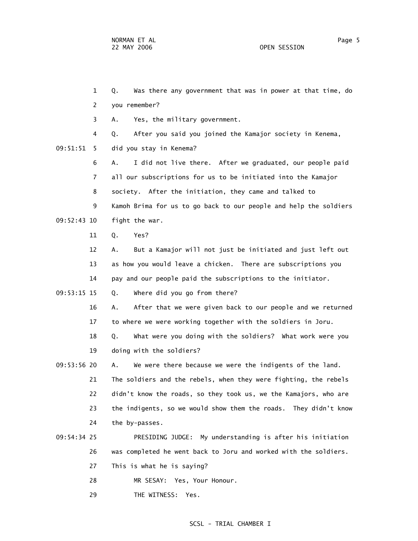1 Q. Was there any government that was in power at that time, do 2 you remember? 3 A. Yes, the military government. 4 Q. After you said you joined the Kamajor society in Kenema,

09:51:51 5 did you stay in Kenema?

 6 A. I did not live there. After we graduated, our people paid 7 all our subscriptions for us to be initiated into the Kamajor 8 society. After the initiation, they came and talked to 9 Kamoh Brima for us to go back to our people and help the soldiers 09:52:43 10 fight the war.

11 Q. Yes?

 12 A. But a Kamajor will not just be initiated and just left out 13 as how you would leave a chicken. There are subscriptions you 14 pay and our people paid the subscriptions to the initiator.

09:53:15 15 Q. Where did you go from there?

 16 A. After that we were given back to our people and we returned 17 to where we were working together with the soldiers in Joru.

18 Q. What were you doing with the soldiers? What work were you

19 doing with the soldiers?

 09:53:56 20 A. We were there because we were the indigents of the land. 21 The soldiers and the rebels, when they were fighting, the rebels 22 didn't know the roads, so they took us, we the Kamajors, who are 23 the indigents, so we would show them the roads. They didn't know 24 the by-passes.

# 09:54:34 25 PRESIDING JUDGE: My understanding is after his initiation 26 was completed he went back to Joru and worked with the soldiers.

27 This is what he is saying?

28 MR SESAY: Yes, Your Honour.

29 THE WITNESS: Yes.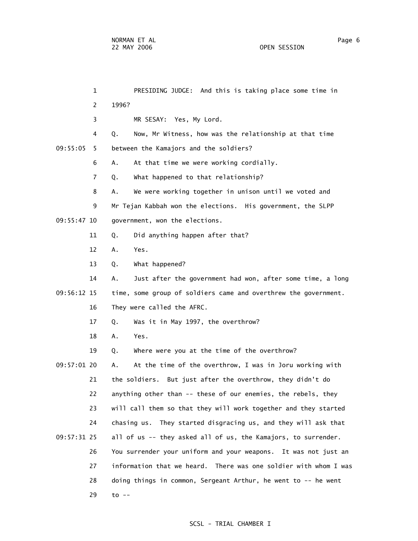|             | $\mathbf 1$    | PRESIDING JUDGE: And this is taking place some time in           |
|-------------|----------------|------------------------------------------------------------------|
|             | 2              | 1996?                                                            |
|             | 3              | MR SESAY: Yes, My Lord.                                          |
|             | 4              | Now, Mr Witness, how was the relationship at that time<br>Q.     |
| 09:55:05    | 5              | between the Kamajors and the soldiers?                           |
|             | 6              | At that time we were working cordially.<br>Α.                    |
|             | $\overline{7}$ | What happened to that relationship?<br>Q.                        |
|             | 8              | We were working together in unison until we voted and<br>А.      |
|             | 9              | Mr Tejan Kabbah won the elections. His government, the SLPP      |
| 09:55:47 10 |                | government, won the elections.                                   |
|             | 11             | Did anything happen after that?<br>Q.                            |
|             | 12             | Yes.<br>Α.                                                       |
|             | 13             | What happened?<br>Q.                                             |
|             | 14             | Just after the government had won, after some time, a long<br>Α. |
| 09:56:12 15 |                | time, some group of soldiers came and overthrew the government.  |
|             | 16             | They were called the AFRC.                                       |
|             | 17             | Was it in May 1997, the overthrow?<br>Q.                         |
|             | 18             | Yes.<br>Α.                                                       |
|             | 19             | Where were you at the time of the overthrow?<br>Q.               |
| 09:57:01 20 |                | At the time of the overthrow, I was in Joru working with<br>Α.   |
|             | 21             | the soldiers. But just after the overthrow, they didn't do       |
|             | 22             | anything other than -- these of our enemies, the rebels, they    |
|             | 23             | will call them so that they will work together and they started  |
|             | 24             | chasing us. They started disgracing us, and they will ask that   |
| 09:57:31 25 |                | all of us -- they asked all of us, the Kamajors, to surrender.   |
|             | 26             | You surrender your uniform and your weapons. It was not just an  |
|             | 27             | information that we heard. There was one soldier with whom I was |
|             | 28             | doing things in common, Sergeant Arthur, he went to -- he went   |
|             | 29             | $\overline{10}$ --                                               |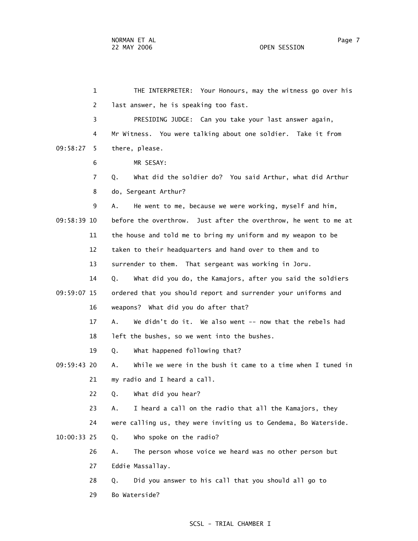1 THE INTERPRETER: Your Honours, may the witness go over his 2 last answer, he is speaking too fast. 3 PRESIDING JUDGE: Can you take your last answer again, 4 Mr Witness. You were talking about one soldier. Take it from 09:58:27 5 there, please. 6 MR SESAY: 7 Q. What did the soldier do? You said Arthur, what did Arthur 8 do, Sergeant Arthur? 9 A. He went to me, because we were working, myself and him, 09:58:39 10 before the overthrow. Just after the overthrow, he went to me at 11 the house and told me to bring my uniform and my weapon to be 12 taken to their headquarters and hand over to them and to 13 surrender to them. That sergeant was working in Joru. 14 Q. What did you do, the Kamajors, after you said the soldiers 09:59:07 15 ordered that you should report and surrender your uniforms and 16 weapons? What did you do after that? 17 A. We didn't do it. We also went -- now that the rebels had 18 left the bushes, so we went into the bushes. 19 Q. What happened following that? 09:59:43 20 A. While we were in the bush it came to a time when I tuned in 21 my radio and I heard a call. 22 Q. What did you hear? 23 A. I heard a call on the radio that all the Kamajors, they 24 were calling us, they were inviting us to Gendema, Bo Waterside. 10:00:33 25 Q. Who spoke on the radio? 26 A. The person whose voice we heard was no other person but 27 Eddie Massallay. 28 Q. Did you answer to his call that you should all go to 29 Bo Waterside?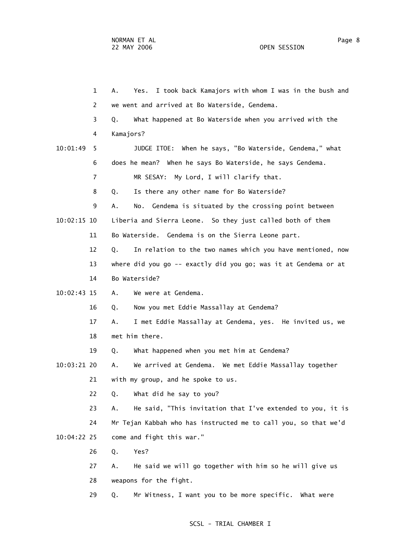|               | 1  | I took back Kamajors with whom I was in the bush and<br>А.<br>Yes. |
|---------------|----|--------------------------------------------------------------------|
|               | 2  | we went and arrived at Bo Waterside, Gendema.                      |
|               | 3  | What happened at Bo Waterside when you arrived with the<br>Q.      |
|               | 4  | Kamajors?                                                          |
| 10:01:49      | 5. | JUDGE ITOE: When he says, "Bo Waterside, Gendema," what            |
|               | 6  | does he mean? When he says Bo Waterside, he says Gendema.          |
|               | 7  | MR SESAY: My Lord, I will clarify that.                            |
|               | 8  | Is there any other name for Bo Waterside?<br>Q.                    |
|               | 9  | Gendema is situated by the crossing point between<br>А.<br>No.     |
| $10:02:15$ 10 |    | Liberia and Sierra Leone. So they just called both of them         |
|               | 11 | Bo Waterside. Gendema is on the Sierra Leone part.                 |
|               | 12 | In relation to the two names which you have mentioned, now<br>Q.   |
|               | 13 | where did you go -- exactly did you go; was it at Gendema or at    |
|               | 14 | Bo Waterside?                                                      |
| 10:02:43 15   |    | We were at Gendema.<br>Α.                                          |
|               | 16 | Now you met Eddie Massallay at Gendema?<br>Q.                      |
|               | 17 | I met Eddie Massallay at Gendema, yes. He invited us, we<br>А.     |
|               | 18 | met him there.                                                     |
|               | 19 | What happened when you met him at Gendema?<br>Q.                   |
| 10:03:21 20   |    | We arrived at Gendema. We met Eddie Massallay together<br>Α.       |
|               | 21 | with my group, and he spoke to us.                                 |
|               | 22 | Q. What did he say to you?                                         |
|               | 23 | He said, "This invitation that I've extended to you, it is<br>А.   |
|               | 24 | Mr Tejan Kabbah who has instructed me to call you, so that we'd    |
| 10:04:22 25   |    | come and fight this war."                                          |
|               | 26 | Yes?<br>Q.                                                         |
|               | 27 | He said we will go together with him so he will give us<br>Α.      |
|               | 28 | weapons for the fight.                                             |
|               | 29 | Mr Witness, I want you to be more specific. What were<br>Q.        |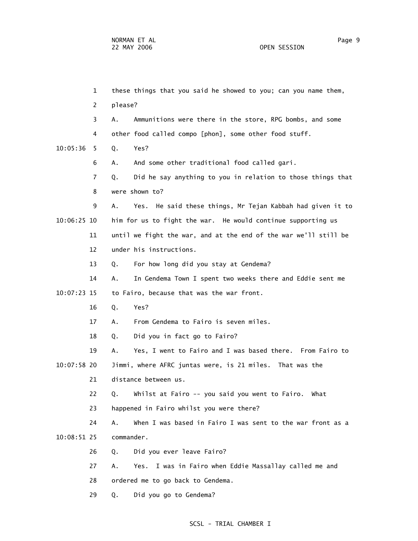1 these things that you said he showed to you; can you name them, 2 please? 3 A. Ammunitions were there in the store, RPG bombs, and some 4 other food called compo [phon], some other food stuff. 10:05:36 5 Q. Yes? 6 A. And some other traditional food called gari. 7 Q. Did he say anything to you in relation to those things that 8 were shown to? 9 A. Yes. He said these things, Mr Tejan Kabbah had given it to 10:06:25 10 him for us to fight the war. He would continue supporting us 11 until we fight the war, and at the end of the war we'll still be 12 under his instructions. 13 Q. For how long did you stay at Gendema? 14 A. In Gendema Town I spent two weeks there and Eddie sent me 10:07:23 15 to Fairo, because that was the war front. 16 Q. Yes? 17 A. From Gendema to Fairo is seven miles. 18 Q. Did you in fact go to Fairo? 19 A. Yes, I went to Fairo and I was based there. From Fairo to 10:07:58 20 Jimmi, where AFRC juntas were, is 21 miles. That was the 21 distance between us. 22 Q. Whilst at Fairo -- you said you went to Fairo. What 23 happened in Fairo whilst you were there? 24 A. When I was based in Fairo I was sent to the war front as a 10:08:51 25 commander. 26 Q. Did you ever leave Fairo? 27 A. Yes. I was in Fairo when Eddie Massallay called me and 28 ordered me to go back to Gendema. 29 Q. Did you go to Gendema?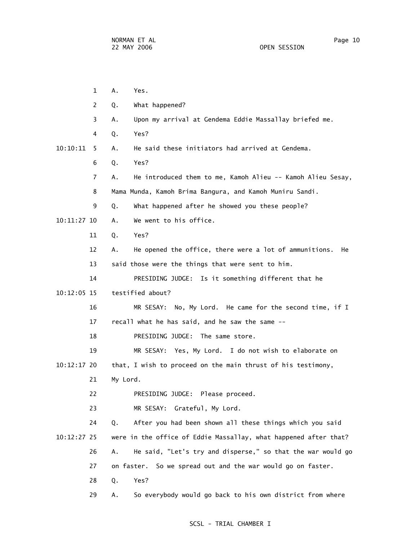| $\mathbf{1}$   | Α.<br>Yes.                                                         |
|----------------|--------------------------------------------------------------------|
| 2              | What happened?<br>Q.                                               |
| 3              | Upon my arrival at Gendema Eddie Massallay briefed me.<br>Α.       |
| 4              | Yes?<br>Q.                                                         |
| 10:10:11<br>5. | He said these initiators had arrived at Gendema.<br>Α.             |
| 6              | Yes?<br>Q.                                                         |
| 7              | He introduced them to me, Kamoh Alieu -- Kamoh Alieu Sesay,<br>Α.  |
| 8              | Mama Munda, Kamoh Brima Bangura, and Kamoh Muniru Sandi.           |
| 9              | What happened after he showed you these people?<br>Q.              |
| 10:11:27 10    | We went to his office.<br>А.                                       |
| 11             | Q.<br>Yes?                                                         |
| 12             | He opened the office, there were a lot of ammunitions.<br>Α.<br>He |
| 13             | said those were the things that were sent to him.                  |
| 14             | PRESIDING JUDGE: Is it something different that he                 |
| $10:12:05$ 15  | testified about?                                                   |
| 16             | MR SESAY: No, My Lord. He came for the second time, if I           |
| 17             | recall what he has said, and he saw the same --                    |
| 18             | PRESIDING JUDGE: The same store.                                   |
| 19             | MR SESAY: Yes, My Lord. I do not wish to elaborate on              |
| 10:12:17 20    | that, I wish to proceed on the main thrust of his testimony,       |
| 21             | My Lord.                                                           |
| 22             | PRESIDING JUDGE: Please proceed.                                   |
| 23             | MR SESAY:<br>Grateful, My Lord.                                    |
| 24             | After you had been shown all these things which you said<br>Q.     |
| 10:12:27 25    | were in the office of Eddie Massallay, what happened after that?   |
| 26             | He said, "Let's try and disperse," so that the war would go<br>Α.  |
| 27             | So we spread out and the war would go on faster.<br>on faster.     |
| 28             | Yes?<br>Q.                                                         |
| 29             | So everybody would go back to his own district from where<br>Α.    |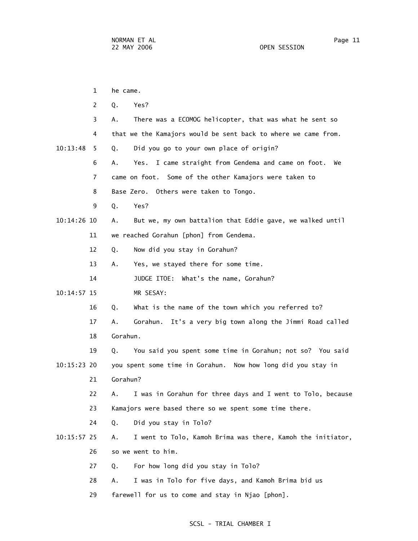|               | 1  | he came.                                                           |
|---------------|----|--------------------------------------------------------------------|
|               | 2  | Q.<br>Yes?                                                         |
|               | 3  | There was a ECOMOG helicopter, that was what he sent so<br>А.      |
|               | 4  | that we the Kamajors would be sent back to where we came from.     |
| 10:13:48      | 5. | Did you go to your own place of origin?<br>Q.                      |
|               | 6  | Yes. I came straight from Gendema and came on foot.<br>А.<br>We    |
|               | 7  | came on foot. Some of the other Kamajors were taken to             |
|               | 8  | Base Zero. Others were taken to Tongo.                             |
|               | 9  | Yes?<br>Q.                                                         |
| 10:14:26 10   |    | But we, my own battalion that Eddie gave, we walked until<br>Α.    |
|               | 11 | we reached Gorahun [phon] from Gendema.                            |
|               | 12 | Now did you stay in Gorahun?<br>Q.                                 |
|               | 13 | Yes, we stayed there for some time.<br>Α.                          |
|               | 14 | JUDGE ITOE: What's the name, Gorahun?                              |
| 10:14:57 15   |    | MR SESAY:                                                          |
|               | 16 | What is the name of the town which you referred to?<br>Q.          |
|               | 17 | It's a very big town along the Jimmi Road called<br>Gorahun.<br>А. |
|               | 18 | Gorahun.                                                           |
|               | 19 | You said you spent some time in Gorahun; not so? You said<br>Q.    |
| 10:15:23 20   |    | you spent some time in Gorahun. Now how long did you stay in       |
|               | 21 | Gorahun?                                                           |
|               | 22 | I was in Gorahun for three days and I went to Tolo, because<br>Α.  |
|               | 23 | Kamajors were based there so we spent some time there.             |
|               | 24 | Did you stay in Tolo?<br>Q.                                        |
| $10:15:57$ 25 |    | I went to Tolo, Kamoh Brima was there, Kamoh the initiator,<br>Α.  |
|               | 26 | so we went to him.                                                 |
|               | 27 | For how long did you stay in Tolo?<br>Q.                           |
|               | 28 | I was in Tolo for five days, and Kamoh Brima bid us<br>А.          |
|               | 29 | farewell for us to come and stay in Njao [phon].                   |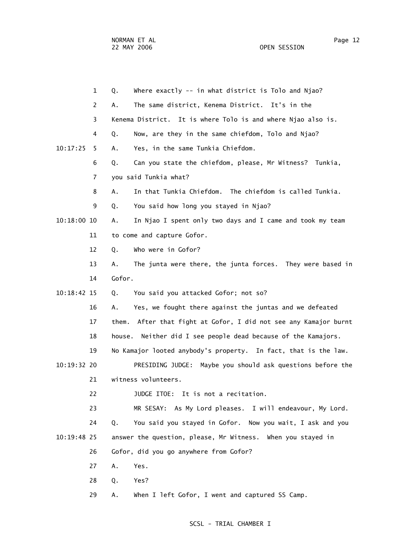NORMAN ET AL Page 12

|               | $\mathbf{1}$ | Where exactly -- in what district is Tolo and Njao?<br>Q.           |
|---------------|--------------|---------------------------------------------------------------------|
|               | 2            | The same district, Kenema District. It's in the<br>А.               |
|               | 3            | Kenema District. It is where Tolo is and where Njao also is.        |
|               | 4            | Now, are they in the same chiefdom, Tolo and Njao?<br>Q.            |
| 10:17:25      | 5            | Yes, in the same Tunkia Chiefdom.<br>Α.                             |
|               | 6            | Can you state the chiefdom, please, Mr Witness? Tunkia,<br>Q.       |
|               | 7            | you said Tunkia what?                                               |
|               | 8            | In that Tunkia Chiefdom. The chiefdom is called Tunkia.<br>Α.       |
|               | 9            | You said how long you stayed in Njao?<br>Q.                         |
| $10:18:00$ 10 |              | In Njao I spent only two days and I came and took my team<br>А.     |
|               | 11           | to come and capture Gofor.                                          |
|               | 12           | Who were in Gofor?<br>Q.                                            |
|               | 13           | The junta were there, the junta forces. They were based in<br>Α.    |
|               | 14           | Gofor.                                                              |
| 10:18:42 15   |              | You said you attacked Gofor; not so?<br>Q.                          |
|               | 16           | Yes, we fought there against the juntas and we defeated<br>А.       |
|               | 17           | After that fight at Gofor, I did not see any Kamajor burnt<br>them. |
|               | 18           | Neither did I see people dead because of the Kamajors.<br>house.    |
|               | 19           | No Kamajor looted anybody's property. In fact, that is the law.     |
| 10:19:32 20   |              | PRESIDING JUDGE: Maybe you should ask questions before the          |
|               | 21           | witness volunteers.                                                 |
|               | 22           | JUDGE ITOE:<br>It is not a recitation.                              |
|               | 23           | MR SESAY: As My Lord pleases. I will endeavour, My Lord.            |
|               | 24           | You said you stayed in Gofor. Now you wait, I ask and you<br>Q.     |
| 10:19:48 25   |              | answer the question, please, Mr Witness. When you stayed in         |
|               | 26           | Gofor, did you go anywhere from Gofor?                              |
|               | 27           | Α.<br>Yes.                                                          |
|               | 28           | Q.<br>Yes?                                                          |
|               | 29           | When I left Gofor, I went and captured SS Camp.<br>Α.               |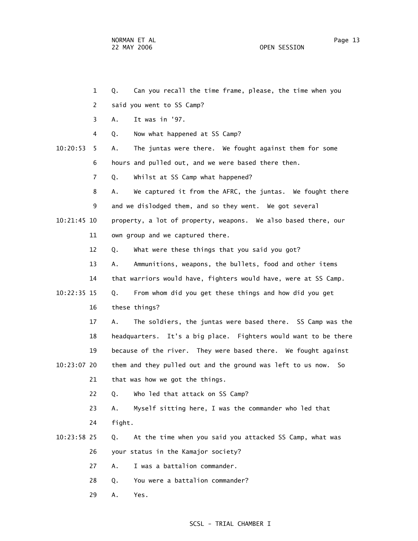- 1 Q. Can you recall the time frame, please, the time when you
- 2 said you went to SS Camp?
- 3 A. It was in '97.
- 4 Q. Now what happened at SS Camp?
- 10:20:53 5 A. The juntas were there. We fought against them for some 6 hours and pulled out, and we were based there then.
	- 7 Q. Whilst at SS Camp what happened?
- 8 A. We captured it from the AFRC, the juntas. We fought there 9 and we dislodged them, and so they went. We got several 10:21:45 10 property, a lot of property, weapons. We also based there, our 11 own group and we captured there.
	- 12 Q. What were these things that you said you got?
- 13 A. Ammunitions, weapons, the bullets, food and other items 14 that warriors would have, fighters would have, were at SS Camp. 10:22:35 15 Q. From whom did you get these things and how did you get 16 these things?
- 17 A. The soldiers, the juntas were based there. SS Camp was the 18 headquarters. It's a big place. Fighters would want to be there 19 because of the river. They were based there. We fought against 10:23:07 20 them and they pulled out and the ground was left to us now. So 21 that was how we got the things.
	- 22 Q. Who led that attack on SS Camp?
	- 23 A. Myself sitting here, I was the commander who led that 24 fight.
- 10:23:58 25 Q. At the time when you said you attacked SS Camp, what was
	- 26 your status in the Kamajor society?
	- 27 A. I was a battalion commander.
	- 28 Q. You were a battalion commander?
	- 29 A. Yes.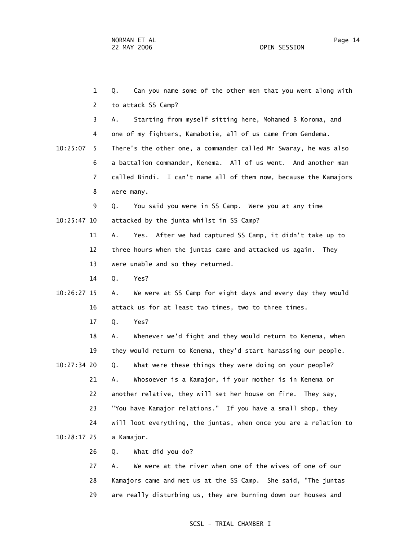1 Q. Can you name some of the other men that you went along with 2 to attack SS Camp? 3 A. Starting from myself sitting here, Mohamed B Koroma, and 4 one of my fighters, Kamabotie, all of us came from Gendema. 10:25:07 5 There's the other one, a commander called Mr Swaray, he was also 6 a battalion commander, Kenema. All of us went. And another man 7 called Bindi. I can't name all of them now, because the Kamajors 8 were many. 9 Q. You said you were in SS Camp. Were you at any time 10:25:47 10 attacked by the junta whilst in SS Camp? 11 A. Yes. After we had captured SS Camp, it didn't take up to 12 three hours when the juntas came and attacked us again. They 13 were unable and so they returned. 14 Q. Yes? 10:26:27 15 A. We were at SS Camp for eight days and every day they would 16 attack us for at least two times, two to three times. 17 Q. Yes? 18 A. Whenever we'd fight and they would return to Kenema, when 19 they would return to Kenema, they'd start harassing our people. 10:27:34 20 Q. What were these things they were doing on your people? 21 A. Whosoever is a Kamajor, if your mother is in Kenema or 22 another relative, they will set her house on fire. They say, 23 "You have Kamajor relations." If you have a small shop, they 24 will loot everything, the juntas, when once you are a relation to 10:28:17 25 a Kamajor. 26 Q. What did you do? 27 A. We were at the river when one of the wives of one of our 28 Kamajors came and met us at the SS Camp. She said, "The juntas

29 are really disturbing us, they are burning down our houses and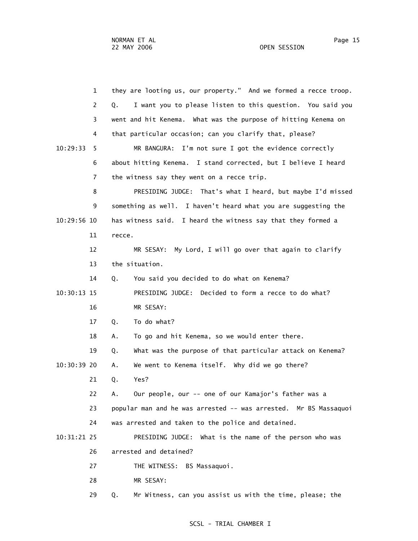1 they are looting us, our property." And we formed a recce troop. 2 Q. I want you to please listen to this question. You said you 3 went and hit Kenema. What was the purpose of hitting Kenema on 4 that particular occasion; can you clarify that, please? 10:29:33 5 MR BANGURA: I'm not sure I got the evidence correctly 6 about hitting Kenema. I stand corrected, but I believe I heard 7 the witness say they went on a recce trip. 8 PRESIDING JUDGE: That's what I heard, but maybe I'd missed 9 something as well. I haven't heard what you are suggesting the 10:29:56 10 has witness said. I heard the witness say that they formed a 11 recce. 12 MR SESAY: My Lord, I will go over that again to clarify 13 the situation. 14 Q. You said you decided to do what on Kenema? 10:30:13 15 PRESIDING JUDGE: Decided to form a recce to do what? 16 MR SESAY: 17 Q. To do what? 18 A. To go and hit Kenema, so we would enter there. 19 Q. What was the purpose of that particular attack on Kenema? 10:30:39 20 A. We went to Kenema itself. Why did we go there? 21 Q. Yes? 22 A. Our people, our -- one of our Kamajor's father was a 23 popular man and he was arrested -- was arrested. Mr BS Massaquoi 24 was arrested and taken to the police and detained. 10:31:21 25 PRESIDING JUDGE: What is the name of the person who was 26 arrested and detained? 27 THE WITNESS: BS Massaquoi. 28 MR SESAY: 29 Q. Mr Witness, can you assist us with the time, please; the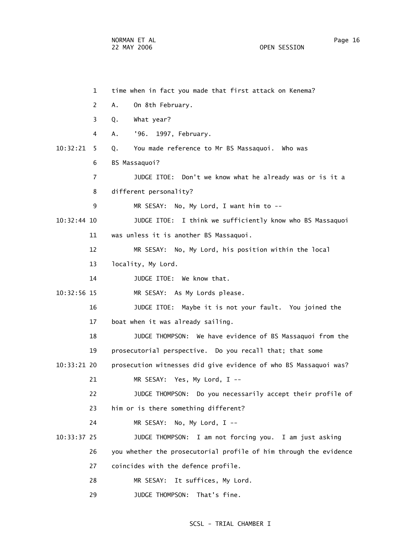1 time when in fact you made that first attack on Kenema? 2 A. On 8th February. 3 Q. What year? 4 A. '96. 1997, February. 10:32:21 5 Q. You made reference to Mr BS Massaquoi. Who was 6 BS Massaquoi? 7 JUDGE ITOE: Don't we know what he already was or is it a 8 different personality? 9 MR SESAY: No, My Lord, I want him to -- 10:32:44 10 JUDGE ITOE: I think we sufficiently know who BS Massaquoi 11 was unless it is another BS Massaquoi. 12 MR SESAY: No, My Lord, his position within the local 13 locality, My Lord. 14 JUDGE ITOE: We know that. 10:32:56 15 MR SESAY: As My Lords please. 16 JUDGE ITOE: Maybe it is not your fault. You joined the 17 boat when it was already sailing. 18 JUDGE THOMPSON: We have evidence of BS Massaquoi from the 19 prosecutorial perspective. Do you recall that; that some 10:33:21 20 prosecution witnesses did give evidence of who BS Massaquoi was? 21 MR SESAY: Yes, My Lord, I -- 22 JUDGE THOMPSON: Do you necessarily accept their profile of 23 him or is there something different? 24 MR SESAY: No, My Lord, I -- 10:33:37 25 JUDGE THOMPSON: I am not forcing you. I am just asking 26 you whether the prosecutorial profile of him through the evidence 27 coincides with the defence profile. 28 MR SESAY: It suffices, My Lord. 29 JUDGE THOMPSON: That's fine.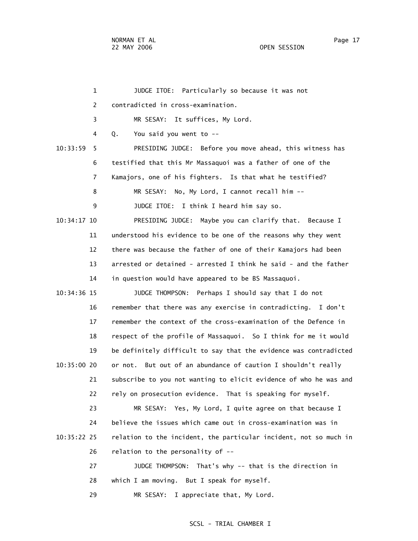1 JUDGE ITOE: Particularly so because it was not 2 contradicted in cross-examination. 3 MR SESAY: It suffices, My Lord. 4 Q. You said you went to -- 10:33:59 5 PRESIDING JUDGE: Before you move ahead, this witness has 6 testified that this Mr Massaquoi was a father of one of the 7 Kamajors, one of his fighters. Is that what he testified? 8 MR SESAY: No, My Lord, I cannot recall him -- 9 JUDGE ITOE: I think I heard him say so. 10:34:17 10 PRESIDING JUDGE: Maybe you can clarify that. Because I 11 understood his evidence to be one of the reasons why they went 12 there was because the father of one of their Kamajors had been 13 arrested or detained - arrested I think he said - and the father 14 in question would have appeared to be BS Massaquoi. 10:34:36 15 JUDGE THOMPSON: Perhaps I should say that I do not 16 remember that there was any exercise in contradicting. I don't 17 remember the context of the cross-examination of the Defence in 18 respect of the profile of Massaquoi. So I think for me it would 19 be definitely difficult to say that the evidence was contradicted 10:35:00 20 or not. But out of an abundance of caution I shouldn't really 21 subscribe to you not wanting to elicit evidence of who he was and 22 rely on prosecution evidence. That is speaking for myself. 23 MR SESAY: Yes, My Lord, I quite agree on that because I 24 believe the issues which came out in cross-examination was in 10:35:22 25 relation to the incident, the particular incident, not so much in 26 relation to the personality of -- 27 JUDGE THOMPSON: That's why -- that is the direction in 28 which I am moving. But I speak for myself. 29 MR SESAY: I appreciate that, My Lord.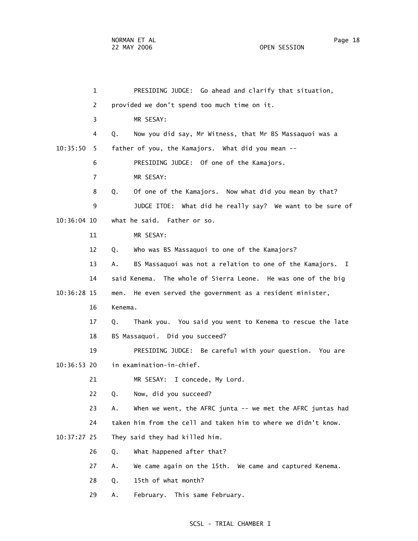1 PRESIDING JUDGE: Go ahead and clarify that situation, 2 provided we don't spend too much time on it. 3 MR SESAY: 4 Q. Now you did say, Mr Witness, that Mr BS Massaquoi was a 10:35:50 5 father of you, the Kamajors. What did you mean -- 6 PRESIDING JUDGE: Of one of the Kamajors. 7 MR SESAY: 8 Q. Of one of the Kamajors. Now what did you mean by that? 9 JUDGE ITOE: What did he really say? We want to be sure of 10:36:04 10 what he said. Father or so. 11 MR SESAY: 12 Q. Who was BS Massaquoi to one of the Kamajors? 13 A. BS Massaquoi was not a relation to one of the Kamajors. I 14 said Kenema. The whole of Sierra Leone. He was one of the big 10:36:28 15 men. He even served the government as a resident minister, 16 Kenema. 17 Q. Thank you. You said you went to Kenema to rescue the late 18 BS Massaquoi. Did you succeed? 19 PRESIDING JUDGE: Be careful with your question. You are 10:36:53 20 in examination-in-chief. 21 MR SESAY: I concede, My Lord. 22 Q. Now, did you succeed? 23 A. When we went, the AFRC junta -- we met the AFRC juntas had 24 taken him from the cell and taken him to where we didn't know. 10:37:27 25 They said they had killed him. 26 Q. What happened after that? 27 A. We came again on the 15th. We came and captured Kenema. 28 Q. 15th of what month? 29 A. February. This same February.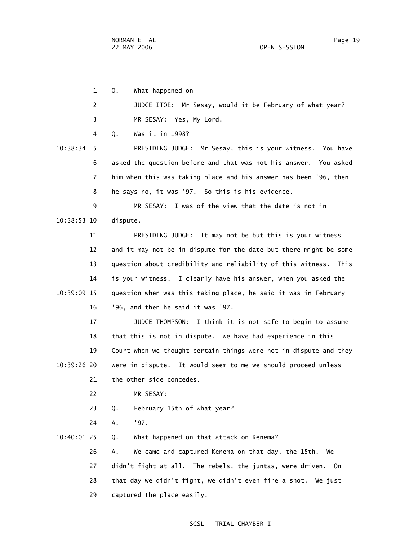1 Q. What happened on -- 2 JUDGE ITOE: Mr Sesay, would it be February of what year? 3 MR SESAY: Yes, My Lord. 4 Q. Was it in 1998? 10:38:34 5 PRESIDING JUDGE: Mr Sesay, this is your witness. You have 6 asked the question before and that was not his answer. You asked 7 him when this was taking place and his answer has been '96, then 8 he says no, it was '97. So this is his evidence. 9 MR SESAY: I was of the view that the date is not in 10:38:53 10 dispute. 11 PRESIDING JUDGE: It may not be but this is your witness 12 and it may not be in dispute for the date but there might be some 13 question about credibility and reliability of this witness. This 14 is your witness. I clearly have his answer, when you asked the 10:39:09 15 question when was this taking place, he said it was in February 16 '96, and then he said it was '97. 17 JUDGE THOMPSON: I think it is not safe to begin to assume 18 that this is not in dispute. We have had experience in this 19 Court when we thought certain things were not in dispute and they 10:39:26 20 were in dispute. It would seem to me we should proceed unless 21 the other side concedes. 22 MR SESAY: 23 Q. February 15th of what year? 24 A. '97. 10:40:01 25 Q. What happened on that attack on Kenema? 26 A. We came and captured Kenema on that day, the 15th. We 27 didn't fight at all. The rebels, the juntas, were driven. On 28 that day we didn't fight, we didn't even fire a shot. We just

29 captured the place easily.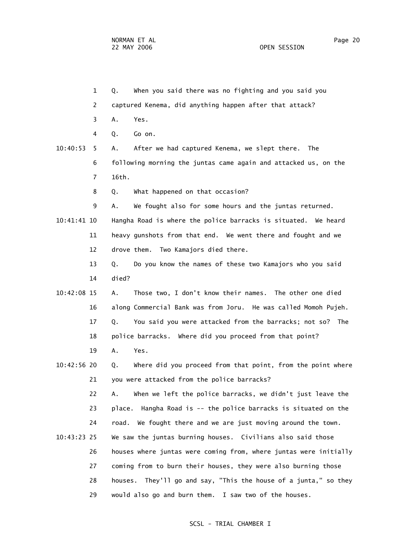1 Q. When you said there was no fighting and you said you

- 2 captured Kenema, did anything happen after that attack?
- 3 A. Yes.
- 4 Q. Go on.
- 10:40:53 5 A. After we had captured Kenema, we slept there. The 6 following morning the juntas came again and attacked us, on the 7 16th.

8 Q. What happened on that occasion?

9 A. We fought also for some hours and the juntas returned.

 10:41:41 10 Hangha Road is where the police barracks is situated. We heard 11 heavy gunshots from that end. We went there and fought and we 12 drove them. Two Kamajors died there.

> 13 Q. Do you know the names of these two Kamajors who you said 14 died?

- 10:42:08 15 A. Those two, I don't know their names. The other one died 16 along Commercial Bank was from Joru. He was called Momoh Pujeh. 17 Q. You said you were attacked from the barracks; not so? The 18 police barracks. Where did you proceed from that point?
	- 19 A. Yes.
- 10:42:56 20 Q. Where did you proceed from that point, from the point where 21 you were attacked from the police barracks?

 22 A. When we left the police barracks, we didn't just leave the 23 place. Hangha Road is -- the police barracks is situated on the 24 road. We fought there and we are just moving around the town. 10:43:23 25 We saw the juntas burning houses. Civilians also said those

 26 houses where juntas were coming from, where juntas were initially 27 coming from to burn their houses, they were also burning those 28 houses. They'll go and say, "This the house of a junta," so they 29 would also go and burn them. I saw two of the houses.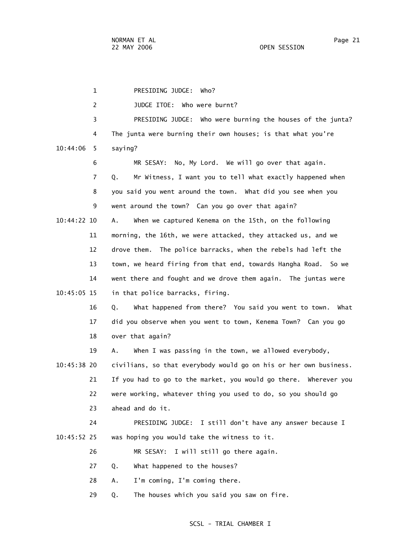1 PRESIDING JUDGE: Who? 2 JUDGE ITOE: Who were burnt? 3 PRESIDING JUDGE: Who were burning the houses of the junta? 4 The junta were burning their own houses; is that what you're 10:44:06 5 saying? 6 MR SESAY: No, My Lord. We will go over that again. 7 Q. Mr Witness, I want you to tell what exactly happened when 8 you said you went around the town. What did you see when you 9 went around the town? Can you go over that again? 10:44:22 10 A. When we captured Kenema on the 15th, on the following 11 morning, the 16th, we were attacked, they attacked us, and we 12 drove them. The police barracks, when the rebels had left the 13 town, we heard firing from that end, towards Hangha Road. So we 14 went there and fought and we drove them again. The juntas were 10:45:05 15 in that police barracks, firing. 16 Q. What happened from there? You said you went to town. What 17 did you observe when you went to town, Kenema Town? Can you go 18 over that again? 19 A. When I was passing in the town, we allowed everybody, 10:45:38 20 civilians, so that everybody would go on his or her own business. 21 If you had to go to the market, you would go there. Wherever you 22 were working, whatever thing you used to do, so you should go 23 ahead and do it. 24 PRESIDING JUDGE: I still don't have any answer because I 10:45:52 25 was hoping you would take the witness to it. 26 MR SESAY: I will still go there again. 27 Q. What happened to the houses? 28 A. I'm coming, I'm coming there. 29 Q. The houses which you said you saw on fire.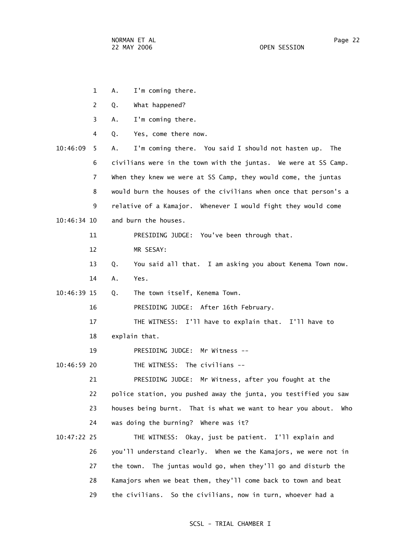1 A. I'm coming there.

- 2 Q. What happened? 3 A. I'm coming there. 4 Q. Yes, come there now. 10:46:09 5 A. I'm coming there. You said I should not hasten up. The 6 civilians were in the town with the juntas. We were at SS Camp. 7 When they knew we were at SS Camp, they would come, the juntas
	- 8 would burn the houses of the civilians when once that person's a 9 relative of a Kamajor. Whenever I would fight they would come
- 10:46:34 10 and burn the houses.

11 PRESIDING JUDGE: You've been through that.

- 12 MR SESAY:
- 13 Q. You said all that. I am asking you about Kenema Town now. 14 A. Yes.
- 10:46:39 15 Q. The town itself, Kenema Town.

16 PRESIDING JUDGE: After 16th February.

17 THE WITNESS: I'll have to explain that. I'll have to

18 explain that.

19 PRESIDING JUDGE: Mr Witness --

10:46:59 20 THE WITNESS: The civilians --

 21 PRESIDING JUDGE: Mr Witness, after you fought at the 22 police station, you pushed away the junta, you testified you saw 23 houses being burnt. That is what we want to hear you about. Who 24 was doing the burning? Where was it?

 10:47:22 25 THE WITNESS: Okay, just be patient. I'll explain and 26 you'll understand clearly. When we the Kamajors, we were not in 27 the town. The juntas would go, when they'll go and disturb the 28 Kamajors when we beat them, they'll come back to town and beat 29 the civilians. So the civilians, now in turn, whoever had a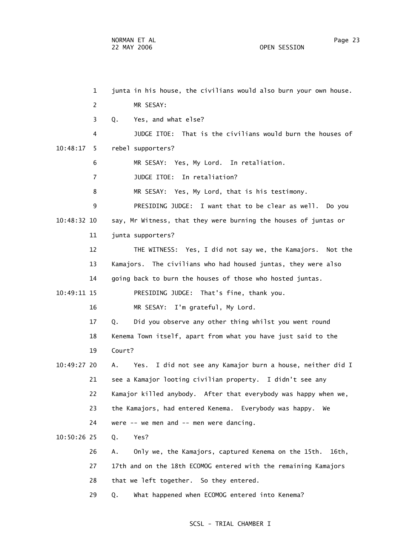1 junta in his house, the civilians would also burn your own house. 2 MR SESAY: 3 Q. Yes, and what else? 4 JUDGE ITOE: That is the civilians would burn the houses of 10:48:17 5 rebel supporters? 6 MR SESAY: Yes, My Lord. In retaliation. 7 JUDGE ITOE: In retaliation? 8 MR SESAY: Yes, My Lord, that is his testimony. 9 PRESIDING JUDGE: I want that to be clear as well. Do you 10:48:32 10 say, Mr Witness, that they were burning the houses of juntas or 11 junta supporters? 12 THE WITNESS: Yes, I did not say we, the Kamajors. Not the 13 Kamajors. The civilians who had housed juntas, they were also 14 going back to burn the houses of those who hosted juntas. 10:49:11 15 PRESIDING JUDGE: That's fine, thank you. 16 MR SESAY: I'm grateful, My Lord. 17 Q. Did you observe any other thing whilst you went round 18 Kenema Town itself, apart from what you have just said to the 19 Court? 10:49:27 20 A. Yes. I did not see any Kamajor burn a house, neither did I 21 see a Kamajor looting civilian property. I didn't see any 22 Kamajor killed anybody. After that everybody was happy when we, 23 the Kamajors, had entered Kenema. Everybody was happy. We 24 were -- we men and -- men were dancing. 10:50:26 25 Q. Yes? 26 A. Only we, the Kamajors, captured Kenema on the 15th. 16th, 27 17th and on the 18th ECOMOG entered with the remaining Kamajors 28 that we left together. So they entered.

29 Q. What happened when ECOMOG entered into Kenema?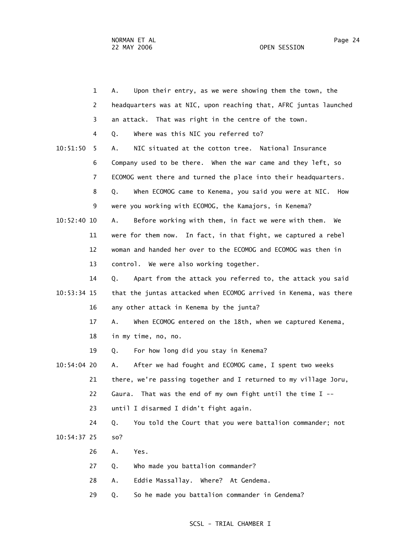|               | $\mathbf{1}$ | Upon their entry, as we were showing them the town, the<br>А.      |
|---------------|--------------|--------------------------------------------------------------------|
|               | 2            | headquarters was at NIC, upon reaching that, AFRC juntas launched  |
|               | 3            | an attack. That was right in the centre of the town.               |
|               | 4            | Where was this NIC you referred to?<br>Q.                          |
| 10:51:50      | 5            | NIC situated at the cotton tree. National Insurance<br>Α.          |
|               | 6            | Company used to be there. When the war came and they left, so      |
|               | 7            | ECOMOG went there and turned the place into their headquarters.    |
|               | 8            | When ECOMOG came to Kenema, you said you were at NIC.<br>Q.<br>How |
|               | 9            | were you working with ECOMOG, the Kamajors, in Kenema?             |
| $10:52:40$ 10 |              | Before working with them, in fact we were with them.<br>А.<br>We   |
|               | 11           | were for them now. In fact, in that fight, we captured a rebel     |
|               | 12           | woman and handed her over to the ECOMOG and ECOMOG was then in     |
|               | 13           | control. We were also working together.                            |
|               | 14           | Apart from the attack you referred to, the attack you said<br>Q.   |
| 10:53:34 15   |              | that the juntas attacked when ECOMOG arrived in Kenema, was there  |
|               | 16           | any other attack in Kenema by the junta?                           |
|               | 17           | Α.<br>When ECOMOG entered on the 18th, when we captured Kenema,    |
|               | 18           | in my time, no, no.                                                |
|               | 19           | For how long did you stay in Kenema?<br>Q.                         |
| 10:54:04 20   |              | After we had fought and ECOMOG came, I spent two weeks<br>А.       |
|               | 21           | there, we're passing together and I returned to my village Joru,   |
|               | 22           | That was the end of my own fight until the time $I$ --<br>Gaura.   |
|               | 23           | until I disarmed I didn't fight again.                             |
|               | 24           | You told the Court that you were battalion commander; not<br>Q.    |
| 10:54:37 25   |              | so?                                                                |
|               | 26           | Yes.<br>Α.                                                         |
|               | 27           | Who made you battalion commander?<br>Q.                            |
|               | 28           | Eddie Massallay. Where? At Gendema.<br>Α.                          |
|               | 29           | So he made you battalion commander in Gendema?<br>Q.               |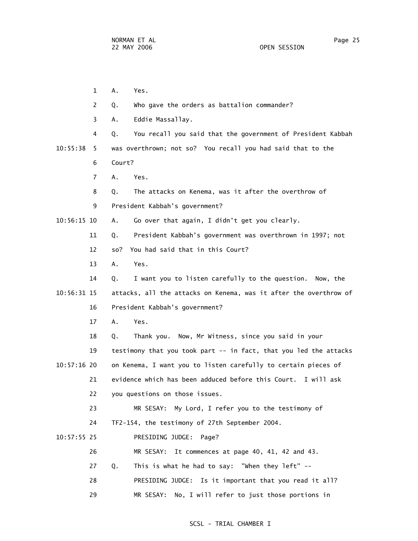|               | $\mathbf{1}$ | Α.<br>Yes.                                                        |
|---------------|--------------|-------------------------------------------------------------------|
|               | 2            | Who gave the orders as battalion commander?<br>Q.                 |
|               | 3            | Eddie Massallay.<br>Α.                                            |
|               | 4            | You recall you said that the government of President Kabbah<br>Q. |
| 10:55:38      | 5            | was overthrown; not so? You recall you had said that to the       |
|               | 6            | Court?                                                            |
|               | 7            | Α.<br>Yes.                                                        |
|               | 8            | The attacks on Kenema, was it after the overthrow of<br>Q.        |
|               | 9            | President Kabbah's government?                                    |
| 10:56:15 10   |              | Go over that again, I didn't get you clearly.<br>Α.               |
|               | 11           | President Kabbah's government was overthrown in 1997; not<br>Q.   |
|               | 12           | You had said that in this Court?<br>so?                           |
|               | 13           | Yes.<br>Α.                                                        |
|               | 14           | I want you to listen carefully to the question. Now, the<br>Q.    |
| 10:56:31 15   |              | attacks, all the attacks on Kenema, was it after the overthrow of |
|               | 16           | President Kabbah's government?                                    |
|               | 17           | A.<br>Yes.                                                        |
|               | 18           | Thank you. Now, Mr Witness, since you said in your<br>Q.          |
|               | 19           | testimony that you took part -- in fact, that you led the attacks |
| $10:57:16$ 20 |              | on Kenema, I want you to listen carefully to certain pieces of    |
|               | 21           | evidence which has been adduced before this Court. I will ask     |
|               | 22           | you questions on those issues.                                    |
|               | 23           | My Lord, I refer you to the testimony of<br>MR SESAY:             |
|               | 24           | TF2-154, the testimony of 27th September 2004.                    |
| $10:57:55$ 25 |              | PRESIDING JUDGE:<br>Page?                                         |
|               | 26           | It commences at page 40, 41, 42 and 43.<br>MR SESAY:              |
|               | 27           | This is what he had to say: "When they left" --<br>Q.             |
|               | 28           | PRESIDING JUDGE: Is it important that you read it all?            |
|               | 29           | No, I will refer to just those portions in<br>MR SESAY:           |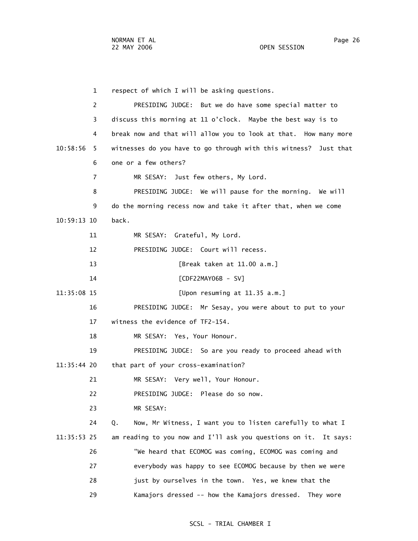1 respect of which I will be asking questions. 2 PRESIDING JUDGE: But we do have some special matter to 3 discuss this morning at 11 o'clock. Maybe the best way is to 4 break now and that will allow you to look at that. How many more 10:58:56 5 witnesses do you have to go through with this witness? Just that 6 one or a few others? 7 MR SESAY: Just few others, My Lord. 8 PRESIDING JUDGE: We will pause for the morning. We will 9 do the morning recess now and take it after that, when we come 10:59:13 10 back. 11 MR SESAY: Grateful, My Lord. 12 PRESIDING JUDGE: Court will recess. 13 [Break taken at 11.00 a.m.] 14 [CDF22MAY06B - SV] 11:35:08 15 [Upon resuming at 11.35 a.m.] 16 PRESIDING JUDGE: Mr Sesay, you were about to put to your 17 witness the evidence of TF2-154. 18 MR SESAY: Yes, Your Honour. 19 PRESIDING JUDGE: So are you ready to proceed ahead with 11:35:44 20 that part of your cross-examination? 21 MR SESAY: Very well, Your Honour. 22 PRESIDING JUDGE: Please do so now. 23 MR SESAY: 24 Q. Now, Mr Witness, I want you to listen carefully to what I 11:35:53 25 am reading to you now and I'll ask you questions on it. It says: 26 "We heard that ECOMOG was coming, ECOMOG was coming and 27 everybody was happy to see ECOMOG because by then we were 28 just by ourselves in the town. Yes, we knew that the 29 Kamajors dressed -- how the Kamajors dressed. They wore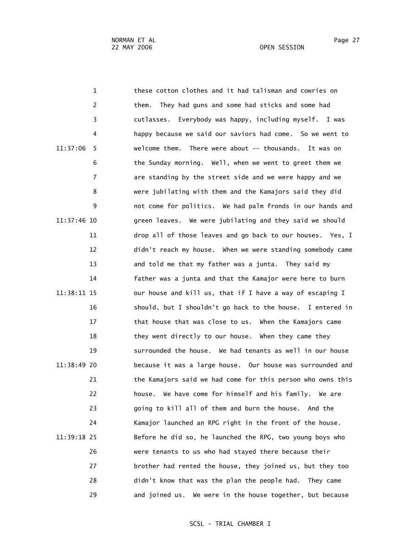1 these cotton clothes and it had talisman and cowries on 2 them. They had guns and some had sticks and some had 3 cutlasses. Everybody was happy, including myself. I was 4 happy because we said our saviors had come. So we went to 11:37:06 5 welcome them. There were about -- thousands. It was on 6 the Sunday morning. Well, when we went to greet them we 7 are standing by the street side and we were happy and we 8 were jubilating with them and the Kamajors said they did 9 not come for politics. We had palm fronds in our hands and 11:37:46 10 green leaves. We were jubilating and they said we should 11 drop all of those leaves and go back to our houses. Yes, I 12 didn't reach my house. When we were standing somebody came 13 and told me that my father was a junta. They said my 14 father was a junta and that the Kamajor were here to burn 11:38:11 15 our house and kill us, that if I have a way of escaping I 16 should, but I shouldn't go back to the house. I entered in 17 that house that was close to us. When the Kamajors came 18 they went directly to our house. When they came they 19 surrounded the house. We had tenants as well in our house 11:38:49 20 because it was a large house. Our house was surrounded and 21 the Kamajors said we had come for this person who owns this 22 house. We have come for himself and his family. We are 23 going to kill all of them and burn the house. And the 24 Kamajor launched an RPG right in the front of the house. 11:39:18 25 Before he did so, he launched the RPG, two young boys who 26 were tenants to us who had stayed there because their 27 brother had rented the house, they joined us, but they too 28 didn't know that was the plan the people had. They came 29 and joined us. We were in the house together, but because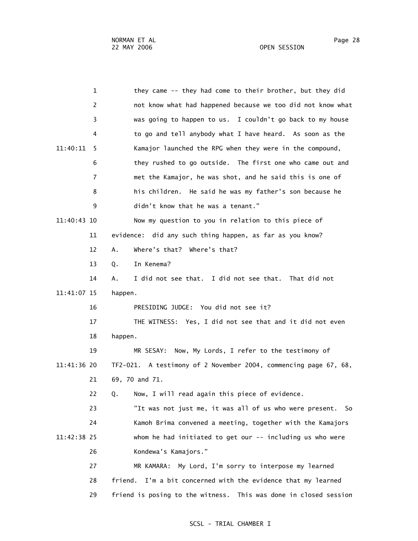1 they came -- they had come to their brother, but they did 2 not know what had happened because we too did not know what 3 was going to happen to us. I couldn't go back to my house 4 to go and tell anybody what I have heard. As soon as the 11:40:11 5 Kamajor launched the RPG when they were in the compound, 6 they rushed to go outside. The first one who came out and 7 met the Kamajor, he was shot, and he said this is one of 8 his children. He said he was my father's son because he 9 didn't know that he was a tenant." 11:40:43 10 Now my question to you in relation to this piece of 11 evidence: did any such thing happen, as far as you know? 12 A. Where's that? Where's that? 13 Q. In Kenema? 14 A. I did not see that. I did not see that. That did not 11:41:07 15 happen. 16 PRESIDING JUDGE: You did not see it? 17 THE WITNESS: Yes, I did not see that and it did not even 18 happen. 19 MR SESAY: Now, My Lords, I refer to the testimony of 11:41:36 20 TF2-021. A testimony of 2 November 2004, commencing page 67, 68, 21 69, 70 and 71. 22 Q. Now, I will read again this piece of evidence. 23 "It was not just me, it was all of us who were present. So 24 Kamoh Brima convened a meeting, together with the Kamajors 11:42:38 25 whom he had initiated to get our -- including us who were 26 Kondewa's Kamajors." 27 MR KAMARA: My Lord, I'm sorry to interpose my learned 28 friend. I'm a bit concerned with the evidence that my learned

29 friend is posing to the witness. This was done in closed session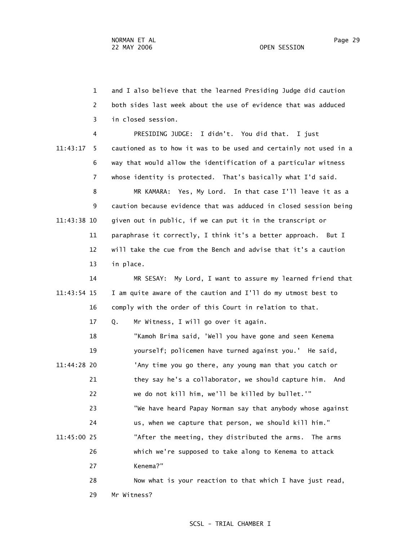1 and I also believe that the learned Presiding Judge did caution 2 both sides last week about the use of evidence that was adduced 3 in closed session.

 4 PRESIDING JUDGE: I didn't. You did that. I just 11:43:17 5 cautioned as to how it was to be used and certainly not used in a 6 way that would allow the identification of a particular witness 7 whose identity is protected. That's basically what I'd said.

 8 MR KAMARA: Yes, My Lord. In that case I'll leave it as a 9 caution because evidence that was adduced in closed session being 11:43:38 10 given out in public, if we can put it in the transcript or 11 paraphrase it correctly, I think it's a better approach. But I 12 will take the cue from the Bench and advise that it's a caution 13 in place.

 14 MR SESAY: My Lord, I want to assure my learned friend that 11:43:54 15 I am quite aware of the caution and I'll do my utmost best to 16 comply with the order of this Court in relation to that.

17 Q. Mr Witness, I will go over it again.

 18 "Kamoh Brima said, 'Well you have gone and seen Kenema 19 yourself; policemen have turned against you.' He said, 11:44:28 20 'Any time you go there, any young man that you catch or 21 they say he's a collaborator, we should capture him. And 22 we do not kill him, we'll be killed by bullet.'" 23 "We have heard Papay Norman say that anybody whose against 24 us, when we capture that person, we should kill him." 11:45:00 25 "After the meeting, they distributed the arms. The arms 26 which we're supposed to take along to Kenema to attack 27 Kenema?" 28 Now what is your reaction to that which I have just read,

29 Mr Witness?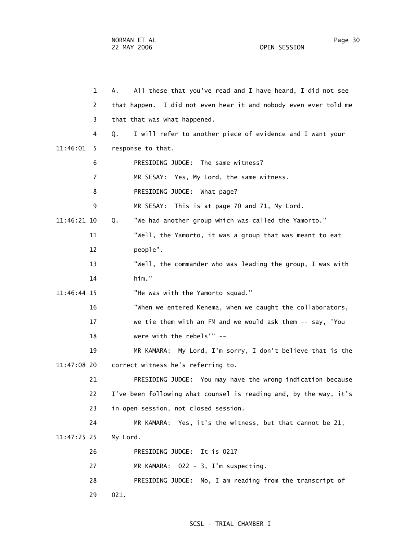1 A. All these that you've read and I have heard, I did not see 2 that happen. I did not even hear it and nobody even ever told me 3 that that was what happened. 4 Q. I will refer to another piece of evidence and I want your 11:46:01 5 response to that. 6 PRESIDING JUDGE: The same witness? 7 MR SESAY: Yes, My Lord, the same witness. 8 PRESIDING JUDGE: What page? 9 MR SESAY: This is at page 70 and 71, My Lord. 11:46:21 10 Q. "We had another group which was called the Yamorto." 11 "Well, the Yamorto, it was a group that was meant to eat 12 people". 13 "Well, the commander who was leading the group, I was with 14 him." 11:46:44 15 "He was with the Yamorto squad." 16 "When we entered Kenema, when we caught the collaborators, 17 we tie them with an FM and we would ask them -- say, 'You 18 were with the rebels'" -- 19 MR KAMARA: My Lord, I'm sorry, I don't believe that is the 11:47:08 20 correct witness he's referring to. 21 PRESIDING JUDGE: You may have the wrong indication because 22 I've been following what counsel is reading and, by the way, it's 23 in open session, not closed session. 24 MR KAMARA: Yes, it's the witness, but that cannot be 21, 11:47:25 25 My Lord. 26 PRESIDING JUDGE: It is 021? 27 MR KAMARA: 022 - 3, I'm suspecting. 28 PRESIDING JUDGE: No, I am reading from the transcript of 29 021.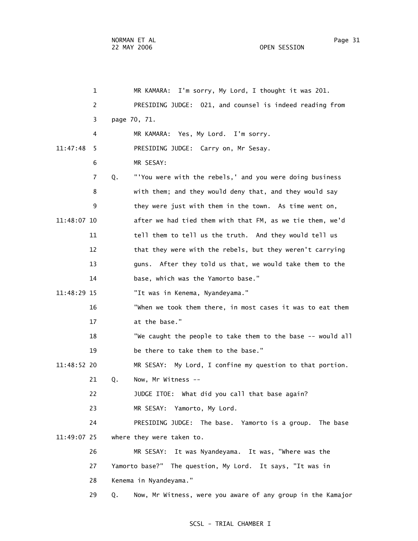1 MR KAMARA: I'm sorry, My Lord, I thought it was 201. 2 PRESIDING JUDGE: 021, and counsel is indeed reading from 3 page 70, 71. 4 MR KAMARA: Yes, My Lord. I'm sorry. 11:47:48 5 PRESIDING JUDGE: Carry on, Mr Sesay. 6 MR SESAY: 7 Q. "'You were with the rebels,' and you were doing business 8 with them; and they would deny that, and they would say 9 they were just with them in the town. As time went on, 11:48:07 10 after we had tied them with that FM, as we tie them, we'd 11 tell them to tell us the truth. And they would tell us 12 that they were with the rebels, but they weren't carrying 13 guns. After they told us that, we would take them to the 14 base, which was the Yamorto base." 11:48:29 15 "It was in Kenema, Nyandeyama." 16 "When we took them there, in most cases it was to eat them 17 at the base." 18 "We caught the people to take them to the base -- would all 19 be there to take them to the base." 11:48:52 20 MR SESAY: My Lord, I confine my question to that portion. 21 Q. Now, Mr Witness -- 22 JUDGE ITOE: What did you call that base again? 23 MR SESAY: Yamorto, My Lord. 24 PRESIDING JUDGE: The base. Yamorto is a group. The base 11:49:07 25 where they were taken to. 26 MR SESAY: It was Nyandeyama. It was, "Where was the 27 Yamorto base?" The question, My Lord. It says, "It was in 28 Kenema in Nyandeyama." 29 Q. Now, Mr Witness, were you aware of any group in the Kamajor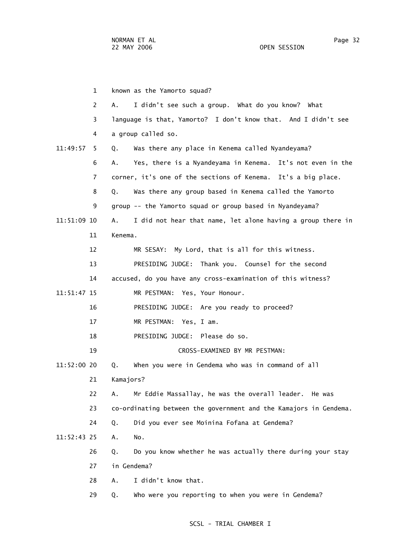1 known as the Yamorto squad? 2 A. I didn't see such a group. What do you know? What 3 language is that, Yamorto? I don't know that. And I didn't see 4 a group called so. 11:49:57 5 Q. Was there any place in Kenema called Nyandeyama? 6 A. Yes, there is a Nyandeyama in Kenema. It's not even in the 7 corner, it's one of the sections of Kenema. It's a big place. 8 Q. Was there any group based in Kenema called the Yamorto 9 group -- the Yamorto squad or group based in Nyandeyama? 11:51:09 10 A. I did not hear that name, let alone having a group there in 11 Kenema. 12 MR SESAY: My Lord, that is all for this witness. 13 PRESIDING JUDGE: Thank you. Counsel for the second 14 accused, do you have any cross-examination of this witness? 11:51:47 15 MR PESTMAN: Yes, Your Honour. 16 PRESIDING JUDGE: Are you ready to proceed? 17 MR PESTMAN: Yes, I am. 18 PRESIDING JUDGE: Please do so. 19 CROSS-EXAMINED BY MR PESTMAN: 11:52:00 20 Q. When you were in Gendema who was in command of all 21 Kamajors? 22 A. Mr Eddie Massallay, he was the overall leader. He was 23 co-ordinating between the government and the Kamajors in Gendema. 24 Q. Did you ever see Moinina Fofana at Gendema? 11:52:43 25 A. No. 26 Q. Do you know whether he was actually there during your stay 27 in Gendema? 28 A. I didn't know that. 29 Q. Who were you reporting to when you were in Gendema?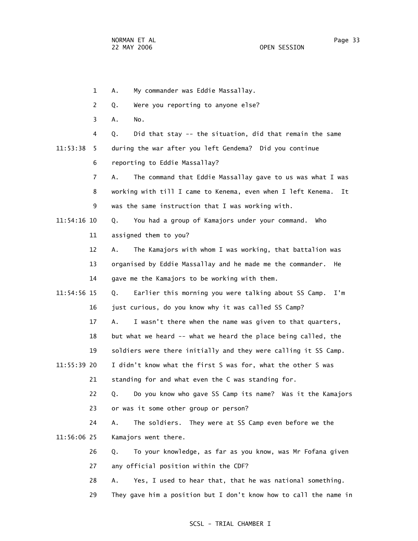1 A. My commander was Eddie Massallay. 2 Q. Were you reporting to anyone else? 3 A. No. 4 Q. Did that stay -- the situation, did that remain the same 11:53:38 5 during the war after you left Gendema? Did you continue 6 reporting to Eddie Massallay? 7 A. The command that Eddie Massallay gave to us was what I was 8 working with till I came to Kenema, even when I left Kenema. It 9 was the same instruction that I was working with. 11:54:16 10 Q. You had a group of Kamajors under your command. Who 11 assigned them to you? 12 A. The Kamajors with whom I was working, that battalion was 13 organised by Eddie Massallay and he made me the commander. He 14 gave me the Kamajors to be working with them. 11:54:56 15 Q. Earlier this morning you were talking about SS Camp. I'm 16 just curious, do you know why it was called SS Camp? 17 A. I wasn't there when the name was given to that quarters, 18 but what we heard -- what we heard the place being called, the 19 soldiers were there initially and they were calling it SS Camp. 11:55:39 20 I didn't know what the first S was for, what the other S was 21 standing for and what even the C was standing for. 22 Q. Do you know who gave SS Camp its name? Was it the Kamajors 23 or was it some other group or person? 24 A. The soldiers. They were at SS Camp even before we the 11:56:06 25 Kamajors went there. 26 Q. To your knowledge, as far as you know, was Mr Fofana given 27 any official position within the CDF? 28 A. Yes, I used to hear that, that he was national something. 29 They gave him a position but I don't know how to call the name in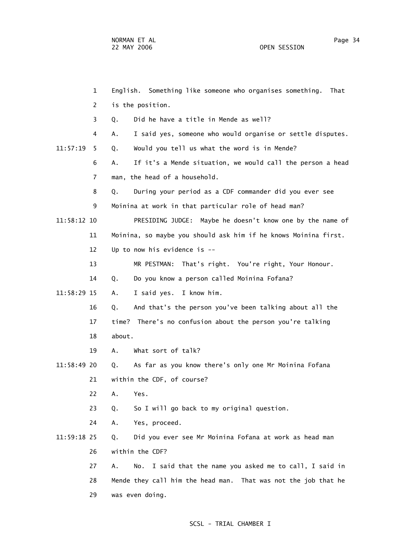1 English. Something like someone who organises something. That 2 is the position. 3 Q. Did he have a title in Mende as well? 4 A. I said yes, someone who would organise or settle disputes. 11:57:19 5 Q. Would you tell us what the word is in Mende? 6 A. If it's a Mende situation, we would call the person a head 7 man, the head of a household. 8 Q. During your period as a CDF commander did you ever see 9 Moinina at work in that particular role of head man? 11:58:12 10 PRESIDING JUDGE: Maybe he doesn't know one by the name of 11 Moinina, so maybe you should ask him if he knows Moinina first. 12 Up to now his evidence is -- 13 MR PESTMAN: That's right. You're right, Your Honour. 14 Q. Do you know a person called Moinina Fofana? 11:58:29 15 A. I said yes. I know him. 16 Q. And that's the person you've been talking about all the 17 time? There's no confusion about the person you're talking 18 about. 19 A. What sort of talk? 11:58:49 20 Q. As far as you know there's only one Mr Moinina Fofana 21 within the CDF, of course? 22 A. Yes. 23 Q. So I will go back to my original question. 24 A. Yes, proceed. 11:59:18 25 Q. Did you ever see Mr Moinina Fofana at work as head man 26 within the CDF? 27 A. No. I said that the name you asked me to call, I said in 28 Mende they call him the head man. That was not the job that he 29 was even doing.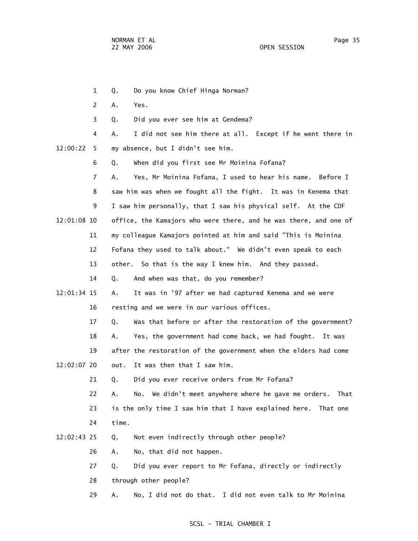1 Q. Do you know Chief Hinga Norman? 2 A. Yes. 3 Q. Did you ever see him at Gendema? 4 A. I did not see him there at all. Except if he went there in 12:00:22 5 my absence, but I didn't see him. 6 Q. When did you first see Mr Moinina Fofana? 7 A. Yes, Mr Moinina Fofana, I used to hear his name. Before I 8 saw him was when we fought all the fight. It was in Kenema that 9 I saw him personally, that I saw his physical self. At the CDF 12:01:08 10 office, the Kamajors who were there, and he was there, and one of 11 my colleague Kamajors pointed at him and said "This is Moinina 12 Fofana they used to talk about." We didn't even speak to each 13 other. So that is the way I knew him. And they passed. 14 Q. And when was that, do you remember? 12:01:34 15 A. It was in '97 after we had captured Kenema and we were 16 resting and we were in our various offices. 17 Q. Was that before or after the restoration of the government? 18 A. Yes, the government had come back, we had fought. It was 19 after the restoration of the government when the elders had come 12:02:07 20 out. It was then that I saw him. 21 Q. Did you ever receive orders from Mr Fofana? 22 A. No. We didn't meet anywhere where he gave me orders. That 23 is the only time I saw him that I have explained here. That one 24 time. 12:02:43 25 Q. Not even indirectly through other people? 26 A. No, that did not happen. 27 Q. Did you ever report to Mr Fofana, directly or indirectly 28 through other people?

29 A. No, I did not do that. I did not even talk to Mr Moinina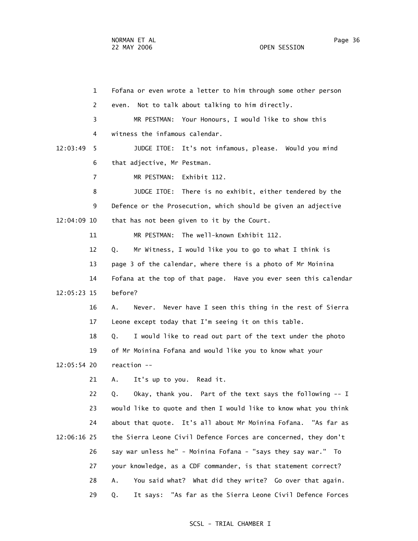1 Fofana or even wrote a letter to him through some other person 2 even. Not to talk about talking to him directly. 3 MR PESTMAN: Your Honours, I would like to show this 4 witness the infamous calendar. 12:03:49 5 JUDGE ITOE: It's not infamous, please. Would you mind 6 that adjective, Mr Pestman. 7 MR PESTMAN: Exhibit 112. 8 JUDGE ITOE: There is no exhibit, either tendered by the 9 Defence or the Prosecution, which should be given an adjective 12:04:09 10 that has not been given to it by the Court. 11 MR PESTMAN: The well-known Exhibit 112. 12 Q. Mr Witness, I would like you to go to what I think is 13 page 3 of the calendar, where there is a photo of Mr Moinina 14 Fofana at the top of that page. Have you ever seen this calendar 12:05:23 15 before? 16 A. Never. Never have I seen this thing in the rest of Sierra 17 Leone except today that I'm seeing it on this table. 18 Q. I would like to read out part of the text under the photo 19 of Mr Moinina Fofana and would like you to know what your 12:05:54 20 reaction -- 21 A. It's up to you. Read it. 22 Q. Okay, thank you. Part of the text says the following -- I 23 would like to quote and then I would like to know what you think 24 about that quote. It's all about Mr Moinina Fofana. "As far as 12:06:16 25 the Sierra Leone Civil Defence Forces are concerned, they don't 26 say war unless he" - Moinina Fofana - "says they say war." To 27 your knowledge, as a CDF commander, is that statement correct? 28 A. You said what? What did they write? Go over that again. 29 Q. It says: "As far as the Sierra Leone Civil Defence Forces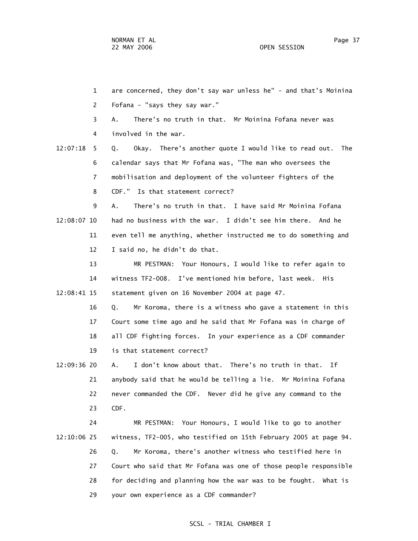1 are concerned, they don't say war unless he" - and that's Moinina 2 Fofana - "says they say war." 3 A. There's no truth in that. Mr Moinina Fofana never was 4 involved in the war. 12:07:18 5 Q. Okay. There's another quote I would like to read out. The 6 calendar says that Mr Fofana was, "The man who oversees the 7 mobilisation and deployment of the volunteer fighters of the 8 CDF." Is that statement correct? 9 A. There's no truth in that. I have said Mr Moinina Fofana 12:08:07 10 had no business with the war. I didn't see him there. And he 11 even tell me anything, whether instructed me to do something and 12 I said no, he didn't do that. 13 MR PESTMAN: Your Honours, I would like to refer again to 14 witness TF2-008. I've mentioned him before, last week. His 12:08:41 15 statement given on 16 November 2004 at page 47. 16 Q. Mr Koroma, there is a witness who gave a statement in this 17 Court some time ago and he said that Mr Fofana was in charge of 18 all CDF fighting forces. In your experience as a CDF commander 19 is that statement correct? 12:09:36 20 A. I don't know about that. There's no truth in that. If 21 anybody said that he would be telling a lie. Mr Moinina Fofana 22 never commanded the CDF. Never did he give any command to the 23 CDF. 24 MR PESTMAN: Your Honours, I would like to go to another 12:10:06 25 witness, TF2-005, who testified on 15th February 2005 at page 94. 26 Q. Mr Koroma, there's another witness who testified here in

 27 Court who said that Mr Fofana was one of those people responsible 28 for deciding and planning how the war was to be fought. What is 29 your own experience as a CDF commander?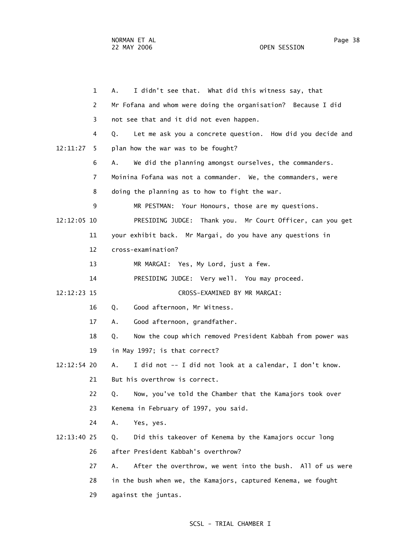|             | 1  | I didn't see that. What did this witness say, that<br>А.         |
|-------------|----|------------------------------------------------------------------|
|             | 2  | Mr Fofana and whom were doing the organisation? Because I did    |
|             | 3  | not see that and it did not even happen.                         |
|             | 4  | Let me ask you a concrete question. How did you decide and<br>Q. |
| 12:11:27    | 5. | plan how the war was to be fought?                               |
|             | 6  | We did the planning amongst ourselves, the commanders.<br>А.     |
|             | 7  | Moinina Fofana was not a commander. We, the commanders, were     |
|             | 8  | doing the planning as to how to fight the war.                   |
|             | 9  | MR PESTMAN: Your Honours, those are my questions.                |
| 12:12:05 10 |    | PRESIDING JUDGE: Thank you. Mr Court Officer, can you get        |
|             | 11 | your exhibit back. Mr Margai, do you have any questions in       |
|             | 12 | cross-examination?                                               |
|             | 13 | MR MARGAI: Yes, My Lord, just a few.                             |
|             | 14 | PRESIDING JUDGE: Very well. You may proceed.                     |
| 12:12:23 15 |    | CROSS-EXAMINED BY MR MARGAI:                                     |
|             | 16 | Good afternoon, Mr Witness.<br>Q.                                |
|             | 17 | Good afternoon, grandfather.<br>А.                               |
|             | 18 | Now the coup which removed President Kabbah from power was<br>Q. |
|             | 19 | in May 1997; is that correct?                                    |
| 12:12:54 20 |    | Α.<br>I did not -- I did not look at a calendar, I don't know.   |
|             | 21 | But his overthrow is correct.                                    |
|             | 22 | Now, you've told the Chamber that the Kamajors took over<br>Q.   |
|             | 23 | Kenema in February of 1997, you said.                            |
|             | 24 | Yes, yes.<br>Α.                                                  |
| 12:13:40 25 |    | Did this takeover of Kenema by the Kamajors occur long<br>Q.     |
|             | 26 | after President Kabbah's overthrow?                              |
|             | 27 | After the overthrow, we went into the bush. All of us were<br>Α. |
|             | 28 | in the bush when we, the Kamajors, captured Kenema, we fought    |
|             | 29 | against the juntas.                                              |
|             |    |                                                                  |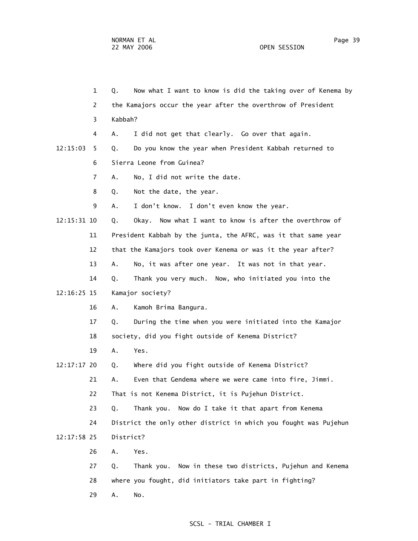1 Q. Now what I want to know is did the taking over of Kenema by 2 the Kamajors occur the year after the overthrow of President 3 Kabbah? 4 A. I did not get that clearly. Go over that again. 12:15:03 5 Q. Do you know the year when President Kabbah returned to 6 Sierra Leone from Guinea? 7 A. No, I did not write the date. 8 Q. Not the date, the year. 9 A. I don't know. I don't even know the year. 12:15:31 10 Q. Okay. Now what I want to know is after the overthrow of 11 President Kabbah by the junta, the AFRC, was it that same year 12 that the Kamajors took over Kenema or was it the year after? 13 A. No, it was after one year. It was not in that year. 14 Q. Thank you very much. Now, who initiated you into the 12:16:25 15 Kamajor society? 16 A. Kamoh Brima Bangura. 17 Q. During the time when you were initiated into the Kamajor 18 society, did you fight outside of Kenema District? 19 A. Yes. 12:17:17 20 Q. Where did you fight outside of Kenema District? 21 A. Even that Gendema where we were came into fire, Jimmi. 22 That is not Kenema District, it is Pujehun District. 23 Q. Thank you. Now do I take it that apart from Kenema 24 District the only other district in which you fought was Pujehun 12:17:58 25 District? 26 A. Yes. 27 Q. Thank you. Now in these two districts, Pujehun and Kenema 28 where you fought, did initiators take part in fighting? 29 A. No.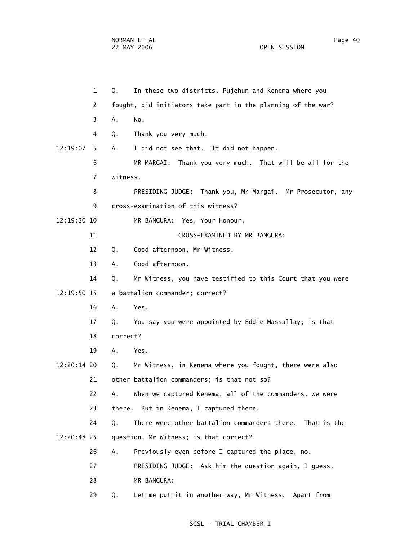|               | $\mathbf{1}$   | Q.       | In these two districts, Pujehun and Kenema where you         |
|---------------|----------------|----------|--------------------------------------------------------------|
|               | 2              |          | fought, did initiators take part in the planning of the war? |
|               | 3              | Α.       | No.                                                          |
|               | 4              | Q.       | Thank you very much.                                         |
| 12:19:07      | 5.             | А.       | I did not see that. It did not happen.                       |
|               | 6              |          | MR MARGAI: Thank you very much. That will be all for the     |
|               | $\overline{7}$ | witness. |                                                              |
|               | 8              |          | PRESIDING JUDGE: Thank you, Mr Margai. Mr Prosecutor, any    |
|               | 9              |          | cross-examination of this witness?                           |
| 12:19:30 10   |                |          | MR BANGURA: Yes, Your Honour.                                |
|               | 11             |          | CROSS-EXAMINED BY MR BANGURA:                                |
|               | 12             | Q.       | Good afternoon, Mr Witness.                                  |
|               | 13             | А.       | Good afternoon.                                              |
|               | 14             | Q.       | Mr Witness, you have testified to this Court that you were   |
| $12:19:50$ 15 |                |          | a battalion commander; correct?                              |
|               | 16             | Α.       | Yes.                                                         |
|               | 17             | Q.       | You say you were appointed by Eddie Massallay; is that       |
|               | 18             | correct? |                                                              |
|               | 19             | A.       | Yes.                                                         |
| 12:20:14 20   |                | Q.       | Mr Witness, in Kenema where you fought, there were also      |
|               | 21             |          | other battalion commanders; is that not so?                  |
|               | 22             | Α.       | When we captured Kenema, all of the commanders, we were      |
|               | 23             | there.   | But in Kenema, I captured there.                             |
|               | 24             | Q.       | There were other battalion commanders there. That is the     |
| 12:20:48 25   |                |          | question, Mr Witness; is that correct?                       |
|               | 26             | Α.       | Previously even before I captured the place, no.             |
|               | 27             |          | PRESIDING JUDGE: Ask him the question again, I guess.        |
|               | 28             |          | MR BANGURA:                                                  |
|               | 29             | Q.       | Let me put it in another way, Mr Witness. Apart from         |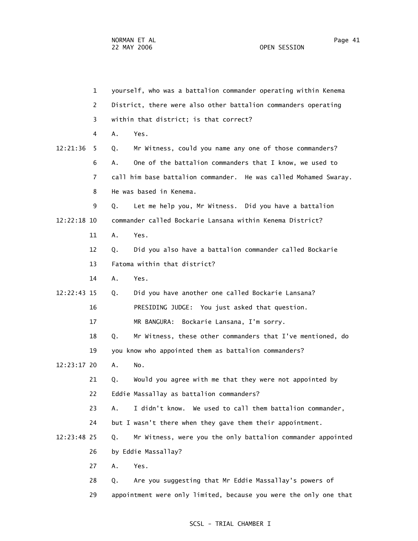| 1              | yourself, who was a battalion commander operating within Kenema   |
|----------------|-------------------------------------------------------------------|
| 2              | District, there were also other battalion commanders operating    |
| 3              | within that district; is that correct?                            |
| 4              | Α.<br>Yes.                                                        |
| 12:21:36<br>5. | Mr Witness, could you name any one of those commanders?<br>Q.     |
| 6              | One of the battalion commanders that I know, we used to<br>А.     |
| 7              | call him base battalion commander. He was called Mohamed Swaray.  |
| 8              | He was based in Kenema.                                           |
| 9              | Let me help you, Mr Witness. Did you have a battalion<br>Q.       |
| 12:22:18 10    | commander called Bockarie Lansana within Kenema District?         |
| 11             | Yes.<br>Α.                                                        |
| 12             | Did you also have a battalion commander called Bockarie<br>Q.     |
| 13             | Fatoma within that district?                                      |
| 14             | Yes.<br>Α.                                                        |
| 12:22:43 15    | Did you have another one called Bockarie Lansana?<br>Q.           |
| 16             | PRESIDING JUDGE: You just asked that question.                    |
| 17             | MR BANGURA:<br>Bockarie Lansana, I'm sorry.                       |
| 18             | Mr Witness, these other commanders that I've mentioned, do<br>Q.  |
| 19             | you know who appointed them as battalion commanders?              |
| 12:23:17 20    | Α.<br>No.                                                         |
| 21             | Would you agree with me that they were not appointed by<br>Q.     |
| 22             | Eddie Massallay as battalion commanders?                          |
| 23             | I didn't know. We used to call them battalion commander,<br>Α.    |
| 24             | but I wasn't there when they gave them their appointment.         |
| 12:23:48 25    | Mr Witness, were you the only battalion commander appointed<br>Q. |
| 26             | by Eddie Massallay?                                               |
| 27             | Α.<br>Yes.                                                        |
| 28             | Are you suggesting that Mr Eddie Massallay's powers of<br>Q.      |
| 29             | appointment were only limited, because you were the only one that |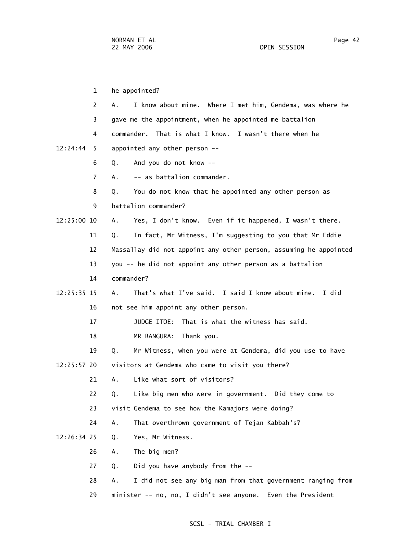1 he appointed? 2 A. I know about mine. Where I met him, Gendema, was where he 3 gave me the appointment, when he appointed me battalion 4 commander. That is what I know. I wasn't there when he 12:24:44 5 appointed any other person -- 6 Q. And you do not know -- 7 A. -- as battalion commander. 8 Q. You do not know that he appointed any other person as 9 battalion commander? 12:25:00 10 A. Yes, I don't know. Even if it happened, I wasn't there. 11 Q. In fact, Mr Witness, I'm suggesting to you that Mr Eddie 12 Massallay did not appoint any other person, assuming he appointed 13 you -- he did not appoint any other person as a battalion 14 commander? 12:25:35 15 A. That's what I've said. I said I know about mine. I did 16 not see him appoint any other person. 17 JUDGE ITOE: That is what the witness has said. 18 MR BANGURA: Thank you. 19 Q. Mr Witness, when you were at Gendema, did you use to have 12:25:57 20 visitors at Gendema who came to visit you there? 21 A. Like what sort of visitors? 22 Q. Like big men who were in government. Did they come to 23 visit Gendema to see how the Kamajors were doing? 24 A. That overthrown government of Tejan Kabbah's? 12:26:34 25 Q. Yes, Mr Witness. 26 A. The big men? 27 Q. Did you have anybody from the -- 28 A. I did not see any big man from that government ranging from 29 minister -- no, no, I didn't see anyone. Even the President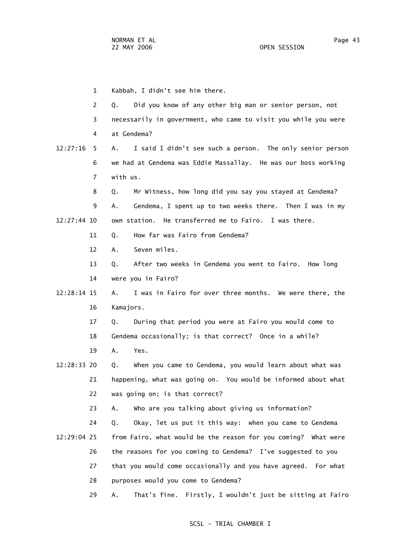|             | 1  | Kabbah, I didn't see him there.                                 |
|-------------|----|-----------------------------------------------------------------|
|             | 2  | Did you know of any other big man or senior person, not<br>Q.   |
|             | 3  | necessarily in government, who came to visit you while you were |
|             | 4  | at Gendema?                                                     |
| 12:27:16    | 5. | I said I didn't see such a person. The only senior person<br>А. |
|             | 6  | we had at Gendema was Eddie Massallay. He was our boss working  |
|             | 7  | with us.                                                        |
|             | 8  | Mr Witness, how long did you say you stayed at Gendema?<br>Q.   |
|             | 9  | Gendema, I spent up to two weeks there. Then I was in my<br>А.  |
| 12:27:44 10 |    | own station. He transferred me to Fairo. I was there.           |
|             | 11 | How far was Fairo from Gendema?<br>Q.                           |
| 12          |    | Seven miles.<br>А.                                              |
| 13          |    | After two weeks in Gendema you went to Fairo. How long<br>Q.    |
| 14          |    | were you in Fairo?                                              |
| 12:28:14 15 |    | I was in Fairo for over three months. We were there, the<br>А.  |
| 16          |    | Kamajors.                                                       |
| 17          |    | During that period you were at Fairo you would come to<br>Q.    |
| 18          |    | Gendema occasionally; is that correct? Once in a while?         |
| 19          |    | Α.<br>Yes.                                                      |
| 12:28:33 20 |    | When you came to Gendema, you would learn about what was<br>Q.  |
|             | 21 | happening, what was going on. You would be informed about what  |
| 22          |    | was going on; is that correct?                                  |
|             | 23 | Who are you talking about giving us information?<br>А.          |
| 24          |    | Okay, let us put it this way: when you came to Gendema<br>Q.    |
| 12:29:04 25 |    | from Fairo, what would be the reason for you coming? What were  |
| 26          |    | the reasons for you coming to Gendema? I've suggested to you    |
|             | 27 | that you would come occasionally and you have agreed. For what  |
| 28          |    | purposes would you come to Gendema?                             |
|             | 29 | That's fine. Firstly, I wouldn't just be sitting at Fairo<br>Α. |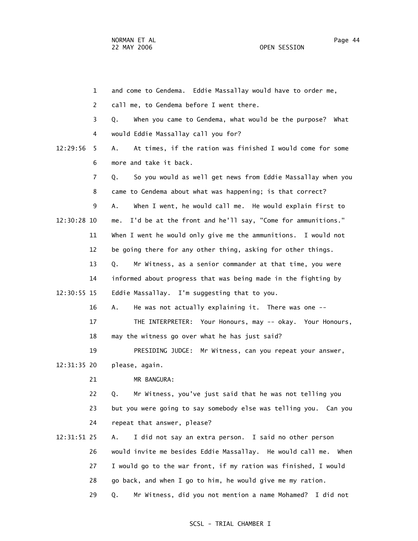| 1             | and come to Gendema. Eddie Massallay would have to order me,       |
|---------------|--------------------------------------------------------------------|
| 2             | call me, to Gendema before I went there.                           |
| 3             | When you came to Gendema, what would be the purpose?<br>Q.<br>What |
| 4             | would Eddie Massallay call you for?                                |
| 12:29:56<br>5 | At times, if the ration was finished I would come for some<br>Α.   |
| 6             | more and take it back.                                             |
| 7             | So you would as well get news from Eddie Massallay when you<br>Q.  |
| 8             | came to Gendema about what was happening; is that correct?         |
| 9             | When I went, he would call me. He would explain first to<br>Α.     |
| 12:30:28 10   | I'd be at the front and he'll say, "Come for ammunitions."<br>me.  |
| 11            | When I went he would only give me the ammunitions. I would not     |
| 12            | be going there for any other thing, asking for other things.       |
| 13            | Mr Witness, as a senior commander at that time, you were<br>Q.     |
| 14            | informed about progress that was being made in the fighting by     |
| 12:30:55 15   | Eddie Massallay. I'm suggesting that to you.                       |
| 16            | He was not actually explaining it. There was one --<br>Α.          |
| 17            | THE INTERPRETER: Your Honours, may -- okay. Your Honours,          |
| 18            | may the witness go over what he has just said?                     |
| 19            | PRESIDING JUDGE: Mr Witness, can you repeat your answer,           |
| 12:31:35 20   | please, again.                                                     |
| 21            | MR BANGURA:                                                        |
| 22            | Mr Witness, you've just said that he was not telling you<br>Q.     |
| 23            | but you were going to say somebody else was telling you. Can you   |
| 24            | repeat that answer, please?                                        |
| 12:31:51 25   | I did not say an extra person. I said no other person<br>Α.        |
| 26            | would invite me besides Eddie Massallay. He would call me.<br>When |
| 27            | I would go to the war front, if my ration was finished, I would    |
| 28            | go back, and when I go to him, he would give me my ration.         |
| 29            | Mr Witness, did you not mention a name Mohamed? I did not<br>Q.    |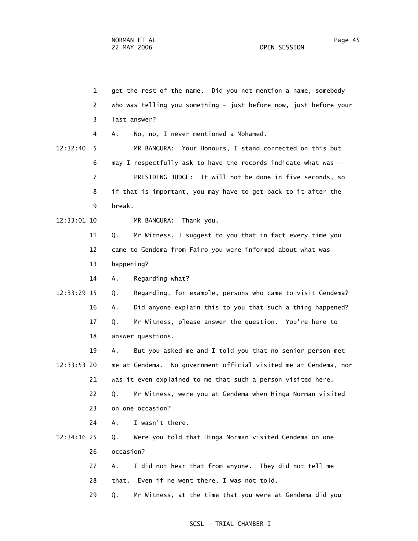1 get the rest of the name. Did you not mention a name, somebody 2 who was telling you something - just before now, just before your 3 last answer? 4 A. No, no, I never mentioned a Mohamed. 12:32:40 5 MR BANGURA: Your Honours, I stand corrected on this but 6 may I respectfully ask to have the records indicate what was -- 7 PRESIDING JUDGE: It will not be done in five seconds, so 8 if that is important, you may have to get back to it after the 9 break. 12:33:01 10 MR BANGURA: Thank you. 11 Q. Mr Witness, I suggest to you that in fact every time you 12 came to Gendema from Fairo you were informed about what was 13 happening? 14 A. Regarding what? 12:33:29 15 Q. Regarding, for example, persons who came to visit Gendema? 16 A. Did anyone explain this to you that such a thing happened? 17 Q. Mr Witness, please answer the question. You're here to 18 answer questions. 19 A. But you asked me and I told you that no senior person met 12:33:53 20 me at Gendema. No government official visited me at Gendema, nor 21 was it even explained to me that such a person visited here. 22 Q. Mr Witness, were you at Gendema when Hinga Norman visited 23 on one occasion? 24 A. I wasn't there. 12:34:16 25 Q. Were you told that Hinga Norman visited Gendema on one 26 occasion? 27 A. I did not hear that from anyone. They did not tell me 28 that. Even if he went there, I was not told. 29 Q. Mr Witness, at the time that you were at Gendema did you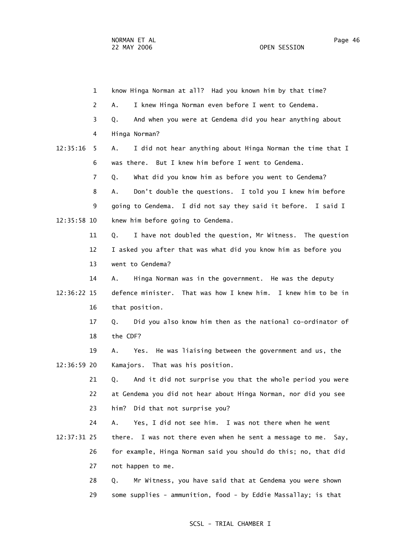1 know Hinga Norman at all? Had you known him by that time? 2 A. I knew Hinga Norman even before I went to Gendema. 3 Q. And when you were at Gendema did you hear anything about 4 Hinga Norman? 12:35:16 5 A. I did not hear anything about Hinga Norman the time that I 6 was there. But I knew him before I went to Gendema. 7 Q. What did you know him as before you went to Gendema? 8 A. Don't double the questions. I told you I knew him before 9 going to Gendema. I did not say they said it before. I said I 12:35:58 10 knew him before going to Gendema. 11 Q. I have not doubled the question, Mr Witness. The question 12 I asked you after that was what did you know him as before you 13 went to Gendema? 14 A. Hinga Norman was in the government. He was the deputy 12:36:22 15 defence minister. That was how I knew him. I knew him to be in 16 that position. 17 Q. Did you also know him then as the national co-ordinator of 18 the CDF? 19 A. Yes. He was liaising between the government and us, the 12:36:59 20 Kamajors. That was his position. 21 Q. And it did not surprise you that the whole period you were 22 at Gendema you did not hear about Hinga Norman, nor did you see 23 him? Did that not surprise you? 24 A. Yes, I did not see him. I was not there when he went 12:37:31 25 there. I was not there even when he sent a message to me. Say, 26 for example, Hinga Norman said you should do this; no, that did 27 not happen to me. 28 Q. Mr Witness, you have said that at Gendema you were shown 29 some supplies - ammunition, food - by Eddie Massallay; is that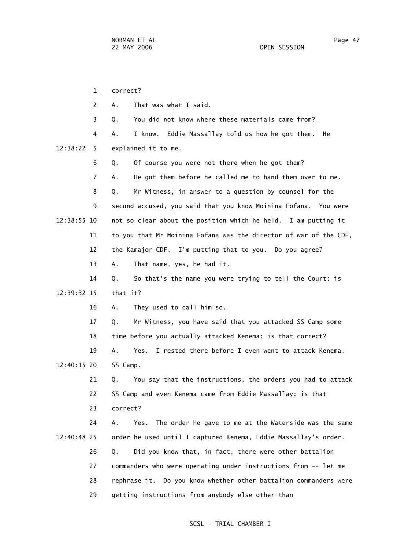1 correct? 2 A. That was what I said. 3 Q. You did not know where these materials came from? 4 A. I know. Eddie Massallay told us how he got them. He 12:38:22 5 explained it to me. 6 Q. Of course you were not there when he got them? 7 A. He got them before he called me to hand them over to me. 8 Q. Mr Witness, in answer to a question by counsel for the 9 second accused, you said that you know Moinina Fofana. You were 12:38:55 10 not so clear about the position which he held. I am putting it 11 to you that Mr Moinina Fofana was the director of war of the CDF, 12 the Kamajor CDF. I'm putting that to you. Do you agree? 13 A. That name, yes, he had it. 14 Q. So that's the name you were trying to tell the Court; is 12:39:32 15 that it? 16 A. They used to call him so. 17 Q. Mr Witness, you have said that you attacked SS Camp some 18 time before you actually attacked Kenema; is that correct? 19 A. Yes. I rested there before I even went to attack Kenema, 12:40:15 20 SS Camp. 21 Q. You say that the instructions, the orders you had to attack 22 SS Camp and even Kenema came from Eddie Massallay; is that 23 correct? 24 A. Yes. The order he gave to me at the Waterside was the same 12:40:48 25 order he used until I captured Kenema, Eddie Massallay's order. 26 Q. Did you know that, in fact, there were other battalion 27 commanders who were operating under instructions from -- let me 28 rephrase it. Do you know whether other battalion commanders were 29 getting instructions from anybody else other than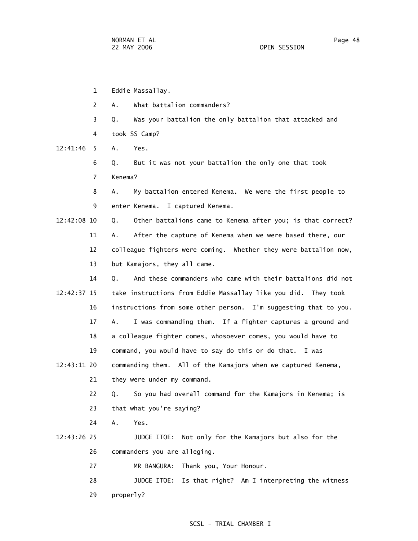- 1 Eddie Massallay.
- 2 A. What battalion commanders?
- 3 Q. Was your battalion the only battalion that attacked and 4 took SS Camp?

12:41:46 5 A. Yes.

 6 Q. But it was not your battalion the only one that took 7 Kenema?

 8 A. My battalion entered Kenema. We were the first people to 9 enter Kenema. I captured Kenema.

 12:42:08 10 Q. Other battalions came to Kenema after you; is that correct? 11 A. After the capture of Kenema when we were based there, our 12 colleague fighters were coming. Whether they were battalion now, 13 but Kamajors, they all came.

 14 Q. And these commanders who came with their battalions did not 12:42:37 15 take instructions from Eddie Massallay like you did. They took 16 instructions from some other person. I'm suggesting that to you. 17 A. I was commanding them. If a fighter captures a ground and 18 a colleague fighter comes, whosoever comes, you would have to 19 command, you would have to say do this or do that. I was

 12:43:11 20 commanding them. All of the Kamajors when we captured Kenema, 21 they were under my command.

> 22 Q. So you had overall command for the Kamajors in Kenema; is 23 that what you're saying?

24 A. Yes.

 12:43:26 25 JUDGE ITOE: Not only for the Kamajors but also for the 26 commanders you are alleging.

27 MR BANGURA: Thank you, Your Honour.

28 JUDGE ITOE: Is that right? Am I interpreting the witness

29 properly?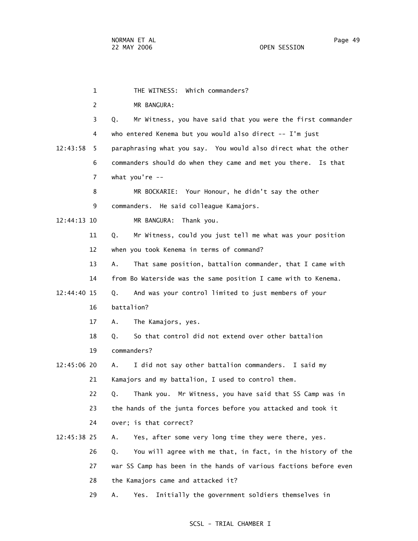1 THE WITNESS: Which commanders? 2 MR BANGURA: 3 Q. Mr Witness, you have said that you were the first commander 4 who entered Kenema but you would also direct -- I'm just 12:43:58 5 paraphrasing what you say. You would also direct what the other 6 commanders should do when they came and met you there. Is that 7 what you're -- 8 MR BOCKARIE: Your Honour, he didn't say the other 9 commanders. He said colleague Kamajors. 12:44:13 10 MR BANGURA: Thank you. 11 Q. Mr Witness, could you just tell me what was your position 12 when you took Kenema in terms of command? 13 A. That same position, battalion commander, that I came with 14 from Bo Waterside was the same position I came with to Kenema. 12:44:40 15 Q. And was your control limited to just members of your 16 battalion? 17 A. The Kamajors, yes. 18 Q. So that control did not extend over other battalion 19 commanders? 12:45:06 20 A. I did not say other battalion commanders. I said my 21 Kamajors and my battalion, I used to control them. 22 Q. Thank you. Mr Witness, you have said that SS Camp was in 23 the hands of the junta forces before you attacked and took it 24 over; is that correct? 12:45:38 25 A. Yes, after some very long time they were there, yes. 26 Q. You will agree with me that, in fact, in the history of the 27 war SS Camp has been in the hands of various factions before even 28 the Kamajors came and attacked it? 29 A. Yes. Initially the government soldiers themselves in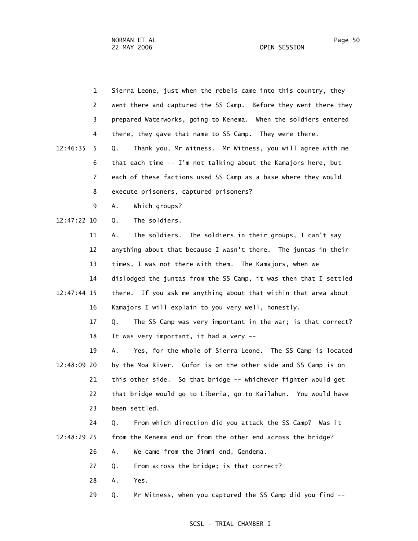|             | $\mathbf{1}$   | Sierra Leone, just when the rebels came into this country, they   |
|-------------|----------------|-------------------------------------------------------------------|
|             | 2              | went there and captured the SS Camp. Before they went there they  |
|             | 3              | prepared Waterworks, going to Kenema. When the soldiers entered   |
|             | 4              | there, they gave that name to SS Camp. They were there.           |
| 12:46:35    | 5              | Thank you, Mr Witness. Mr Witness, you will agree with me<br>Q.   |
|             | 6              | that each time -- I'm not talking about the Kamajors here, but    |
|             | $\overline{7}$ | each of these factions used SS Camp as a base where they would    |
|             | 8              | execute prisoners, captured prisoners?                            |
|             | 9              | Α.<br>Which groups?                                               |
| 12:47:22 10 |                | The soldiers.<br>Q.                                               |
|             | 11             | The soldiers. The soldiers in their groups, I can't say<br>Α.     |
|             | 12             | anything about that because I wasn't there. The juntas in their   |
|             | 13             | times, I was not there with them. The Kamajors, when we           |
|             | 14             | dislodged the juntas from the SS Camp, it was then that I settled |
| 12:47:44 15 |                | there. If you ask me anything about that within that area about   |
|             | 16             | Kamajors I will explain to you very well, honestly.               |
|             | 17             | The SS Camp was very important in the war; is that correct?<br>Q. |
|             | 18             | It was very important, it had a very --                           |
|             | 19             | Yes, for the whole of Sierra Leone. The SS Camp is located<br>Α.  |
| 12:48:09 20 |                | by the Moa River. Gofor is on the other side and SS Camp is on    |
|             | 21             | this other side. So that bridge -- whichever fighter would get    |
|             | 22             | that bridge would go to Liberia, go to Kailahun. You would have   |
|             | 23             | been settled.                                                     |
|             | 24             | From which direction did you attack the SS Camp? Was it<br>Q.     |
| 12:48:29 25 |                | from the Kenema end or from the other end across the bridge?      |
|             | 26             | We came from the Jimmi end, Gendema.<br>Α.                        |
|             | 27             | From across the bridge; is that correct?<br>Q.                    |
|             | 28             | Yes.<br>Α.                                                        |
|             | 29             | Mr Witness, when you captured the SS Camp did you find --<br>Q.   |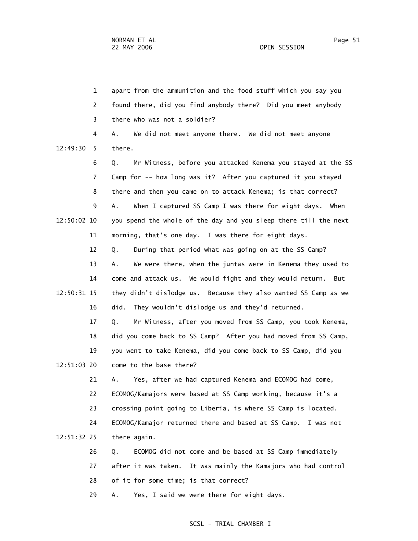1 apart from the ammunition and the food stuff which you say you 2 found there, did you find anybody there? Did you meet anybody 3 there who was not a soldier? 4 A. We did not meet anyone there. We did not meet anyone 12:49:30 5 there. 6 Q. Mr Witness, before you attacked Kenema you stayed at the SS 7 Camp for -- how long was it? After you captured it you stayed 8 there and then you came on to attack Kenema; is that correct? 9 A. When I captured SS Camp I was there for eight days. When 12:50:02 10 you spend the whole of the day and you sleep there till the next 11 morning, that's one day. I was there for eight days. 12 Q. During that period what was going on at the SS Camp? 13 A. We were there, when the juntas were in Kenema they used to 14 come and attack us. We would fight and they would return. But 12:50:31 15 they didn't dislodge us. Because they also wanted SS Camp as we 16 did. They wouldn't dislodge us and they'd returned. 17 Q. Mr Witness, after you moved from SS Camp, you took Kenema, 18 did you come back to SS Camp? After you had moved from SS Camp, 19 you went to take Kenema, did you come back to SS Camp, did you 12:51:03 20 come to the base there? 21 A. Yes, after we had captured Kenema and ECOMOG had come, 22 ECOMOG/Kamajors were based at SS Camp working, because it's a 23 crossing point going to Liberia, is where SS Camp is located. 24 ECOMOG/Kamajor returned there and based at SS Camp. I was not 12:51:32 25 there again. 26 Q. ECOMOG did not come and be based at SS Camp immediately 27 after it was taken. It was mainly the Kamajors who had control 28 of it for some time; is that correct? 29 A. Yes, I said we were there for eight days.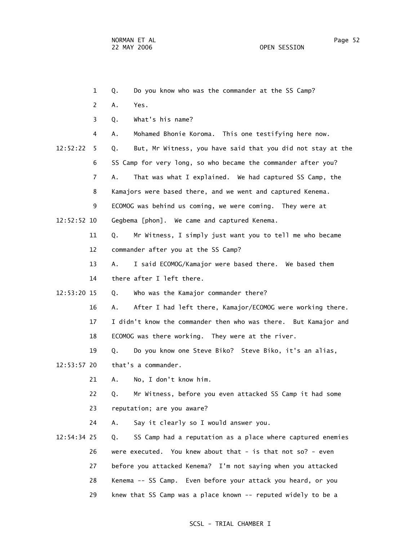1 Q. Do you know who was the commander at the SS Camp? 2 A. Yes. 3 Q. What's his name? 4 A. Mohamed Bhonie Koroma. This one testifying here now. 12:52:22 5 Q. But, Mr Witness, you have said that you did not stay at the 6 SS Camp for very long, so who became the commander after you? 7 A. That was what I explained. We had captured SS Camp, the 8 Kamajors were based there, and we went and captured Kenema. 9 ECOMOG was behind us coming, we were coming. They were at 12:52:52 10 Gegbema [phon]. We came and captured Kenema. 11 Q. Mr Witness, I simply just want you to tell me who became 12 commander after you at the SS Camp? 13 A. I said ECOMOG/Kamajor were based there. We based them 14 there after I left there. 12:53:20 15 Q. Who was the Kamajor commander there? 16 A. After I had left there, Kamajor/ECOMOG were working there. 17 I didn't know the commander then who was there. But Kamajor and 18 ECOMOG was there working. They were at the river. 19 Q. Do you know one Steve Biko? Steve Biko, it's an alias, 12:53:57 20 that's a commander. 21 A. No, I don't know him. 22 Q. Mr Witness, before you even attacked SS Camp it had some 23 reputation; are you aware? 24 A. Say it clearly so I would answer you. 12:54:34 25 Q. SS Camp had a reputation as a place where captured enemies 26 were executed. You knew about that - is that not so? - even 27 before you attacked Kenema? I'm not saying when you attacked 28 Kenema -- SS Camp. Even before your attack you heard, or you 29 knew that SS Camp was a place known -- reputed widely to be a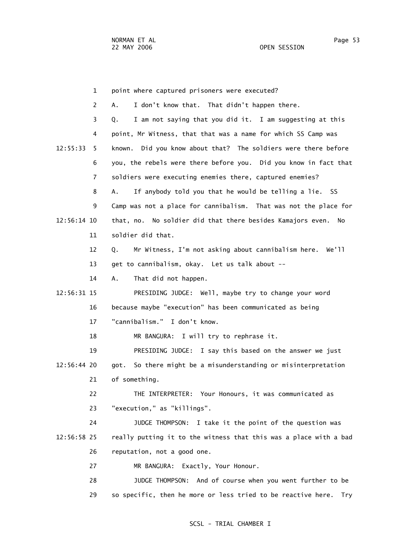1 point where captured prisoners were executed? 2 A. I don't know that. That didn't happen there. 3 Q. I am not saying that you did it. I am suggesting at this 4 point, Mr Witness, that that was a name for which SS Camp was 12:55:33 5 known. Did you know about that? The soldiers were there before 6 you, the rebels were there before you. Did you know in fact that 7 soldiers were executing enemies there, captured enemies? 8 A. If anybody told you that he would be telling a lie. SS 9 Camp was not a place for cannibalism. That was not the place for 12:56:14 10 that, no. No soldier did that there besides Kamajors even. No 11 soldier did that. 12 Q. Mr Witness, I'm not asking about cannibalism here. We'll 13 get to cannibalism, okay. Let us talk about -- 14 A. That did not happen. 12:56:31 15 PRESIDING JUDGE: Well, maybe try to change your word 16 because maybe "execution" has been communicated as being 17 "cannibalism." I don't know. 18 MR BANGURA: I will try to rephrase it. 19 PRESIDING JUDGE: I say this based on the answer we just 12:56:44 20 got. So there might be a misunderstanding or misinterpretation 21 of something. 22 THE INTERPRETER: Your Honours, it was communicated as 23 "execution," as "killings". 24 JUDGE THOMPSON: I take it the point of the question was 12:56:58 25 really putting it to the witness that this was a place with a bad 26 reputation, not a good one. 27 MR BANGURA: Exactly, Your Honour. 28 JUDGE THOMPSON: And of course when you went further to be 29 so specific, then he more or less tried to be reactive here. Try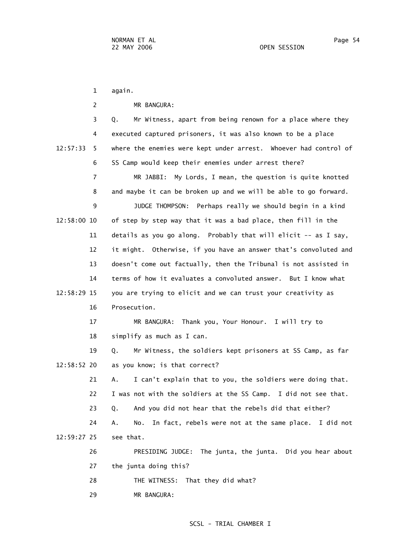1 again. 2 MR BANGURA: 3 Q. Mr Witness, apart from being renown for a place where they 4 executed captured prisoners, it was also known to be a place 12:57:33 5 where the enemies were kept under arrest. Whoever had control of 6 SS Camp would keep their enemies under arrest there? 7 MR JABBI: My Lords, I mean, the question is quite knotted 8 and maybe it can be broken up and we will be able to go forward. 9 JUDGE THOMPSON: Perhaps really we should begin in a kind 12:58:00 10 of step by step way that it was a bad place, then fill in the 11 details as you go along. Probably that will elicit -- as I say, 12 it might. Otherwise, if you have an answer that's convoluted and 13 doesn't come out factually, then the Tribunal is not assisted in 14 terms of how it evaluates a convoluted answer. But I know what 12:58:29 15 you are trying to elicit and we can trust your creativity as 16 Prosecution. 17 MR BANGURA: Thank you, Your Honour. I will try to 18 simplify as much as I can. 19 Q. Mr Witness, the soldiers kept prisoners at SS Camp, as far 12:58:52 20 as you know; is that correct? 21 A. I can't explain that to you, the soldiers were doing that. 22 I was not with the soldiers at the SS Camp. I did not see that. 23 Q. And you did not hear that the rebels did that either? 24 A. No. In fact, rebels were not at the same place. I did not 12:59:27 25 see that. 26 PRESIDING JUDGE: The junta, the junta. Did you hear about 27 the junta doing this? 28 THE WITNESS: That they did what? 29 MR BANGURA: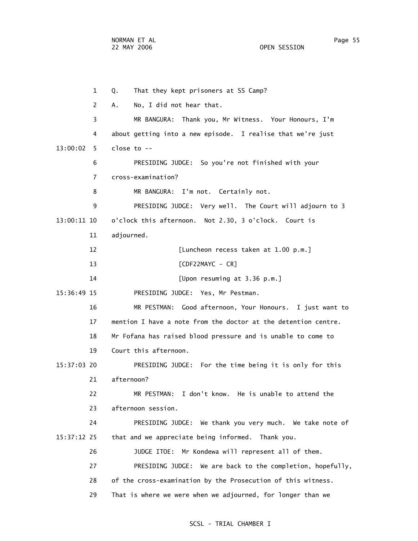1 Q. That they kept prisoners at SS Camp? 2 A. No, I did not hear that. 3 MR BANGURA: Thank you, Mr Witness. Your Honours, I'm 4 about getting into a new episode. I realise that we're just 13:00:02 5 close to -- 6 PRESIDING JUDGE: So you're not finished with your 7 cross-examination? 8 MR BANGURA: I'm not. Certainly not. 9 PRESIDING JUDGE: Very well. The Court will adjourn to 3 13:00:11 10 o'clock this afternoon. Not 2.30, 3 o'clock. Court is 11 adjourned. 12 [Luncheon recess taken at 1.00 p.m.] 13 [CDF22MAYC - CR] 14 [Upon resuming at 3.36 p.m.] 15:36:49 15 PRESIDING JUDGE: Yes, Mr Pestman. 16 MR PESTMAN: Good afternoon, Your Honours. I just want to 17 mention I have a note from the doctor at the detention centre. 18 Mr Fofana has raised blood pressure and is unable to come to 19 Court this afternoon. 15:37:03 20 PRESIDING JUDGE: For the time being it is only for this 21 afternoon? 22 MR PESTMAN: I don't know. He is unable to attend the 23 afternoon session. 24 PRESIDING JUDGE: We thank you very much. We take note of 15:37:12 25 that and we appreciate being informed. Thank you. 26 JUDGE ITOE: Mr Kondewa will represent all of them. 27 PRESIDING JUDGE: We are back to the completion, hopefully, 28 of the cross-examination by the Prosecution of this witness. 29 That is where we were when we adjourned, for longer than we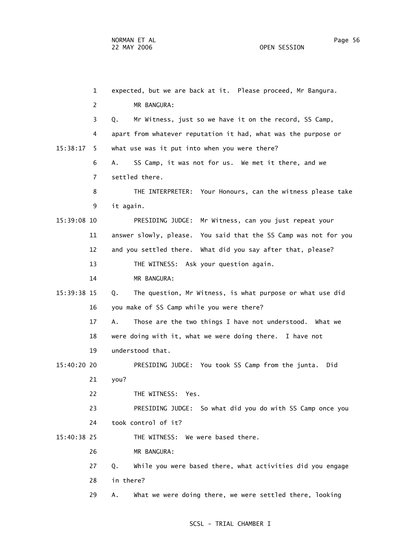1 expected, but we are back at it. Please proceed, Mr Bangura. 2 MR BANGURA: 3 Q. Mr Witness, just so we have it on the record, SS Camp, 4 apart from whatever reputation it had, what was the purpose or 15:38:17 5 what use was it put into when you were there? 6 A. SS Camp, it was not for us. We met it there, and we 7 settled there. 8 THE INTERPRETER: Your Honours, can the witness please take 9 it again. 15:39:08 10 PRESIDING JUDGE: Mr Witness, can you just repeat your 11 answer slowly, please. You said that the SS Camp was not for you 12 and you settled there. What did you say after that, please? 13 THE WITNESS: Ask your question again. 14 MR BANGURA: 15:39:38 15 Q. The question, Mr Witness, is what purpose or what use did 16 you make of SS Camp while you were there? 17 A. Those are the two things I have not understood. What we 18 were doing with it, what we were doing there. I have not 19 understood that. 15:40:20 20 PRESIDING JUDGE: You took SS Camp from the junta. Did 21 you? 22 THE WITNESS: Yes. 23 PRESIDING JUDGE: So what did you do with SS Camp once you 24 took control of it? 15:40:38 25 THE WITNESS: We were based there. 26 MR BANGURA: 27 Q. While you were based there, what activities did you engage 28 in there? 29 A. What we were doing there, we were settled there, looking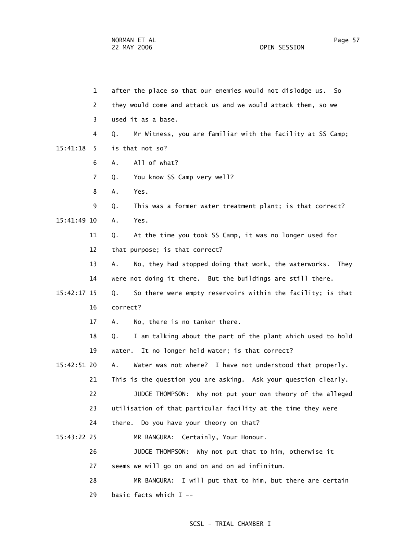1 after the place so that our enemies would not dislodge us. So 2 they would come and attack us and we would attack them, so we 3 used it as a base. 4 Q. Mr Witness, you are familiar with the facility at SS Camp; 15:41:18 5 is that not so? 6 A. All of what? 7 Q. You know SS Camp very well? 8 A. Yes. 9 Q. This was a former water treatment plant; is that correct? 15:41:49 10 A. Yes. 11 Q. At the time you took SS Camp, it was no longer used for 12 that purpose; is that correct? 13 A. No, they had stopped doing that work, the waterworks. They 14 were not doing it there. But the buildings are still there. 15:42:17 15 Q. So there were empty reservoirs within the facility; is that 16 correct? 17 A. No, there is no tanker there. 18 Q. I am talking about the part of the plant which used to hold 19 water. It no longer held water; is that correct? 15:42:51 20 A. Water was not where? I have not understood that properly. 21 This is the question you are asking. Ask your question clearly. 22 JUDGE THOMPSON: Why not put your own theory of the alleged

- 23 utilisation of that particular facility at the time they were
- 24 there. Do you have your theory on that?
- 15:43:22 25 MR BANGURA: Certainly, Your Honour.
	- 26 JUDGE THOMPSON: Why not put that to him, otherwise it
		- 27 seems we will go on and on and on ad infinitum.
	- 28 MR BANGURA: I will put that to him, but there are certain 29 basic facts which I --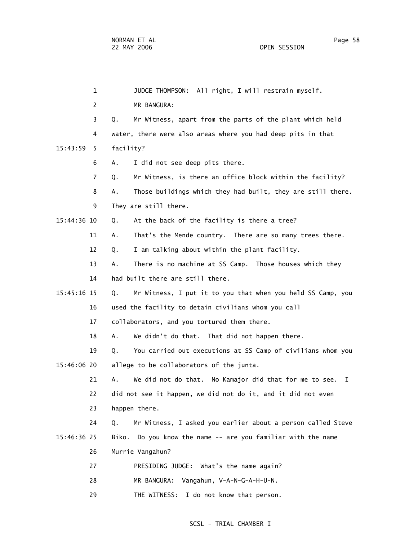| 1             | JUDGE THOMPSON: All right, I will restrain myself.                |
|---------------|-------------------------------------------------------------------|
| 2             | MR BANGURA:                                                       |
| 3             | Mr Witness, apart from the parts of the plant which held<br>Q.    |
| 4             | water, there were also areas where you had deep pits in that      |
| 15:43:59<br>5 | facility?                                                         |
| 6             | Α.<br>I did not see deep pits there.                              |
| 7             | Mr Witness, is there an office block within the facility?<br>Q.   |
| 8             | Those buildings which they had built, they are still there.<br>Α. |
| 9             | They are still there.                                             |
| 15:44:36 10   | At the back of the facility is there a tree?<br>Q.                |
| 11            | That's the Mende country. There are so many trees there.<br>Α.    |
| 12            | I am talking about within the plant facility.<br>Q.               |
| 13            | There is no machine at SS Camp. Those houses which they<br>Α.     |
| 14            | had built there are still there.                                  |
| 15:45:16 15   | Mr Witness, I put it to you that when you held SS Camp, you<br>Q. |
| 16            | used the facility to detain civilians whom you call               |
| 17            | collaborators, and you tortured them there.                       |
| 18            | We didn't do that. That did not happen there.<br>Α.               |
| 19            | You carried out executions at SS Camp of civilians whom you<br>Q. |
| 15:46:06 20   | allege to be collaborators of the junta.                          |
| 21            | We did not do that. No Kamajor did that for me to see.<br>Α.<br>T |
| 22            | did not see it happen, we did not do it, and it did not even      |
| 23            | happen there.                                                     |
| 24            | Mr Witness, I asked you earlier about a person called Steve<br>Q. |
| 15:46:36 25   | Do you know the name -- are you familiar with the name<br>Biko.   |
| 26            | Murrie Vangahun?                                                  |
| 27            | PRESIDING JUDGE: What's the name again?                           |
| 28            | Vangahun, V-A-N-G-A-H-U-N.<br>MR BANGURA:                         |
| 29            | THE WITNESS: I do not know that person.                           |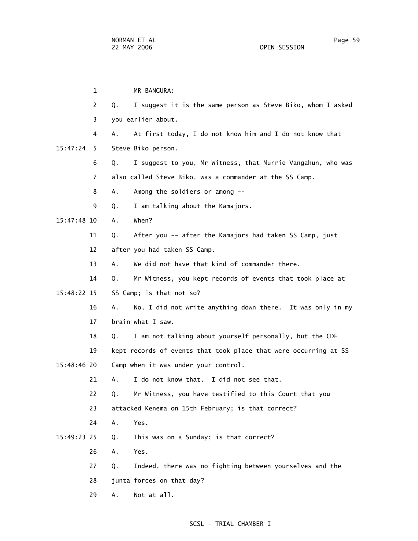1 MR BANGURA: 2 Q. I suggest it is the same person as Steve Biko, whom I asked 3 you earlier about. 4 A. At first today, I do not know him and I do not know that 15:47:24 5 Steve Biko person. 6 Q. I suggest to you, Mr Witness, that Murrie Vangahun, who was 7 also called Steve Biko, was a commander at the SS Camp. 8 A. Among the soldiers or among -- 9 Q. I am talking about the Kamajors. 15:47:48 10 A. When? 11 Q. After you -- after the Kamajors had taken SS Camp, just 12 after you had taken SS Camp. 13 A. We did not have that kind of commander there. 14 Q. Mr Witness, you kept records of events that took place at 15:48:22 15 SS Camp; is that not so? 16 A. No, I did not write anything down there. It was only in my 17 brain what I saw. 18 Q. I am not talking about yourself personally, but the CDF 19 kept records of events that took place that were occurring at SS 15:48:46 20 Camp when it was under your control. 21 A. I do not know that. I did not see that. 22 Q. Mr Witness, you have testified to this Court that you 23 attacked Kenema on 15th February; is that correct? 24 A. Yes. 15:49:23 25 Q. This was on a Sunday; is that correct? 26 A. Yes. 27 Q. Indeed, there was no fighting between yourselves and the 28 junta forces on that day? 29 A. Not at all.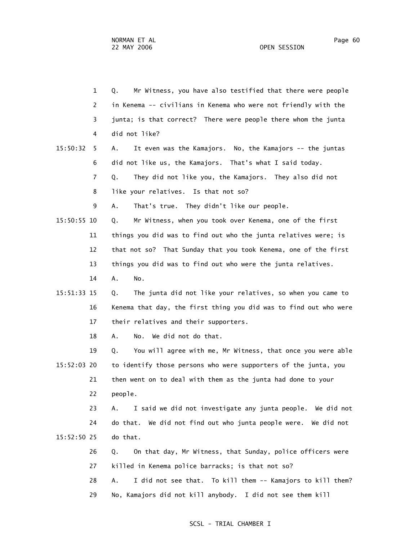1 Q. Mr Witness, you have also testified that there were people 2 in Kenema -- civilians in Kenema who were not friendly with the 3 junta; is that correct? There were people there whom the junta 4 did not like? 15:50:32 5 A. It even was the Kamajors. No, the Kamajors -- the juntas 6 did not like us, the Kamajors. That's what I said today. 7 Q. They did not like you, the Kamajors. They also did not 8 like your relatives. Is that not so? 9 A. That's true. They didn't like our people. 15:50:55 10 Q. Mr Witness, when you took over Kenema, one of the first 11 things you did was to find out who the junta relatives were; is 12 that not so? That Sunday that you took Kenema, one of the first 13 things you did was to find out who were the junta relatives. 14 A. No. 15:51:33 15 Q. The junta did not like your relatives, so when you came to 16 Kenema that day, the first thing you did was to find out who were 17 their relatives and their supporters. 18 A. No. We did not do that. 19 Q. You will agree with me, Mr Witness, that once you were able 15:52:03 20 to identify those persons who were supporters of the junta, you 21 then went on to deal with them as the junta had done to your 22 people. 23 A. I said we did not investigate any junta people. We did not 24 do that. We did not find out who junta people were. We did not 15:52:50 25 do that. 26 Q. On that day, Mr Witness, that Sunday, police officers were 27 killed in Kenema police barracks; is that not so? 28 A. I did not see that. To kill them -- Kamajors to kill them?

29 No, Kamajors did not kill anybody. I did not see them kill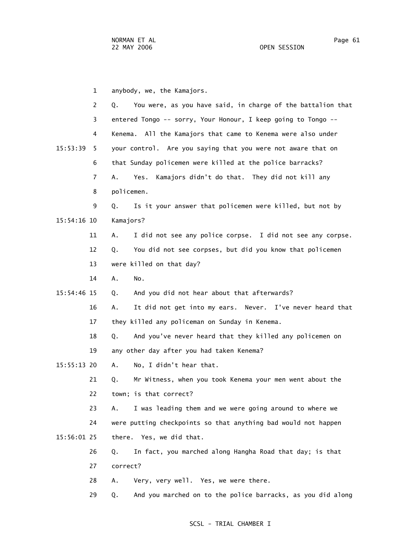1 anybody, we, the Kamajors. 2 Q. You were, as you have said, in charge of the battalion that 3 entered Tongo -- sorry, Your Honour, I keep going to Tongo -- 4 Kenema. All the Kamajors that came to Kenema were also under 15:53:39 5 your control. Are you saying that you were not aware that on 6 that Sunday policemen were killed at the police barracks? 7 A. Yes. Kamajors didn't do that. They did not kill any 8 policemen. 9 Q. Is it your answer that policemen were killed, but not by 15:54:16 10 Kamajors? 11 A. I did not see any police corpse. I did not see any corpse. 12 Q. You did not see corpses, but did you know that policemen 13 were killed on that day? 14 A. No. 15:54:46 15 Q. And you did not hear about that afterwards? 16 A. It did not get into my ears. Never. I've never heard that 17 they killed any policeman on Sunday in Kenema. 18 Q. And you've never heard that they killed any policemen on 19 any other day after you had taken Kenema? 15:55:13 20 A. No, I didn't hear that. 21 Q. Mr Witness, when you took Kenema your men went about the 22 town; is that correct? 23 A. I was leading them and we were going around to where we 24 were putting checkpoints so that anything bad would not happen 15:56:01 25 there. Yes, we did that. 26 Q. In fact, you marched along Hangha Road that day; is that 27 correct? 28 A. Very, very well. Yes, we were there. 29 Q. And you marched on to the police barracks, as you did along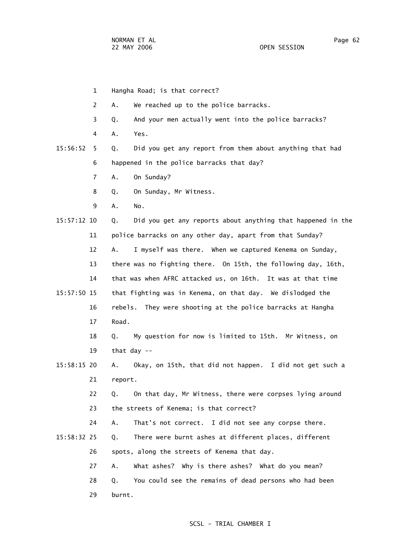- 1 Hangha Road; is that correct?
- 2 A. We reached up to the police barracks.
- 3 Q. And your men actually went into the police barracks?
- 4 A. Yes.
- 15:56:52 5 Q. Did you get any report from them about anything that had 6 happened in the police barracks that day?
	- 7 A. On Sunday?
	- 8 Q. On Sunday, Mr Witness.
- 9 A. No.

 15:57:12 10 Q. Did you get any reports about anything that happened in the 11 police barracks on any other day, apart from that Sunday?

12 A. I myself was there. When we captured Kenema on Sunday,

13 there was no fighting there. On 15th, the following day, 16th,

- 14 that was when AFRC attacked us, on 16th. It was at that time 15:57:50 15 that fighting was in Kenema, on that day. We dislodged the 16 rebels. They were shooting at the police barracks at Hangha 17 Road.
	- 18 Q. My question for now is limited to 15th. Mr Witness, on 19 that day --
- 15:58:15 20 A. Okay, on 15th, that did not happen. I did not get such a 21 report.

 22 Q. On that day, Mr Witness, there were corpses lying around 23 the streets of Kenema; is that correct?

24 A. That's not correct. I did not see any corpse there.

- 15:58:32 25 Q. There were burnt ashes at different places, different 26 spots, along the streets of Kenema that day.
	- 27 A. What ashes? Why is there ashes? What do you mean?
	- 28 Q. You could see the remains of dead persons who had been
	- 29 burnt.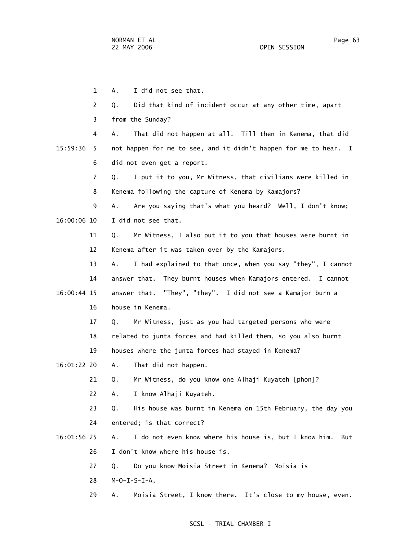1 A. I did not see that. 2 Q. Did that kind of incident occur at any other time, apart 3 from the Sunday? 4 A. That did not happen at all. Till then in Kenema, that did 15:59:36 5 not happen for me to see, and it didn't happen for me to hear. I 6 did not even get a report. 7 Q. I put it to you, Mr Witness, that civilians were killed in 8 Kenema following the capture of Kenema by Kamajors? 9 A. Are you saying that's what you heard? Well, I don't know; 16:00:06 10 I did not see that. 11 Q. Mr Witness, I also put it to you that houses were burnt in 12 Kenema after it was taken over by the Kamajors. 13 A. I had explained to that once, when you say "they", I cannot 14 answer that. They burnt houses when Kamajors entered. I cannot 16:00:44 15 answer that. "They", "they". I did not see a Kamajor burn a 16 house in Kenema. 17 Q. Mr Witness, just as you had targeted persons who were 18 related to junta forces and had killed them, so you also burnt 19 houses where the junta forces had stayed in Kenema? 16:01:22 20 A. That did not happen. 21 Q. Mr Witness, do you know one Alhaji Kuyateh [phon]? 22 A. I know Alhaji Kuyateh. 23 Q. His house was burnt in Kenema on 15th February, the day you 24 entered; is that correct? 16:01:56 25 A. I do not even know where his house is, but I know him. But 26 I don't know where his house is. 27 Q. Do you know Moisia Street in Kenema? Moisia is 28 M-O-I-S-I-A. 29 A. Moisia Street, I know there. It's close to my house, even.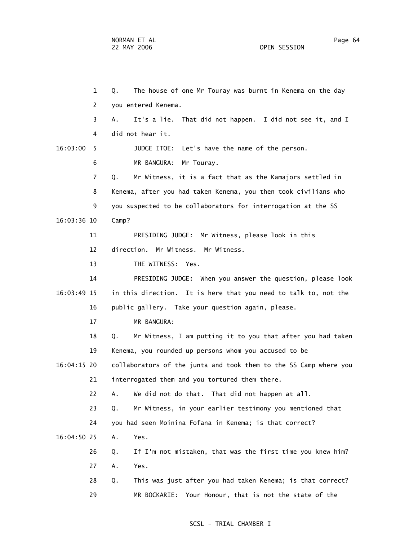1 Q. The house of one Mr Touray was burnt in Kenema on the day 2 you entered Kenema. 3 A. It's a lie. That did not happen. I did not see it, and I 4 did not hear it. 16:03:00 5 JUDGE ITOE: Let's have the name of the person. 6 MR BANGURA: Mr Touray. 7 Q. Mr Witness, it is a fact that as the Kamajors settled in 8 Kenema, after you had taken Kenema, you then took civilians who 9 you suspected to be collaborators for interrogation at the SS 16:03:36 10 Camp? 11 PRESIDING JUDGE: Mr Witness, please look in this 12 direction. Mr Witness. Mr Witness. 13 THE WITNESS: Yes. 14 PRESIDING JUDGE: When you answer the question, please look 16:03:49 15 in this direction. It is here that you need to talk to, not the 16 public gallery. Take your question again, please. 17 MR BANGURA: 18 Q. Mr Witness, I am putting it to you that after you had taken 19 Kenema, you rounded up persons whom you accused to be 16:04:15 20 collaborators of the junta and took them to the SS Camp where you 21 interrogated them and you tortured them there. 22 A. We did not do that. That did not happen at all. 23 Q. Mr Witness, in your earlier testimony you mentioned that 24 you had seen Moinina Fofana in Kenema; is that correct? 16:04:50 25 A. Yes. 26 Q. If I'm not mistaken, that was the first time you knew him? 27 A. Yes. 28 Q. This was just after you had taken Kenema; is that correct? 29 MR BOCKARIE: Your Honour, that is not the state of the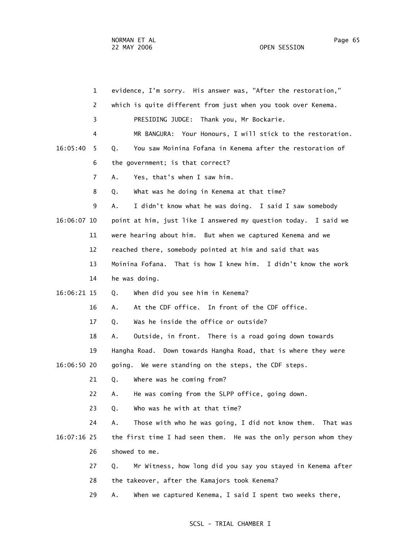| $\mathbf{1}$   | evidence, I'm sorry. His answer was, "After the restoration,"     |
|----------------|-------------------------------------------------------------------|
| $\overline{2}$ | which is quite different from just when you took over Kenema.     |
| 3              | PRESIDING JUDGE: Thank you, Mr Bockarie.                          |
| 4              | MR BANGURA: Your Honours, I will stick to the restoration.        |
| 16:05:40<br>5  | You saw Moinina Fofana in Kenema after the restoration of<br>Q.   |
| 6              | the government; is that correct?                                  |
| 7              | Yes, that's when I saw him.<br>А.                                 |
| 8              | What was he doing in Kenema at that time?<br>Q.                   |
| 9              | A.<br>I didn't know what he was doing. I said I saw somebody      |
| 16:06:07 10    | point at him, just like I answered my question today. I said we   |
| 11             | were hearing about him. But when we captured Kenema and we        |
| 12             | reached there, somebody pointed at him and said that was          |
| 13             | Moinina Fofana. That is how I knew him. I didn't know the work    |
| 14             | he was doing.                                                     |
| 16:06:21 15    | When did you see him in Kenema?<br>Q.                             |
| 16             | At the CDF office. In front of the CDF office.<br>А.              |
| 17             | Was he inside the office or outside?<br>Q.                        |
| 18             | Outside, in front. There is a road going down towards<br>Α.       |
| 19             | Hangha Road. Down towards Hangha Road, that is where they were    |
| 16:06:50 20    | going. We were standing on the steps, the CDF steps.              |
| 21             | Where was he coming from?<br>Q.                                   |
| 22             | He was coming from the SLPP office, going down.<br>Α.             |
| 23             | Who was he with at that time?<br>Q.                               |
| 24             | Those with who he was going, I did not know them. That was<br>А.  |
| 16:07:16 25    | the first time I had seen them. He was the only person whom they  |
| 26             | showed to me.                                                     |
| 27             | Mr Witness, how long did you say you stayed in Kenema after<br>Q. |
| 28             | the takeover, after the Kamajors took Kenema?                     |
| 29             | When we captured Kenema, I said I spent two weeks there,<br>Α.    |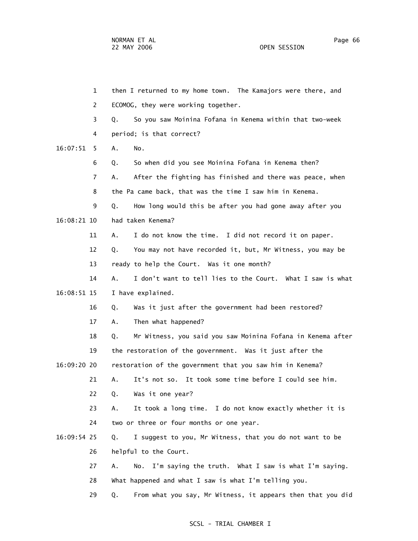1 then I returned to my home town. The Kamajors were there, and 2 ECOMOG, they were working together. 3 Q. So you saw Moinina Fofana in Kenema within that two-week 4 period; is that correct? 16:07:51 5 A. No. 6 Q. So when did you see Moinina Fofana in Kenema then? 7 A. After the fighting has finished and there was peace, when 8 the Pa came back, that was the time I saw him in Kenema. 9 Q. How long would this be after you had gone away after you 16:08:21 10 had taken Kenema? 11 A. I do not know the time. I did not record it on paper. 12 Q. You may not have recorded it, but, Mr Witness, you may be 13 ready to help the Court. Was it one month? 14 A. I don't want to tell lies to the Court. What I saw is what 16:08:51 15 I have explained. 16 Q. Was it just after the government had been restored? 17 A. Then what happened? 18 Q. Mr Witness, you said you saw Moinina Fofana in Kenema after 19 the restoration of the government. Was it just after the 16:09:20 20 restoration of the government that you saw him in Kenema? 21 A. It's not so. It took some time before I could see him. 22 Q. Was it one year? 23 A. It took a long time. I do not know exactly whether it is 24 two or three or four months or one year. 16:09:54 25 Q. I suggest to you, Mr Witness, that you do not want to be 26 helpful to the Court. 27 A. No. I'm saying the truth. What I saw is what I'm saying. 28 What happened and what I saw is what I'm telling you. 29 Q. From what you say, Mr Witness, it appears then that you did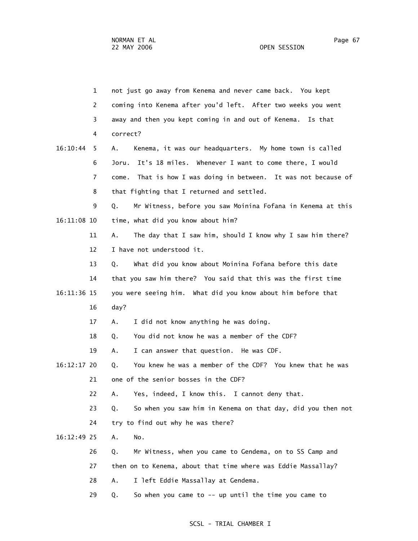|             | $\mathbf{1}$ | not just go away from Kenema and never came back. You kept         |
|-------------|--------------|--------------------------------------------------------------------|
|             | 2            | coming into Kenema after you'd left. After two weeks you went      |
|             | 3            | away and then you kept coming in and out of Kenema. Is that        |
|             | 4            | correct?                                                           |
| 16:10:44    | 5            | Kenema, it was our headquarters. My home town is called<br>Α.      |
|             | 6            | It's 18 miles. Whenever I want to come there, I would<br>Joru.     |
|             | 7            | That is how I was doing in between. It was not because of<br>come. |
|             | 8            | that fighting that I returned and settled.                         |
|             | 9            | Mr Witness, before you saw Moinina Fofana in Kenema at this<br>Q.  |
| 16:11:08 10 |              | time, what did you know about him?                                 |
|             | 11           | The day that I saw him, should I know why I saw him there?<br>А.   |
|             | 12           | I have not understood it.                                          |
|             | 13           | What did you know about Moinina Fofana before this date<br>Q.      |
|             | 14           | that you saw him there? You said that this was the first time      |
| 16:11:36 15 |              | you were seeing him. What did you know about him before that       |
|             | 16           | day?                                                               |
|             | 17           | I did not know anything he was doing.<br>Α.                        |
|             | 18           | You did not know he was a member of the CDF?<br>Q.                 |
|             | 19           | I can answer that question. He was CDF.<br>А.                      |
| 16:12:17 20 |              | You knew he was a member of the CDF? You knew that he was<br>Q.    |
|             | 21           | one of the senior bosses in the CDF?                               |
|             | 22           | Yes, indeed, I know this. I cannot deny that.<br>Α.                |
|             | 23           | So when you saw him in Kenema on that day, did you then not<br>Q.  |
|             | 24           | try to find out why he was there?                                  |
| 16:12:49 25 |              | Α.<br>No.                                                          |
|             | 26           | Mr Witness, when you came to Gendema, on to SS Camp and<br>Q.      |
|             | 27           | then on to Kenema, about that time where was Eddie Massallay?      |
|             | 28           | I left Eddie Massallay at Gendema.<br>Α.                           |
|             | 29           | So when you came to $--$ up until the time you came to<br>Q.       |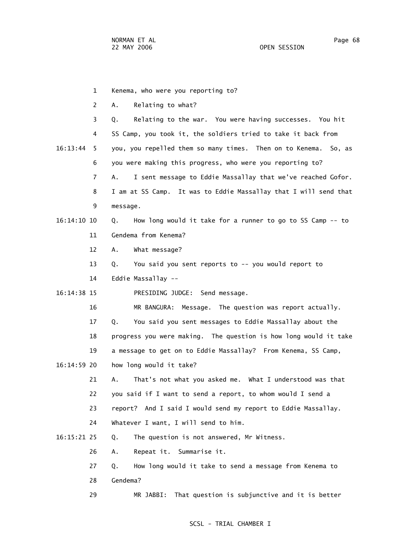1 Kenema, who were you reporting to? 2 A. Relating to what? 3 Q. Relating to the war. You were having successes. You hit 4 SS Camp, you took it, the soldiers tried to take it back from 16:13:44 5 you, you repelled them so many times. Then on to Kenema. So, as 6 you were making this progress, who were you reporting to? 7 A. I sent message to Eddie Massallay that we've reached Gofor. 8 I am at SS Camp. It was to Eddie Massallay that I will send that 9 message. 16:14:10 10 Q. How long would it take for a runner to go to SS Camp -- to 11 Gendema from Kenema? 12 A. What message? 13 Q. You said you sent reports to -- you would report to 14 Eddie Massallay -- 16:14:38 15 PRESIDING JUDGE: Send message. 16 MR BANGURA: Message. The question was report actually. 17 Q. You said you sent messages to Eddie Massallay about the 18 progress you were making. The question is how long would it take 19 a message to get on to Eddie Massallay? From Kenema, SS Camp, 16:14:59 20 how long would it take? 21 A. That's not what you asked me. What I understood was that 22 you said if I want to send a report, to whom would I send a 23 report? And I said I would send my report to Eddie Massallay. 24 Whatever I want, I will send to him. 16:15:21 25 Q. The question is not answered, Mr Witness. 26 A. Repeat it. Summarise it. 27 Q. How long would it take to send a message from Kenema to 28 Gendema?

### SCSL - TRIAL CHAMBER I

29 MR JABBI: That question is subjunctive and it is better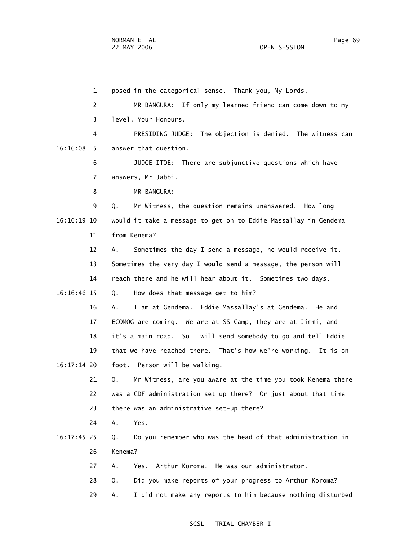1 posed in the categorical sense. Thank you, My Lords. 2 MR BANGURA: If only my learned friend can come down to my 3 level, Your Honours. 4 PRESIDING JUDGE: The objection is denied. The witness can 16:16:08 5 answer that question. 6 JUDGE ITOE: There are subjunctive questions which have 7 answers, Mr Jabbi. 8 MR BANGURA: 9 Q. Mr Witness, the question remains unanswered. How long 16:16:19 10 would it take a message to get on to Eddie Massallay in Gendema 11 from Kenema? 12 A. Sometimes the day I send a message, he would receive it. 13 Sometimes the very day I would send a message, the person will 14 reach there and he will hear about it. Sometimes two days. 16:16:46 15 Q. How does that message get to him? 16 A. I am at Gendema. Eddie Massallay's at Gendema. He and 17 ECOMOG are coming. We are at SS Camp, they are at Jimmi, and 18 it's a main road. So I will send somebody to go and tell Eddie 19 that we have reached there. That's how we're working. It is on 16:17:14 20 foot. Person will be walking. 21 Q. Mr Witness, are you aware at the time you took Kenema there 22 was a CDF administration set up there? Or just about that time 23 there was an administrative set-up there? 24 A. Yes. 16:17:45 25 Q. Do you remember who was the head of that administration in 26 Kenema? 27 A. Yes. Arthur Koroma. He was our administrator. 28 Q. Did you make reports of your progress to Arthur Koroma? 29 A. I did not make any reports to him because nothing disturbed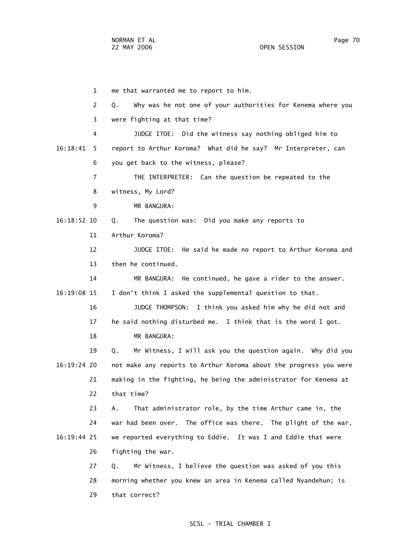1 me that warranted me to report to him. 2 Q. Why was he not one of your authorities for Kenema where you 3 were fighting at that time? 4 JUDGE ITOE: Did the witness say nothing obliged him to 16:18:41 5 report to Arthur Koroma? What did he say? Mr Interpreter, can 6 you get back to the witness, please? 7 THE INTERPRETER: Can the question be repeated to the 8 witness, My Lord? 9 MR BANGURA: 16:18:52 10 Q. The question was: Did you make any reports to 11 Arthur Koroma? 12 JUDGE ITOE: He said he made no report to Arthur Koroma and 13 then he continued. 14 MR BANGURA: He continued, he gave a rider to the answer. 16:19:08 15 I don't think I asked the supplemental question to that. 16 JUDGE THOMPSON: I think you asked him why he did not and 17 he said nothing disturbed me. I think that is the word I got. 18 MR BANGURA: 19 Q. Mr Witness, I will ask you the question again. Why did you 16:19:24 20 not make any reports to Arthur Koroma about the progress you were 21 making in the fighting, he being the administrator for Kenema at 22 that time? 23 A. That administrator role, by the time Arthur came in, the 24 war had been over. The office was there. The plight of the war, 16:19:44 25 we reported everything to Eddie. It was I and Eddie that were 26 fighting the war. 27 Q. Mr Witness, I believe the question was asked of you this 28 morning whether you knew an area in Kenema called Nyandehun; is 29 that correct?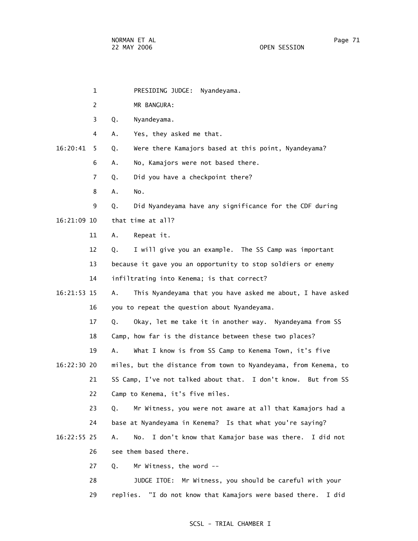- 1 PRESIDING JUDGE: Nyandeyama.
- 2 MR BANGURA:
- 3 Q. Nyandeyama.
- 4 A. Yes, they asked me that.
- 16:20:41 5 Q. Were there Kamajors based at this point, Nyandeyama?
	- 6 A. No, Kamajors were not based there.
	- 7 Q. Did you have a checkpoint there?
	- 8 A. No.

 9 Q. Did Nyandeyama have any significance for the CDF during 16:21:09 10 that time at all?

11 A. Repeat it.

12 Q. I will give you an example. The SS Camp was important

13 because it gave you an opportunity to stop soldiers or enemy

14 infiltrating into Kenema; is that correct?

 16:21:53 15 A. This Nyandeyama that you have asked me about, I have asked 16 you to repeat the question about Nyandeyama.

17 Q. Okay, let me take it in another way. Nyandeyama from SS

18 Camp, how far is the distance between these two places?

19 A. What I know is from SS Camp to Kenema Town, it's five

 16:22:30 20 miles, but the distance from town to Nyandeyama, from Kenema, to 21 SS Camp, I've not talked about that. I don't know. But from SS 22 Camp to Kenema, it's five miles.

> 23 Q. Mr Witness, you were not aware at all that Kamajors had a 24 base at Nyandeyama in Kenema? Is that what you're saying?

 16:22:55 25 A. No. I don't know that Kamajor base was there. I did not 26 see them based there.

27 Q. Mr Witness, the word --

 28 JUDGE ITOE: Mr Witness, you should be careful with your 29 replies. "I do not know that Kamajors were based there. I did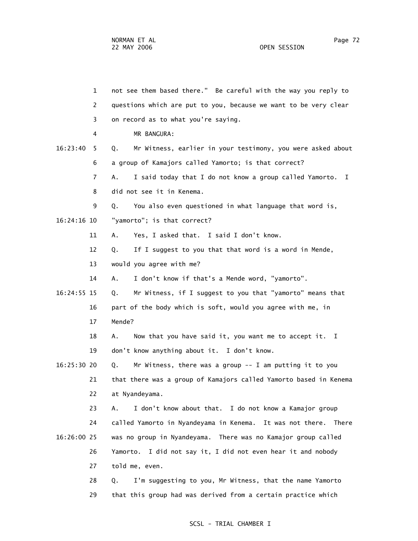| 1              | not see them based there." Be careful with the way you reply to    |
|----------------|--------------------------------------------------------------------|
| 2              | questions which are put to you, because we want to be very clear   |
| 3              | on record as to what you're saying.                                |
| 4              | MR BANGURA:                                                        |
| 16:23:40<br>5. | Mr Witness, earlier in your testimony, you were asked about<br>Q.  |
| 6              | a group of Kamajors called Yamorto; is that correct?               |
| 7              | I said today that I do not know a group called Yamorto. I<br>Α.    |
| 8              | did not see it in Kenema.                                          |
| 9              | You also even questioned in what language that word is,<br>Q.      |
| 16:24:16 10    | "yamorto"; is that correct?                                        |
| 11             | Yes, I asked that. I said I don't know.<br>Α.                      |
| 12             | If I suggest to you that that word is a word in Mende,<br>Q.       |
| 13             | would you agree with me?                                           |
| 14             | I don't know if that's a Mende word, "yamorto".<br>А.              |
| 16:24:55 15    | Mr Witness, if I suggest to you that "yamorto" means that<br>Q.    |
| 16             | part of the body which is soft, would you agree with me, in        |
| 17             | Mende?                                                             |
| 18             | Now that you have said it, you want me to accept it. I<br>А.       |
| 19             | don't know anything about it. I don't know.                        |
| 16:25:30 20    | Mr Witness, there was a group $-$ - I am putting it to you<br>Q.   |
| 21             | that there was a group of Kamajors called Yamorto based in Kenema  |
| 22             | at Nyandeyama.                                                     |
| 23             | I don't know about that. I do not know a Kamajor group<br>А.       |
| 24             | called Yamorto in Nyandeyama in Kenema. It was not there.<br>There |
| 16:26:00 25    | was no group in Nyandeyama. There was no Kamajor group called      |
| 26             | I did not say it, I did not even hear it and nobody<br>Yamorto.    |
| 27             | told me, even.                                                     |
| 28             | I'm suggesting to you, Mr Witness, that the name Yamorto<br>Q.     |
| 29             | that this group had was derived from a certain practice which      |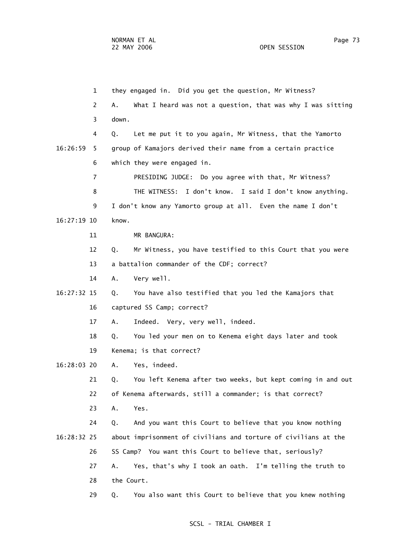1 they engaged in. Did you get the question, Mr Witness? 2 A. What I heard was not a question, that was why I was sitting 3 down. 4 Q. Let me put it to you again, Mr Witness, that the Yamorto 16:26:59 5 group of Kamajors derived their name from a certain practice 6 which they were engaged in. 7 PRESIDING JUDGE: Do you agree with that, Mr Witness? 8 THE WITNESS: I don't know. I said I don't know anything. 9 I don't know any Yamorto group at all. Even the name I don't 16:27:19 10 know. 11 MR BANGURA: 12 Q. Mr Witness, you have testified to this Court that you were 13 a battalion commander of the CDF; correct? 14 A. Very well. 16:27:32 15 Q. You have also testified that you led the Kamajors that 16 captured SS Camp; correct? 17 A. Indeed. Very, very well, indeed. 18 Q. You led your men on to Kenema eight days later and took 19 Kenema; is that correct? 16:28:03 20 A. Yes, indeed. 21 Q. You left Kenema after two weeks, but kept coming in and out 22 of Kenema afterwards, still a commander; is that correct? 23 A. Yes. 24 Q. And you want this Court to believe that you know nothing 16:28:32 25 about imprisonment of civilians and torture of civilians at the 26 SS Camp? You want this Court to believe that, seriously? 27 A. Yes, that's why I took an oath. I'm telling the truth to 28 the Court. 29 Q. You also want this Court to believe that you knew nothing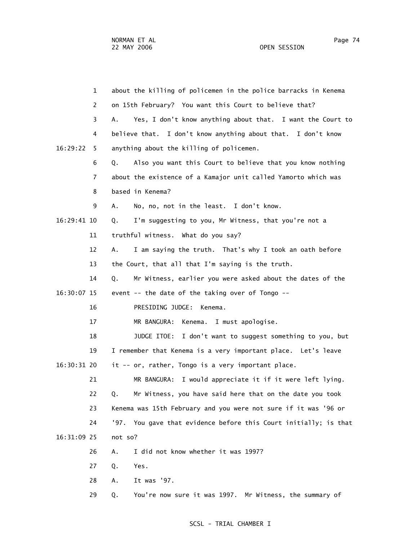1 about the killing of policemen in the police barracks in Kenema 2 on 15th February? You want this Court to believe that? 3 A. Yes, I don't know anything about that. I want the Court to 4 believe that. I don't know anything about that. I don't know 16:29:22 5 anything about the killing of policemen. 6 Q. Also you want this Court to believe that you know nothing 7 about the existence of a Kamajor unit called Yamorto which was 8 based in Kenema? 9 A. No, no, not in the least. I don't know. 16:29:41 10 Q. I'm suggesting to you, Mr Witness, that you're not a 11 truthful witness. What do you say? 12 A. I am saying the truth. That's why I took an oath before 13 the Court, that all that I'm saying is the truth. 14 Q. Mr Witness, earlier you were asked about the dates of the 16:30:07 15 event -- the date of the taking over of Tongo -- 16 PRESIDING JUDGE: Kenema. 17 MR BANGURA: Kenema. I must apologise. 18 JUDGE ITOE: I don't want to suggest something to you, but 19 I remember that Kenema is a very important place. Let's leave 16:30:31 20 it -- or, rather, Tongo is a very important place. 21 MR BANGURA: I would appreciate it if it were left lying. 22 Q. Mr Witness, you have said here that on the date you took 23 Kenema was 15th February and you were not sure if it was '96 or 24 '97. You gave that evidence before this Court initially; is that 16:31:09 25 not so? 26 A. I did not know whether it was 1997? 27 Q. Yes. 28 A. It was '97.

#### SCSL - TRIAL CHAMBER I

29 Q. You're now sure it was 1997. Mr Witness, the summary of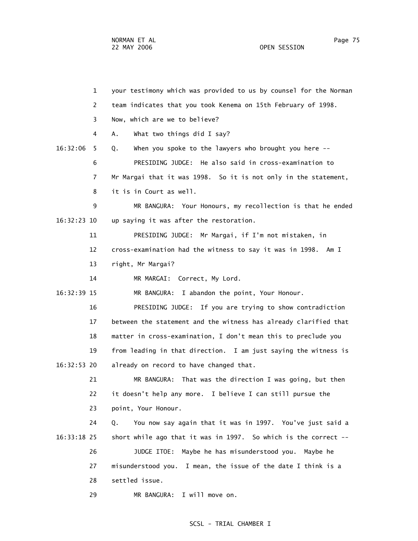1 your testimony which was provided to us by counsel for the Norman 2 team indicates that you took Kenema on 15th February of 1998. 3 Now, which are we to believe? 4 A. What two things did I say? 16:32:06 5 Q. When you spoke to the lawyers who brought you here -- 6 PRESIDING JUDGE: He also said in cross-examination to 7 Mr Margai that it was 1998. So it is not only in the statement, 8 it is in Court as well. 9 MR BANGURA: Your Honours, my recollection is that he ended 16:32:23 10 up saying it was after the restoration. 11 PRESIDING JUDGE: Mr Margai, if I'm not mistaken, in 12 cross-examination had the witness to say it was in 1998. Am I 13 right, Mr Margai? 14 MR MARGAI: Correct, My Lord. 16:32:39 15 MR BANGURA: I abandon the point, Your Honour. 16 PRESIDING JUDGE: If you are trying to show contradiction 17 between the statement and the witness has already clarified that 18 matter in cross-examination, I don't mean this to preclude you 19 from leading in that direction. I am just saying the witness is 16:32:53 20 already on record to have changed that. 21 MR BANGURA: That was the direction I was going, but then 22 it doesn't help any more. I believe I can still pursue the 23 point, Your Honour. 24 Q. You now say again that it was in 1997. You've just said a 16:33:18 25 short while ago that it was in 1997. So which is the correct -- 26 JUDGE ITOE: Maybe he has misunderstood you. Maybe he 27 misunderstood you. I mean, the issue of the date I think is a 28 settled issue. 29 MR BANGURA: I will move on.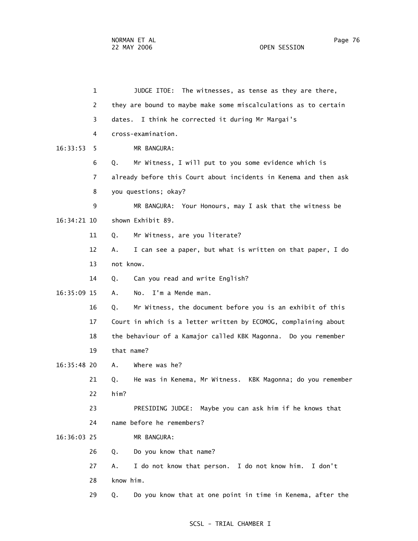1 JUDGE ITOE: The witnesses, as tense as they are there, 2 they are bound to maybe make some miscalculations as to certain 3 dates. I think he corrected it during Mr Margai's 4 cross-examination. 16:33:53 5 MR BANGURA: 6 Q. Mr Witness, I will put to you some evidence which is 7 already before this Court about incidents in Kenema and then ask 8 you questions; okay? 9 MR BANGURA: Your Honours, may I ask that the witness be 16:34:21 10 shown Exhibit 89. 11 Q. Mr Witness, are you literate? 12 A. I can see a paper, but what is written on that paper, I do 13 not know. 14 Q. Can you read and write English? 16:35:09 15 A. No. I'm a Mende man. 16 Q. Mr Witness, the document before you is an exhibit of this 17 Court in which is a letter written by ECOMOG, complaining about 18 the behaviour of a Kamajor called KBK Magonna. Do you remember 19 that name? 16:35:48 20 A. Where was he? 21 Q. He was in Kenema, Mr Witness. KBK Magonna; do you remember 22 him? 23 PRESIDING JUDGE: Maybe you can ask him if he knows that 24 name before he remembers? 16:36:03 25 MR BANGURA: 26 Q. Do you know that name? 27 A. I do not know that person. I do not know him. I don't 28 know him. 29 Q. Do you know that at one point in time in Kenema, after the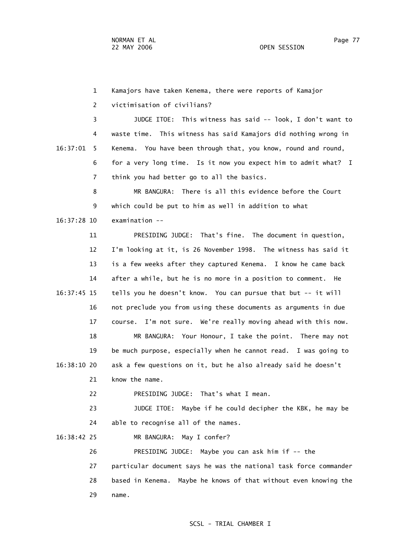1 Kamajors have taken Kenema, there were reports of Kamajor 2 victimisation of civilians? 3 JUDGE ITOE: This witness has said -- look, I don't want to 4 waste time. This witness has said Kamajors did nothing wrong in 16:37:01 5 Kenema. You have been through that, you know, round and round, 6 for a very long time. Is it now you expect him to admit what? I 7 think you had better go to all the basics. 8 MR BANGURA: There is all this evidence before the Court 9 which could be put to him as well in addition to what 16:37:28 10 examination -- 11 PRESIDING JUDGE: That's fine. The document in question, 12 I'm looking at it, is 26 November 1998. The witness has said it 13 is a few weeks after they captured Kenema. I know he came back 14 after a while, but he is no more in a position to comment. He 16:37:45 15 tells you he doesn't know. You can pursue that but -- it will 16 not preclude you from using these documents as arguments in due 17 course. I'm not sure. We're really moving ahead with this now. 18 MR BANGURA: Your Honour, I take the point. There may not 19 be much purpose, especially when he cannot read. I was going to 16:38:10 20 ask a few questions on it, but he also already said he doesn't 21 know the name. 22 PRESIDING JUDGE: That's what I mean. 23 JUDGE ITOE: Maybe if he could decipher the KBK, he may be 24 able to recognise all of the names. 16:38:42 25 MR BANGURA: May I confer? 26 PRESIDING JUDGE: Maybe you can ask him if -- the 27 particular document says he was the national task force commander 28 based in Kenema. Maybe he knows of that without even knowing the

29 name.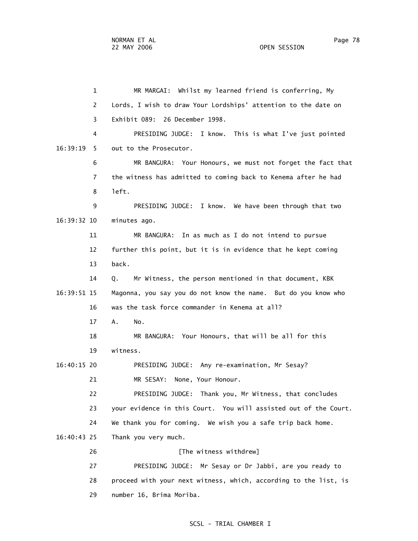1 MR MARGAI: Whilst my learned friend is conferring, My 2 Lords, I wish to draw Your Lordships' attention to the date on 3 Exhibit 089: 26 December 1998. 4 PRESIDING JUDGE: I know. This is what I've just pointed 16:39:19 5 out to the Prosecutor. 6 MR BANGURA: Your Honours, we must not forget the fact that 7 the witness has admitted to coming back to Kenema after he had 8 left. 9 PRESIDING JUDGE: I know. We have been through that two 16:39:32 10 minutes ago. 11 MR BANGURA: In as much as I do not intend to pursue 12 further this point, but it is in evidence that he kept coming 13 back. 14 Q. Mr Witness, the person mentioned in that document, KBK 16:39:51 15 Magonna, you say you do not know the name. But do you know who 16 was the task force commander in Kenema at all? 17 A. No. 18 MR BANGURA: Your Honours, that will be all for this 19 witness. 16:40:15 20 PRESIDING JUDGE: Any re-examination, Mr Sesay? 21 MR SESAY: None, Your Honour. 22 PRESIDING JUDGE: Thank you, Mr Witness, that concludes 23 your evidence in this Court. You will assisted out of the Court. 24 We thank you for coming. We wish you a safe trip back home. 16:40:43 25 Thank you very much. 26 **[The witness withdrew]**  27 PRESIDING JUDGE: Mr Sesay or Dr Jabbi, are you ready to 28 proceed with your next witness, which, according to the list, is

29 number 16, Brima Moriba.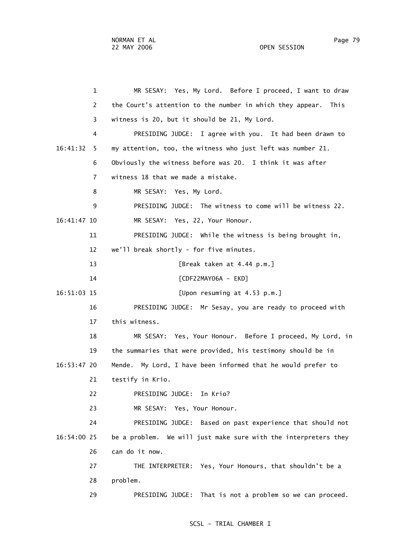1 MR SESAY: Yes, My Lord. Before I proceed, I want to draw 2 the Court's attention to the number in which they appear. This 3 witness is 20, but it should be 21, My Lord. 4 PRESIDING JUDGE: I agree with you. It had been drawn to 16:41:32 5 my attention, too, the witness who just left was number 21. 6 Obviously the witness before was 20. I think it was after 7 witness 18 that we made a mistake. 8 MR SESAY: Yes, My Lord. 9 PRESIDING JUDGE: The witness to come will be witness 22. 16:41:47 10 MR SESAY: Yes, 22, Your Honour. 11 PRESIDING JUDGE: While the witness is being brought in, 12 we'll break shortly - for five minutes. 13 [Break taken at 4.44 p.m.] 14 [CDF22MAY06A - EKD] 16:51:03 15 [Upon resuming at 4.53 p.m.] 16 PRESIDING JUDGE: Mr Sesay, you are ready to proceed with 17 this witness. 18 MR SESAY: Yes, Your Honour. Before I proceed, My Lord, in 19 the summaries that were provided, his testimony should be in 16:53:47 20 Mende. My Lord, I have been informed that he would prefer to 21 testify in Krio. 22 PRESIDING JUDGE: In Krio? 23 MR SESAY: Yes, Your Honour. 24 PRESIDING JUDGE: Based on past experience that should not 16:54:00 25 be a problem. We will just make sure with the interpreters they 26 can do it now. 27 THE INTERPRETER: Yes, Your Honours, that shouldn't be a 28 problem. 29 PRESIDING JUDGE: That is not a problem so we can proceed.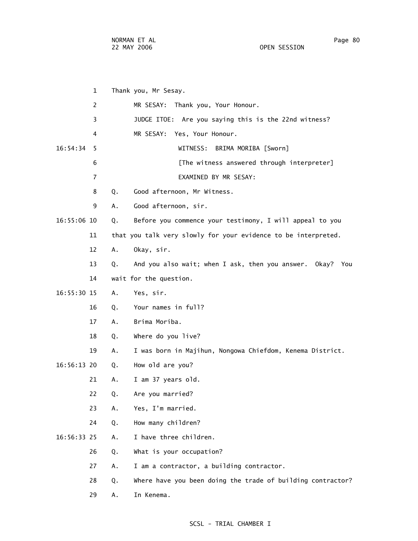1 Thank you, Mr Sesay. 2 MR SESAY: Thank you, Your Honour. 3 JUDGE ITOE: Are you saying this is the 22nd witness? 4 MR SESAY: Yes, Your Honour. 16:54:34 5 WITNESS: BRIMA MORIBA [Sworn] 6 [The witness answered through interpreter] 7 EXAMINED BY MR SESAY: 8 Q. Good afternoon, Mr Witness. 9 A. Good afternoon, sir. 16:55:06 10 Q. Before you commence your testimony, I will appeal to you 11 that you talk very slowly for your evidence to be interpreted. 12 A. Okay, sir. 13 Q. And you also wait; when I ask, then you answer. Okay? You 14 wait for the question. 16:55:30 15 A. Yes, sir. 16 Q. Your names in full? 17 A. Brima Moriba. 18 Q. Where do you live? 19 A. I was born in Majihun, Nongowa Chiefdom, Kenema District. 16:56:13 20 Q. How old are you? 21 A. I am 37 years old. 22 Q. Are you married? 23 A. Yes, I'm married. 24 Q. How many children? 16:56:33 25 A. I have three children. 26 Q. What is your occupation? 27 A. I am a contractor, a building contractor. 28 Q. Where have you been doing the trade of building contractor? 29 A. In Kenema.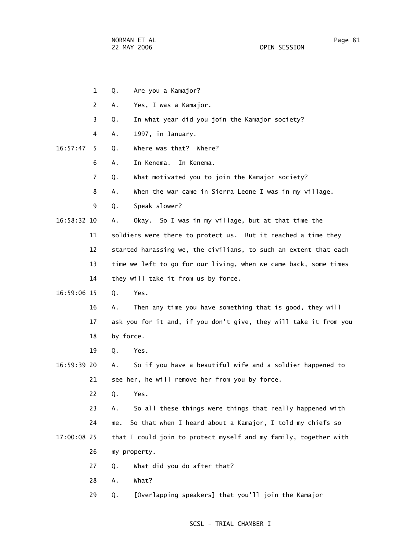- 1 Q. Are you a Kamajor?
- 2 A. Yes, I was a Kamajor.
- 3 Q. In what year did you join the Kamajor society?
- 4 A. 1997, in January.
- 16:57:47 5 Q. Where was that? Where?
	- 6 A. In Kenema. In Kenema.
	- 7 Q. What motivated you to join the Kamajor society?
	- 8 A. When the war came in Sierra Leone I was in my village.
	- 9 Q. Speak slower?
- 16:58:32 10 A. Okay. So I was in my village, but at that time the
	- 11 soldiers were there to protect us. But it reached a time they
		- 12 started harassing we, the civilians, to such an extent that each
			- 13 time we left to go for our living, when we came back, some times 14 they will take it from us by force.
- 16:59:06 15 Q. Yes.
	- 16 A. Then any time you have something that is good, they will 17 ask you for it and, if you don't give, they will take it from you 18 by force.
	- 19 Q. Yes.
- 16:59:39 20 A. So if you have a beautiful wife and a soldier happened to 21 see her, he will remove her from you by force.
	- 22 Q. Yes.

 23 A. So all these things were things that really happened with 24 me. So that when I heard about a Kamajor, I told my chiefs so 17:00:08 25 that I could join to protect myself and my family, together with

- 26 my property.
- 27 Q. What did you do after that?
- 28 A. What?
- 29 Q. [Overlapping speakers] that you'll join the Kamajor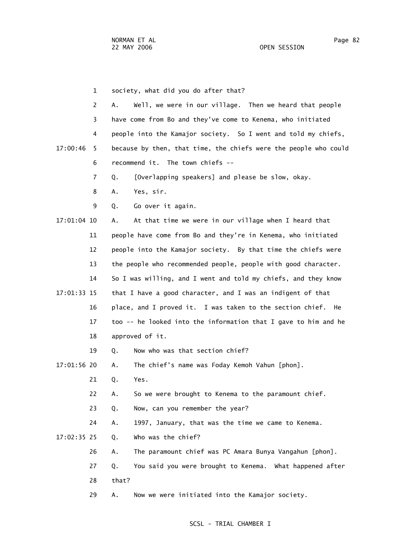1 society, what did you do after that?

 2 A. Well, we were in our village. Then we heard that people 3 have come from Bo and they've come to Kenema, who initiated 4 people into the Kamajor society. So I went and told my chiefs, 17:00:46 5 because by then, that time, the chiefs were the people who could 6 recommend it. The town chiefs --

7 Q. [Overlapping speakers] and please be slow, okay.

- 8 A. Yes, sir.
- 9 Q. Go over it again.

 17:01:04 10 A. At that time we were in our village when I heard that 11 people have come from Bo and they're in Kenema, who initiated 12 people into the Kamajor society. By that time the chiefs were 13 the people who recommended people, people with good character. 14 So I was willing, and I went and told my chiefs, and they know 17:01:33 15 that I have a good character, and I was an indigent of that 16 place, and I proved it. I was taken to the section chief. He 17 too -- he looked into the information that I gave to him and he 18 approved of it.

19 Q. Now who was that section chief?

17:01:56 20 A. The chief's name was Foday Kemoh Vahun [phon].

21 Q. Yes.

22 A. So we were brought to Kenema to the paramount chief.

23 Q. Now, can you remember the year?

24 A. 1997, January, that was the time we came to Kenema.

17:02:35 25 Q. Who was the chief?

26 A. The paramount chief was PC Amara Bunya Vangahun [phon].

 27 Q. You said you were brought to Kenema. What happened after 28 that?

29 A. Now we were initiated into the Kamajor society.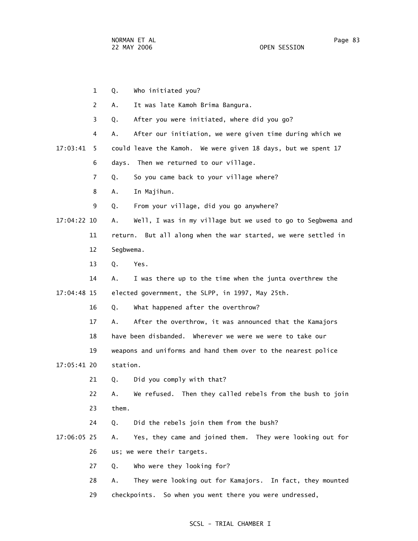1 Q. Who initiated you? 2 A. It was late Kamoh Brima Bangura. 3 Q. After you were initiated, where did you go? 4 A. After our initiation, we were given time during which we 17:03:41 5 could leave the Kamoh. We were given 18 days, but we spent 17 6 days. Then we returned to our village. 7 Q. So you came back to your village where? 8 A. In Majihun. 9 Q. From your village, did you go anywhere? 17:04:22 10 A. Well, I was in my village but we used to go to Segbwema and 11 return. But all along when the war started, we were settled in 12 Segbwema. 13 Q. Yes. 14 A. I was there up to the time when the junta overthrew the 17:04:48 15 elected government, the SLPP, in 1997, May 25th. 16 Q. What happened after the overthrow? 17 A. After the overthrow, it was announced that the Kamajors 18 have been disbanded. Wherever we were we were to take our 19 weapons and uniforms and hand them over to the nearest police 17:05:41 20 station. 21 Q. Did you comply with that? 22 A. We refused. Then they called rebels from the bush to join 23 them. 24 Q. Did the rebels join them from the bush? 17:06:05 25 A. Yes, they came and joined them. They were looking out for 26 us; we were their targets. 27 Q. Who were they looking for? 28 A. They were looking out for Kamajors. In fact, they mounted 29 checkpoints. So when you went there you were undressed,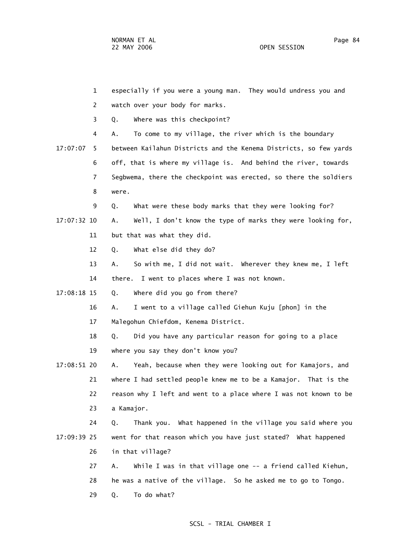NORMAN ET AL Page 84 22 MAY 2006 OPEN SESSION

|             | $\mathbf{1}$   | especially if you were a young man. They would undress you and    |  |  |  |
|-------------|----------------|-------------------------------------------------------------------|--|--|--|
|             | 2              | watch over your body for marks.                                   |  |  |  |
|             | 3              | Where was this checkpoint?<br>Q.                                  |  |  |  |
|             | 4              | To come to my village, the river which is the boundary<br>А.      |  |  |  |
| 17:07:07    | 5.             | between Kailahun Districts and the Kenema Districts, so few yards |  |  |  |
|             | 6              | off, that is where my village is. And behind the river, towards   |  |  |  |
|             | $\overline{7}$ | Segbwema, there the checkpoint was erected, so there the soldiers |  |  |  |
|             | 8              | were.                                                             |  |  |  |
|             | 9              | What were these body marks that they were looking for?<br>Q.      |  |  |  |
| 17:07:32 10 |                | Well, I don't know the type of marks they were looking for,<br>Α. |  |  |  |
|             | 11             | but that was what they did.                                       |  |  |  |
|             | 12             | What else did they do?<br>Q.                                      |  |  |  |
|             | 13             | So with me, I did not wait. Wherever they knew me, I left<br>А.   |  |  |  |
|             | 14             | I went to places where I was not known.<br>there.                 |  |  |  |
| 17:08:18 15 |                | Where did you go from there?<br>Q.                                |  |  |  |
|             | 16             | I went to a village called Giehun Kuju [phon] in the<br>Α.        |  |  |  |
|             | 17             | Malegohun Chiefdom, Kenema District.                              |  |  |  |
|             | 18             | Did you have any particular reason for going to a place<br>Q.     |  |  |  |
|             | 19             | where you say they don't know you?                                |  |  |  |
| 17:08:51 20 |                | Yeah, because when they were looking out for Kamajors, and<br>Α.  |  |  |  |
|             | 21             | where I had settled people knew me to be a Kamajor. That is the   |  |  |  |
|             | 22             | reason why I left and went to a place where I was not known to be |  |  |  |
|             | 23             | a Kamajor.                                                        |  |  |  |
|             | 24             | Thank you. What happened in the village you said where you<br>Q.  |  |  |  |
| 17:09:39 25 |                | went for that reason which you have just stated? What happened    |  |  |  |
|             | 26             | in that village?                                                  |  |  |  |
|             | 27             | Α.<br>While I was in that village one -- a friend called Kiehun,  |  |  |  |
|             | 28             | he was a native of the village. So he asked me to go to Tongo.    |  |  |  |
|             | 29             | To do what?<br>Q.                                                 |  |  |  |
|             |                |                                                                   |  |  |  |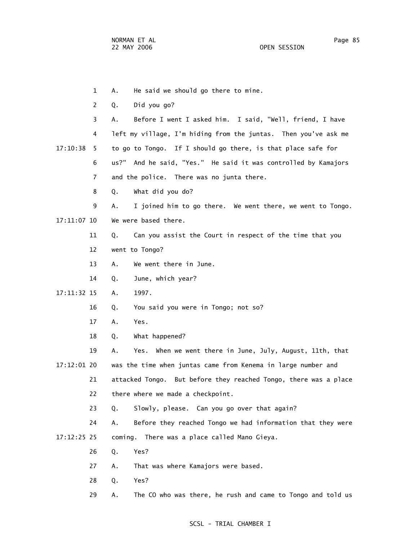1 A. He said we should go there to mine. 2 Q. Did you go? 3 A. Before I went I asked him. I said, "Well, friend, I have 4 left my village, I'm hiding from the juntas. Then you've ask me 17:10:38 5 to go to Tongo. If I should go there, is that place safe for 6 us?" And he said, "Yes." He said it was controlled by Kamajors 7 and the police. There was no junta there. 8 Q. What did you do? 9 A. I joined him to go there. We went there, we went to Tongo. 17:11:07 10 We were based there. 11 Q. Can you assist the Court in respect of the time that you 12 went to Tongo? 13 A. We went there in June. 14 Q. June, which year? 17:11:32 15 A. 1997. 16 Q. You said you were in Tongo; not so? 17 A. Yes. 18 Q. What happened? 19 A. Yes. When we went there in June, July, August, 11th, that 17:12:01 20 was the time when juntas came from Kenema in large number and 21 attacked Tongo. But before they reached Tongo, there was a place 22 there where we made a checkpoint. 23 Q. Slowly, please. Can you go over that again? 24 A. Before they reached Tongo we had information that they were 17:12:25 25 coming. There was a place called Mano Gieya. 26 Q. Yes? 27 A. That was where Kamajors were based. 28 Q. Yes? 29 A. The CO who was there, he rush and came to Tongo and told us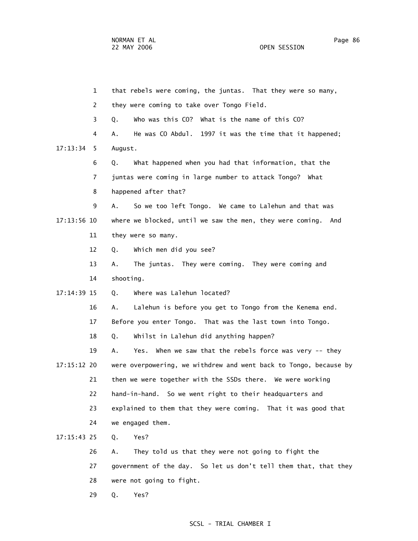1 that rebels were coming, the juntas. That they were so many, 2 they were coming to take over Tongo Field. 3 Q. Who was this CO? What is the name of this CO? 4 A. He was CO Abdul. 1997 it was the time that it happened; 17:13:34 5 August. 6 Q. What happened when you had that information, that the 7 juntas were coming in large number to attack Tongo? What 8 happened after that? 9 A. So we too left Tongo. We came to Lalehun and that was 17:13:56 10 where we blocked, until we saw the men, they were coming. And 11 they were so many. 12 Q. Which men did you see? 13 A. The juntas. They were coming. They were coming and 14 shooting. 17:14:39 15 Q. Where was Lalehun located? 16 A. Lalehun is before you get to Tongo from the Kenema end. 17 Before you enter Tongo. That was the last town into Tongo. 18 Q. Whilst in Lalehun did anything happen? 19 A. Yes. When we saw that the rebels force was very -- they 17:15:12 20 were overpowering, we withdrew and went back to Tongo, because by 21 then we were together with the SSDs there. We were working 22 hand-in-hand. So we went right to their headquarters and 23 explained to them that they were coming. That it was good that 24 we engaged them. 17:15:43 25 Q. Yes? 26 A. They told us that they were not going to fight the 27 government of the day. So let us don't tell them that, that they

- 28 were not going to fight.
- 29 Q. Yes?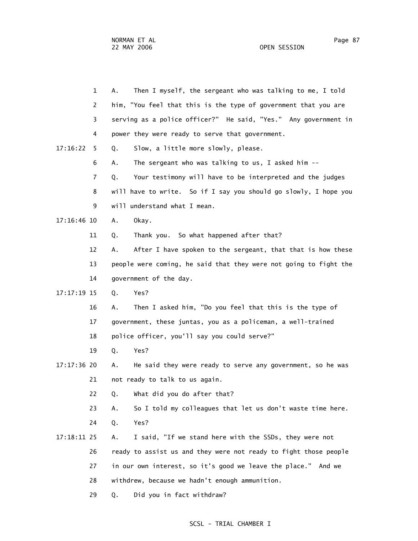|               | $\mathbf{1}$   | Then I myself, the sergeant who was talking to me, I told<br>А.   |  |
|---------------|----------------|-------------------------------------------------------------------|--|
|               | 2              | him, "You feel that this is the type of government that you are   |  |
|               | 3              | serving as a police officer?" He said, "Yes." Any government in   |  |
|               | 4              | power they were ready to serve that government.                   |  |
| 17:16:22      | 5              | Slow, a little more slowly, please.<br>Q.                         |  |
|               | 6              | The sergeant who was talking to us, I asked him $-$ -<br>Α.       |  |
|               | $\overline{7}$ | Your testimony will have to be interpreted and the judges<br>Q.   |  |
|               | 8              | will have to write. So if I say you should go slowly, I hope you  |  |
|               | 9              | will understand what I mean.                                      |  |
| $17:16:46$ 10 |                | Okay.<br>Α.                                                       |  |
|               | 11             | Thank you. So what happened after that?<br>Q.                     |  |
|               | 12             | After I have spoken to the sergeant, that that is how these<br>Α. |  |
|               | 13             | people were coming, he said that they were not going to fight the |  |
|               | 14             | government of the day.                                            |  |
| 17:17:19 15   |                | Q.<br>Yes?                                                        |  |
|               | 16             | Then I asked him, "Do you feel that this is the type of<br>Α.     |  |
|               | 17             | government, these juntas, you as a policeman, a well-trained      |  |
|               | 18             | police officer, you'll say you could serve?"                      |  |
|               | 19             | Q.<br>Yes?                                                        |  |
| 17:17:36 20   |                | He said they were ready to serve any government, so he was<br>Α.  |  |
|               | 21             | not ready to talk to us again.                                    |  |
|               | 22             | What did you do after that?<br>Q.                                 |  |
|               | 23             | So I told my colleagues that let us don't waste time here.<br>Α.  |  |
|               | 24             | Yes?<br>Q.                                                        |  |
| 17:18:11 25   |                | I said, "If we stand here with the SSDs, they were not<br>Α.      |  |
|               | 26             | ready to assist us and they were not ready to fight those people  |  |
|               | 27             | in our own interest, so it's good we leave the place." And we     |  |
|               | 28             | withdrew, because we hadn't enough ammunition.                    |  |
|               | 29             | Did you in fact withdraw?<br>Q.                                   |  |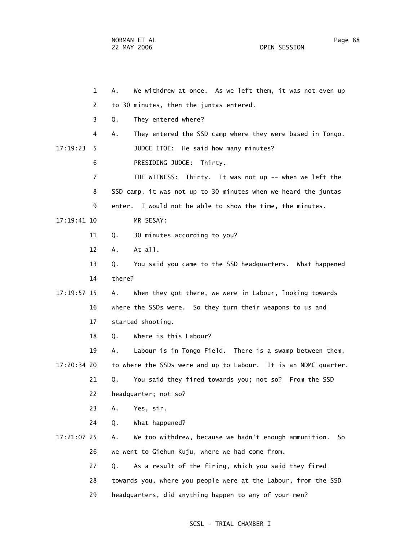NORMAN ET AL PAGE 28 PAGE 28 PAGE 28 PAGE 28 PAGE 28 PAGE 28 PAGE 28 PAGE 28 PAGE 28 PAGE 28 PAGE 28 PAGE 28 PAGE 28 PAGE 28 PAGE 28 PAGE 28 PAGE 28 PAGE 28 PAGE 28 PAGE 28 PAGE 28 PAGE 28 PAGE 28 PAGE 28 PAGE 28 PAGE 28 P 22 MAY 2006 OPEN SESSION

 1 A. We withdrew at once. As we left them, it was not even up 2 to 30 minutes, then the juntas entered. 3 Q. They entered where? 4 A. They entered the SSD camp where they were based in Tongo. 17:19:23 5 JUDGE ITOE: He said how many minutes? 6 PRESIDING JUDGE: Thirty. 7 THE WITNESS: Thirty. It was not up -- when we left the 8 SSD camp, it was not up to 30 minutes when we heard the juntas 9 enter. I would not be able to show the time, the minutes. 17:19:41 10 MR SESAY: 11 Q. 30 minutes according to you? 12 A. At all. 13 Q. You said you came to the SSD headquarters. What happened 14 there? 17:19:57 15 A. When they got there, we were in Labour, looking towards 16 where the SSDs were. So they turn their weapons to us and 17 started shooting. 18 Q. Where is this Labour? 19 A. Labour is in Tongo Field. There is a swamp between them, 17:20:34 20 to where the SSDs were and up to Labour. It is an NDMC quarter. 21 Q. You said they fired towards you; not so? From the SSD

22 headquarter; not so?

23 A. Yes, sir.

24 Q. What happened?

 17:21:07 25 A. We too withdrew, because we hadn't enough ammunition. So 26 we went to Giehun Kuju, where we had come from.

27 Q. As a result of the firing, which you said they fired

28 towards you, where you people were at the Labour, from the SSD

29 headquarters, did anything happen to any of your men?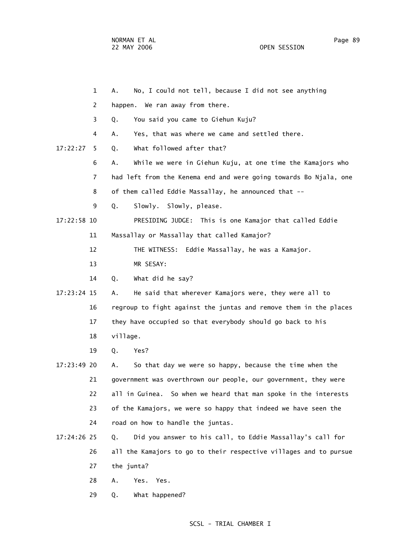|    |             | $\mathbf{1}$ | No, I could not tell, because I did not see anything<br>А.         |  |  |  |
|----|-------------|--------------|--------------------------------------------------------------------|--|--|--|
|    |             | 2            | happen. We ran away from there.                                    |  |  |  |
|    |             | 3            | You said you came to Giehun Kuju?<br>Q.                            |  |  |  |
|    |             | 4            | Yes, that was where we came and settled there.<br>Α.               |  |  |  |
|    | 17:22:27    | 5            | What followed after that?<br>Q.                                    |  |  |  |
|    |             | 6            | While we were in Giehun Kuju, at one time the Kamajors who<br>А.   |  |  |  |
|    |             | 7            | had left from the Kenema end and were going towards Bo Njala, one  |  |  |  |
|    |             | 8            | of them called Eddie Massallay, he announced that --               |  |  |  |
|    |             | 9            | Slowly. Slowly, please.<br>Q.                                      |  |  |  |
|    | 17:22:58 10 |              | PRESIDING JUDGE: This is one Kamajor that called Eddie             |  |  |  |
|    |             | 11           | Massallay or Massallay that called Kamajor?                        |  |  |  |
|    |             | 12           | Eddie Massallay, he was a Kamajor.<br>THE WITNESS:                 |  |  |  |
|    |             | 13           | MR SESAY:                                                          |  |  |  |
|    |             | 14           | What did he say?<br>Q.                                             |  |  |  |
|    | 17:23:24 15 |              | He said that wherever Kamajors were, they were all to<br>А.        |  |  |  |
|    |             | 16           | regroup to fight against the juntas and remove them in the places  |  |  |  |
|    |             | 17           | they have occupied so that everybody should go back to his         |  |  |  |
|    |             | 18           | village.                                                           |  |  |  |
|    |             | 19           | Q.<br>Yes?                                                         |  |  |  |
|    | 17:23:49 20 |              | So that day we were so happy, because the time when the<br>А.      |  |  |  |
|    |             | 21           | government was overthrown our people, our government, they were    |  |  |  |
| 22 |             |              | So when we heard that man spoke in the interests<br>all in Guinea. |  |  |  |
|    |             | 23           | of the Kamajors, we were so happy that indeed we have seen the     |  |  |  |
|    |             | 24           | road on how to handle the juntas.                                  |  |  |  |
|    | 17:24:26 25 |              | Did you answer to his call, to Eddie Massallay's call for<br>Q.    |  |  |  |
|    |             | 26           | all the Kamajors to go to their respective villages and to pursue  |  |  |  |
|    |             | 27           | the junta?                                                         |  |  |  |
|    |             | 28           | Α.<br>Yes.<br>Yes.                                                 |  |  |  |
|    |             | 29           | What happened?<br>Q.                                               |  |  |  |
|    |             |              |                                                                    |  |  |  |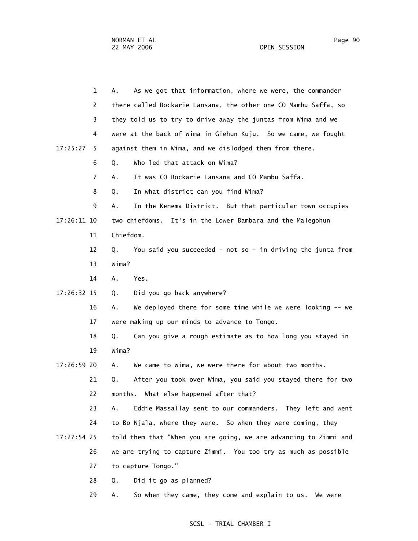1 A. As we got that information, where we were, the commander 2 there called Bockarie Lansana, the other one CO Mambu Saffa, so 3 they told us to try to drive away the juntas from Wima and we 4 were at the back of Wima in Giehun Kuju. So we came, we fought 17:25:27 5 against them in Wima, and we dislodged them from there. 6 Q. Who led that attack on Wima? 7 A. It was CO Bockarie Lansana and CO Mambu Saffa. 8 Q. In what district can you find Wima? 9 A. In the Kenema District. But that particular town occupies 17:26:11 10 two chiefdoms. It's in the Lower Bambara and the Malegohun 11 Chiefdom. 12 Q. You said you succeeded - not so - in driving the junta from 13 Wima? 14 A. Yes. 17:26:32 15 Q. Did you go back anywhere? 16 A. We deployed there for some time while we were looking -- we 17 were making up our minds to advance to Tongo. 18 Q. Can you give a rough estimate as to how long you stayed in 19 Wima? 17:26:59 20 A. We came to Wima, we were there for about two months. 21 Q. After you took over Wima, you said you stayed there for two 22 months. What else happened after that? 23 A. Eddie Massallay sent to our commanders. They left and went 24 to Bo Njala, where they were. So when they were coming, they 17:27:54 25 told them that "When you are going, we are advancing to Zimmi and 26 we are trying to capture Zimmi. You too try as much as possible 27 to capture Tongo." 28 Q. Did it go as planned? 29 A. So when they came, they come and explain to us. We were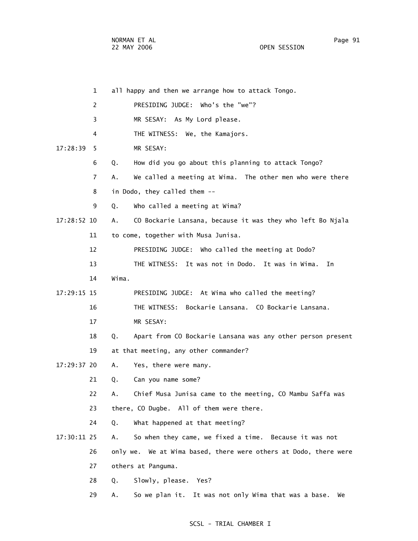|             | 1        | all happy and then we arrange how to attack Tongo.                  |
|-------------|----------|---------------------------------------------------------------------|
|             | 2        | PRESIDING JUDGE: Who's the "we"?                                    |
|             | 3        | MR SESAY: As My Lord please.                                        |
|             | 4        | THE WITNESS: We, the Kamajors.                                      |
| 17:28:39    | 5        | MR SESAY:                                                           |
|             | 6<br>Q.  | How did you go about this planning to attack Tongo?                 |
|             | 7<br>А.  | We called a meeting at Wima. The other men who were there           |
|             | 8        | in Dodo, they called them --                                        |
|             | 9<br>Q.  | Who called a meeting at Wima?                                       |
| 17:28:52 10 | А.       | CO Bockarie Lansana, because it was they who left Bo Njala          |
|             | 11       | to come, together with Musa Junisa.                                 |
|             | 12       | PRESIDING JUDGE: Who called the meeting at Dodo?                    |
|             | 13       | It was not in Dodo. It was in Wima.<br>THE WITNESS:<br>In           |
|             | 14       | Wima.                                                               |
| 17:29:15 15 |          | PRESIDING JUDGE: At Wima who called the meeting?                    |
|             | 16       | Bockarie Lansana. CO Bockarie Lansana.<br>THE WITNESS:              |
|             | 17       | MR SESAY:                                                           |
|             | 18<br>Q. | Apart from CO Bockarie Lansana was any other person present         |
|             | 19       | at that meeting, any other commander?                               |
| 17:29:37 20 | А.       | Yes, there were many.                                               |
|             | 21<br>Q. | Can you name some?                                                  |
|             | 22<br>Α. | Chief Musa Junisa came to the meeting, CO Mambu Saffa was           |
|             | 23       | there, CO Dugbe. All of them were there.                            |
|             | 24<br>Q. | What happened at that meeting?                                      |
| 17:30:11 25 | Α.       | So when they came, we fixed a time. Because it was not              |
|             | 26       | We at Wima based, there were others at Dodo, there were<br>only we. |
|             | 27       | others at Panguma.                                                  |
|             | 28<br>Q. | Slowly, please. Yes?                                                |
|             | 29<br>Α. | It was not only Wima that was a base.<br>So we plan it.<br>We       |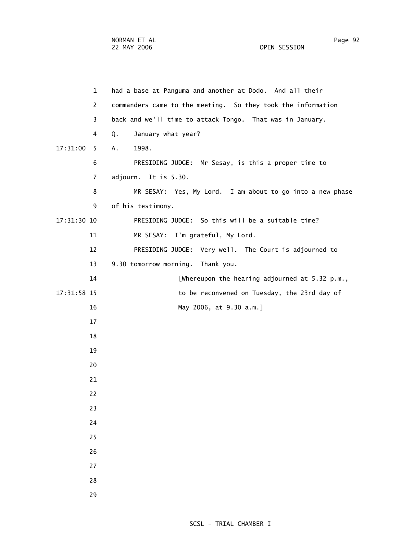| $\mathbf{1}$  | had a base at Panguma and another at Dodo. And all their     |
|---------------|--------------------------------------------------------------|
| 2             | commanders came to the meeting. So they took the information |
| 3             | back and we'll time to attack Tongo. That was in January.    |
| 4             | Q.<br>January what year?                                     |
| 17:31:00<br>5 | Α.<br>1998.                                                  |
| 6             | PRESIDING JUDGE: Mr Sesay, is this a proper time to          |
| 7             | adjourn. It is 5.30.                                         |
| 8             | MR SESAY: Yes, My Lord. I am about to go into a new phase    |
| 9             | of his testimony.                                            |
| 17:31:30 10   | PRESIDING JUDGE: So this will be a suitable time?            |
| 11            | MR SESAY: I'm grateful, My Lord.                             |
| 12            | PRESIDING JUDGE: Very well. The Court is adjourned to        |
| 13            | 9.30 tomorrow morning. Thank you.                            |
| 14            | [Whereupon the hearing adjourned at 5.32 p.m.,               |
| 17:31:58 15   | to be reconvened on Tuesday, the 23rd day of                 |
| 16            | May 2006, at 9.30 a.m.]                                      |
| 17            |                                                              |
| 18            |                                                              |
| 19            |                                                              |
| 20            |                                                              |
| 21            |                                                              |
| 22            |                                                              |
| 23            |                                                              |
| 24            |                                                              |
| 25            |                                                              |
| 26            |                                                              |
| 27            |                                                              |
| 28            |                                                              |

29